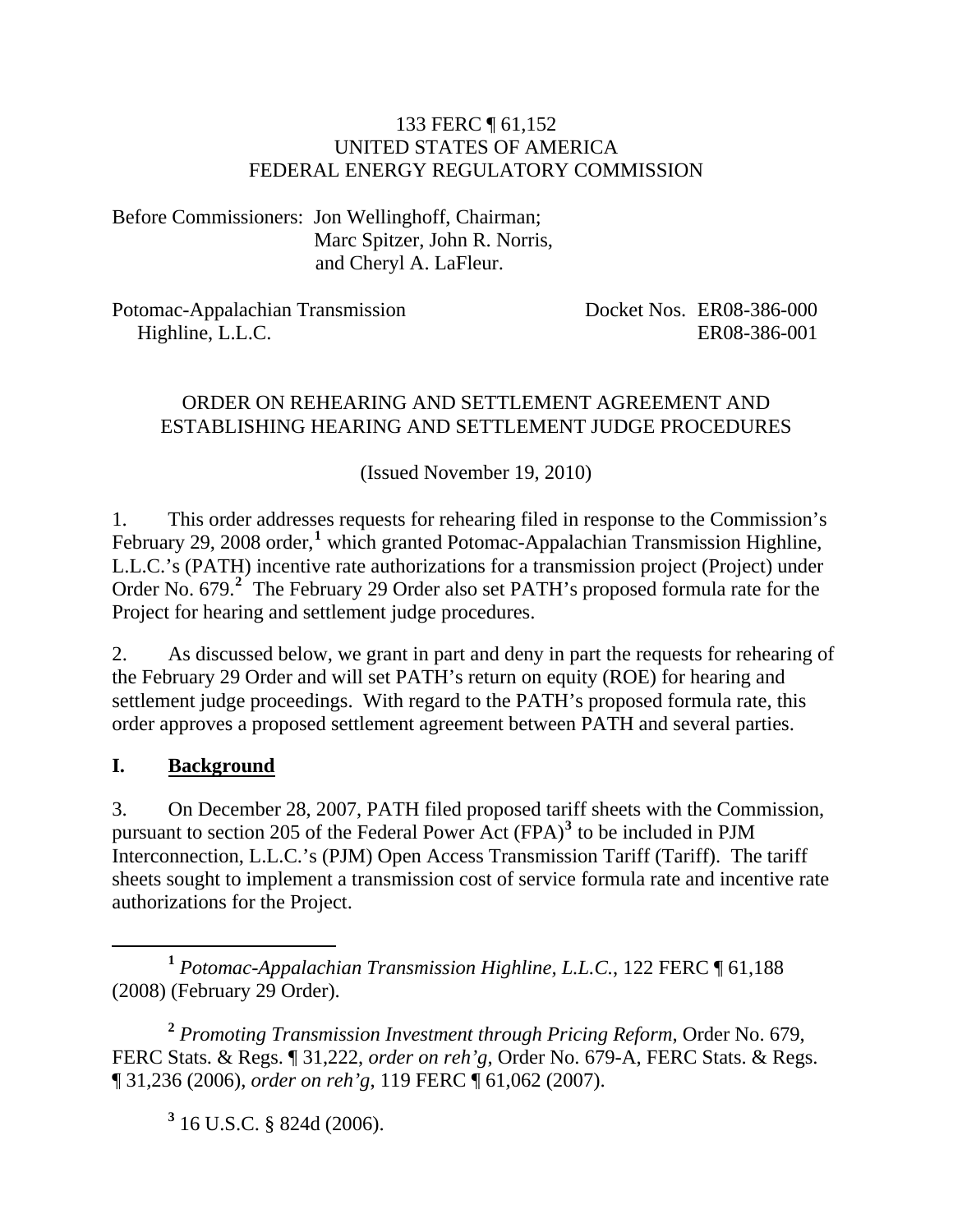#### 133 FERC ¶ 61,152 UNITED STATES OF AMERICA FEDERAL ENERGY REGULATORY COMMISSION

Before Commissioners: Jon Wellinghoff, Chairman; Marc Spitzer, John R. Norris, and Cheryl A. LaFleur.

Potomac-Appalachian Transmission Highline, L.L.C.

Docket Nos. ER08-386-000 ER08-386-001

### ORDER ON REHEARING AND SETTLEMENT AGREEMENT AND ESTABLISHING HEARING AND SETTLEMENT JUDGE PROCEDURES

(Issued November 19, 2010)

1. This order addresses requests for rehearing filed in response to the Commission's February 29, 2008 order,<sup>[1](#page-0-0)</sup> which granted Potomac-Appalachian Transmission Highline, L.L.C.'s (PATH) incentive rate authorizations for a transmission project (Project) under Order No. 679.<sup>[2](#page-0-1)</sup> The February 29 Order also set PATH's proposed formula rate for the Project for hearing and settlement judge procedures.

2. As discussed below, we grant in part and deny in part the requests for rehearing of the February 29 Order and will set PATH's return on equity (ROE) for hearing and settlement judge proceedings. With regard to the PATH's proposed formula rate, this order approves a proposed settlement agreement between PATH and several parties.

### **I. Background**

3. On December 28, 2007, PATH filed proposed tariff sheets with the Commission, pursuant to section 205 of the Federal Power Act  $(FPA)<sup>3</sup>$  $(FPA)<sup>3</sup>$  $(FPA)<sup>3</sup>$  to be included in PJM Interconnection, L.L.C.'s (PJM) Open Access Transmission Tariff (Tariff). The tariff sheets sought to implement a transmission cost of service formula rate and incentive rate authorizations for the Project.

<span id="page-0-0"></span> **<sup>1</sup>** *Potomac-Appalachian Transmission Highline, L.L.C.*, 122 FERC ¶ 61,188 (2008) (February 29 Order).

<span id="page-0-2"></span><span id="page-0-1"></span>**<sup>2</sup>** *Promoting Transmission Investment through Pricing Reform*, Order No. 679, FERC Stats. & Regs. ¶ 31,222, *order on reh'g*, Order No. 679-A, FERC Stats. & Regs. ¶ 31,236 (2006), *order on reh'g*, 119 FERC ¶ 61,062 (2007).

**3** 16 U.S.C. § 824d (2006).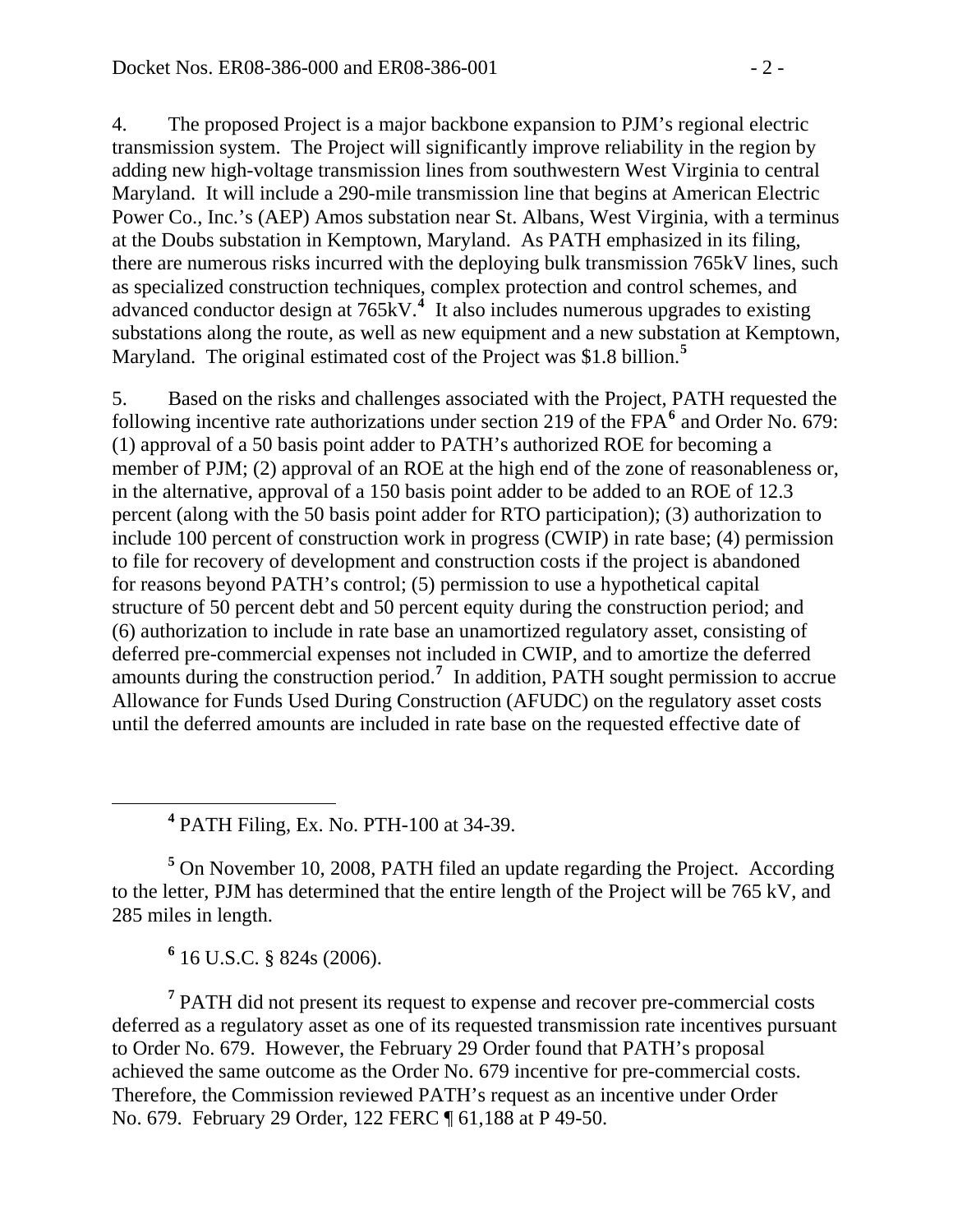4. The proposed Project is a major backbone expansion to PJM's regional electric transmission system. The Project will significantly improve reliability in the region by adding new high-voltage transmission lines from southwestern West Virginia to central Maryland. It will include a 290-mile transmission line that begins at American Electric Power Co., Inc.'s (AEP) Amos substation near St. Albans, West Virginia, with a terminus at the Doubs substation in Kemptown, Maryland. As PATH emphasized in its filing, there are numerous risks incurred with the deploying bulk transmission 765kV lines, such as specialized construction techniques, complex protection and control schemes, and advanced conductor design at 765kV.<sup>[4](#page-1-0)</sup> It also includes numerous upgrades to existing substations along the route, as well as new equipment and a new substation at Kemptown, Maryland. The original estimated cost of the Project was \$1.8 billion.**[5](#page-1-1)**

5. Based on the risks and challenges associated with the Project, PATH requested the following incentive rate authorizations under section 219 of the FPA<sup>[6](#page-1-2)</sup> and Order No. 679: (1) approval of a 50 basis point adder to PATH's authorized ROE for becoming a member of PJM; (2) approval of an ROE at the high end of the zone of reasonableness or, in the alternative, approval of a 150 basis point adder to be added to an ROE of 12.3 percent (along with the 50 basis point adder for RTO participation); (3) authorization to include 100 percent of construction work in progress (CWIP) in rate base; (4) permission to file for recovery of development and construction costs if the project is abandoned for reasons beyond PATH's control; (5) permission to use a hypothetical capital structure of 50 percent debt and 50 percent equity during the construction period; and (6) authorization to include in rate base an unamortized regulatory asset, consisting of deferred pre-commercial expenses not included in CWIP, and to amortize the deferred amounts during the construction period.**[7](#page-1-3)** In addition, PATH sought permission to accrue Allowance for Funds Used During Construction (AFUDC) on the regulatory asset costs until the deferred amounts are included in rate base on the requested effective date of

<span id="page-1-0"></span> **<sup>4</sup>** PATH Filing, Ex. No. PTH-100 at 34-39.

<span id="page-1-1"></span><sup>5</sup> On November 10, 2008, PATH filed an update regarding the Project. According to the letter, PJM has determined that the entire length of the Project will be 765 kV, and 285 miles in length.

**6** 16 U.S.C. § 824s (2006).

<span id="page-1-3"></span><span id="page-1-2"></span><sup>7</sup> PATH did not present its request to expense and recover pre-commercial costs deferred as a regulatory asset as one of its requested transmission rate incentives pursuant to Order No. 679. However, the February 29 Order found that PATH's proposal achieved the same outcome as the Order No. 679 incentive for pre-commercial costs. Therefore, the Commission reviewed PATH's request as an incentive under Order No. 679. February 29 Order, 122 FERC ¶ 61,188 at P 49-50.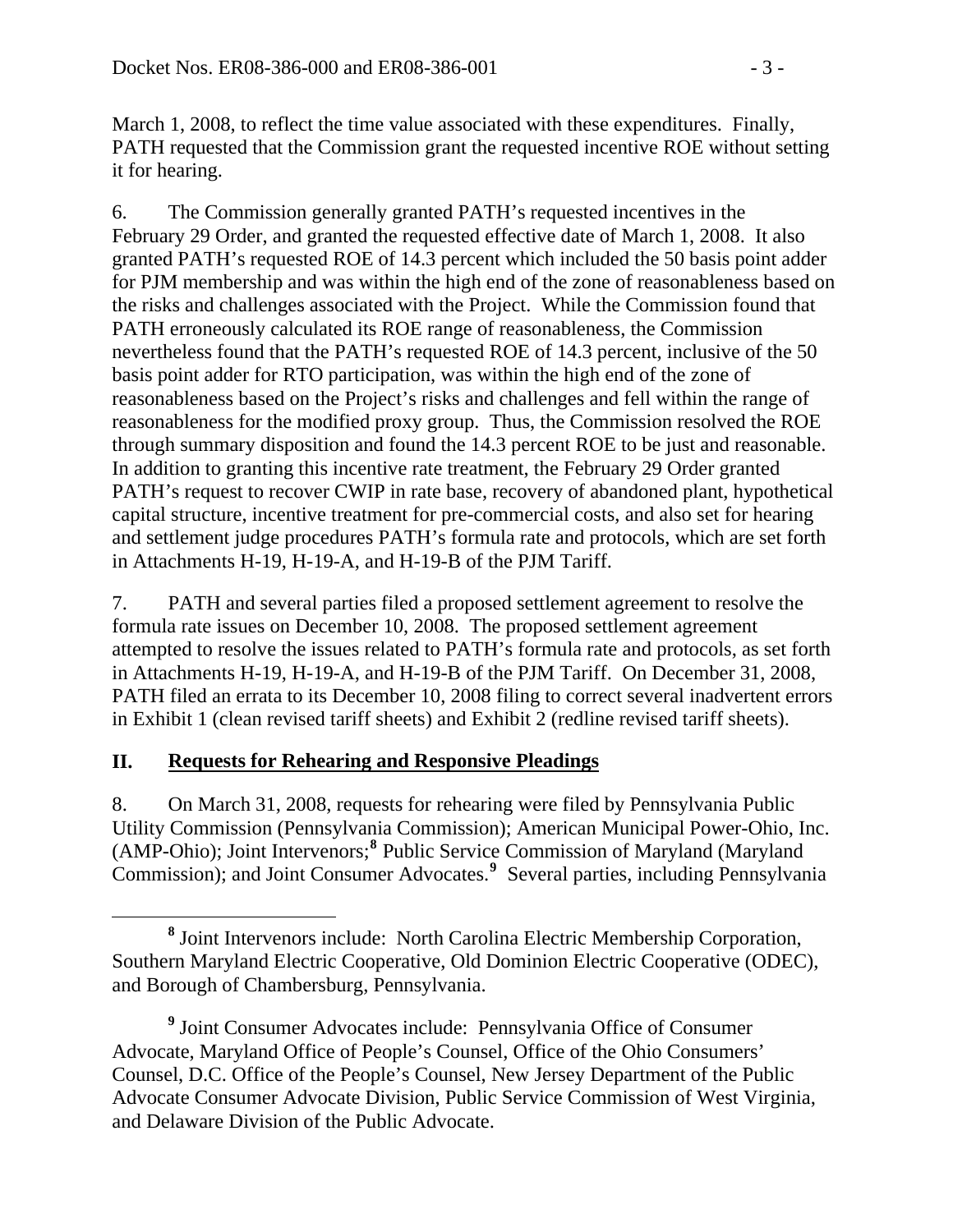March 1, 2008, to reflect the time value associated with these expenditures. Finally, PATH requested that the Commission grant the requested incentive ROE without setting it for hearing.

6. The Commission generally granted PATH's requested incentives in the February 29 Order, and granted the requested effective date of March 1, 2008. It also granted PATH's requested ROE of 14.3 percent which included the 50 basis point adder for PJM membership and was within the high end of the zone of reasonableness based on the risks and challenges associated with the Project. While the Commission found that PATH erroneously calculated its ROE range of reasonableness, the Commission nevertheless found that the PATH's requested ROE of 14.3 percent, inclusive of the 50 basis point adder for RTO participation, was within the high end of the zone of reasonableness based on the Project's risks and challenges and fell within the range of reasonableness for the modified proxy group. Thus, the Commission resolved the ROE through summary disposition and found the 14.3 percent ROE to be just and reasonable. In addition to granting this incentive rate treatment, the February 29 Order granted PATH's request to recover CWIP in rate base, recovery of abandoned plant, hypothetical capital structure, incentive treatment for pre-commercial costs, and also set for hearing and settlement judge procedures PATH's formula rate and protocols, which are set forth in Attachments H-19, H-19-A, and H-19-B of the PJM Tariff.

7. PATH and several parties filed a proposed settlement agreement to resolve the formula rate issues on December 10, 2008. The proposed settlement agreement attempted to resolve the issues related to PATH's formula rate and protocols, as set forth in Attachments H-19, H-19-A, and H-19-B of the PJM Tariff. On December 31, 2008, PATH filed an errata to its December 10, 2008 filing to correct several inadvertent errors in Exhibit 1 (clean revised tariff sheets) and Exhibit 2 (redline revised tariff sheets).

# **II. Requests for Rehearing and Responsive Pleadings**

8. On March 31, 2008, requests for rehearing were filed by Pennsylvania Public Utility Commission (Pennsylvania Commission); American Municipal Power-Ohio, Inc. (AMP-Ohio); Joint Intervenors;**[8](#page-2-0)** Public Service Commission of Maryland (Maryland Commission); and Joint Consumer Advocates.**[9](#page-2-1)** Several parties, including Pennsylvania

<span id="page-2-0"></span>**<sup>8</sup>** <sup>8</sup> Joint Intervenors include: North Carolina Electric Membership Corporation, Southern Maryland Electric Cooperative, Old Dominion Electric Cooperative (ODEC), and Borough of Chambersburg, Pennsylvania.

<span id="page-2-1"></span><sup>&</sup>lt;sup>9</sup> Joint Consumer Advocates include: Pennsylvania Office of Consumer Advocate, Maryland Office of People's Counsel, Office of the Ohio Consumers' Counsel, D.C. Office of the People's Counsel, New Jersey Department of the Public Advocate Consumer Advocate Division, Public Service Commission of West Virginia, and Delaware Division of the Public Advocate.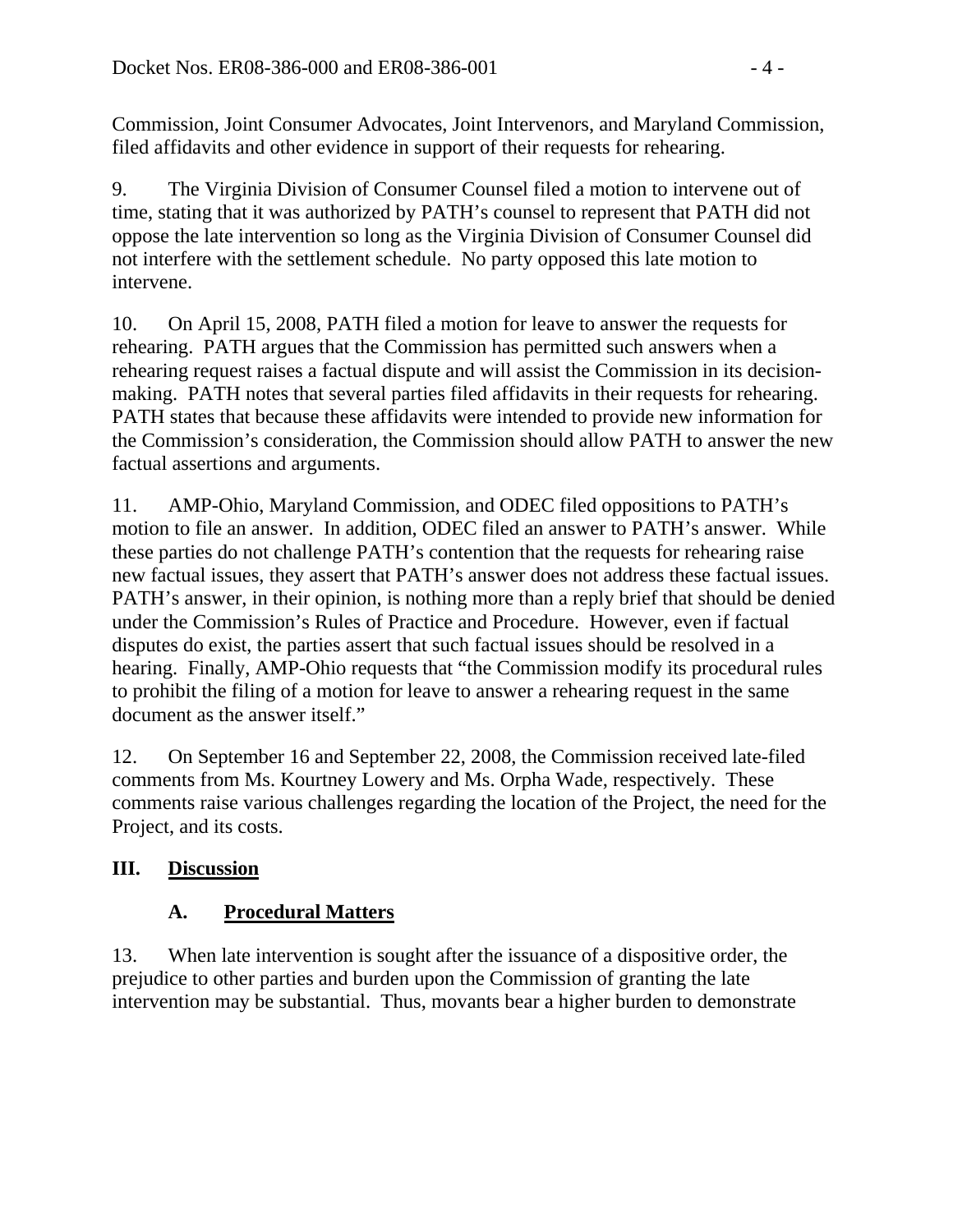Commission, Joint Consumer Advocates, Joint Intervenors, and Maryland Commission, filed affidavits and other evidence in support of their requests for rehearing.

9. The Virginia Division of Consumer Counsel filed a motion to intervene out of time, stating that it was authorized by PATH's counsel to represent that PATH did not oppose the late intervention so long as the Virginia Division of Consumer Counsel did not interfere with the settlement schedule. No party opposed this late motion to intervene.

10. On April 15, 2008, PATH filed a motion for leave to answer the requests for rehearing. PATH argues that the Commission has permitted such answers when a rehearing request raises a factual dispute and will assist the Commission in its decisionmaking. PATH notes that several parties filed affidavits in their requests for rehearing. PATH states that because these affidavits were intended to provide new information for the Commission's consideration, the Commission should allow PATH to answer the new factual assertions and arguments.

11. AMP-Ohio, Maryland Commission, and ODEC filed oppositions to PATH's motion to file an answer. In addition, ODEC filed an answer to PATH's answer. While these parties do not challenge PATH's contention that the requests for rehearing raise new factual issues, they assert that PATH's answer does not address these factual issues. PATH's answer, in their opinion, is nothing more than a reply brief that should be denied under the Commission's Rules of Practice and Procedure. However, even if factual disputes do exist, the parties assert that such factual issues should be resolved in a hearing. Finally, AMP-Ohio requests that "the Commission modify its procedural rules to prohibit the filing of a motion for leave to answer a rehearing request in the same document as the answer itself."

12. On September 16 and September 22, 2008, the Commission received late-filed comments from Ms. Kourtney Lowery and Ms. Orpha Wade, respectively. These comments raise various challenges regarding the location of the Project, the need for the Project, and its costs.

# **III. Discussion**

# **A. Procedural Matters**

13. When late intervention is sought after the issuance of a dispositive order, the prejudice to other parties and burden upon the Commission of granting the late intervention may be substantial. Thus, movants bear a higher burden to demonstrate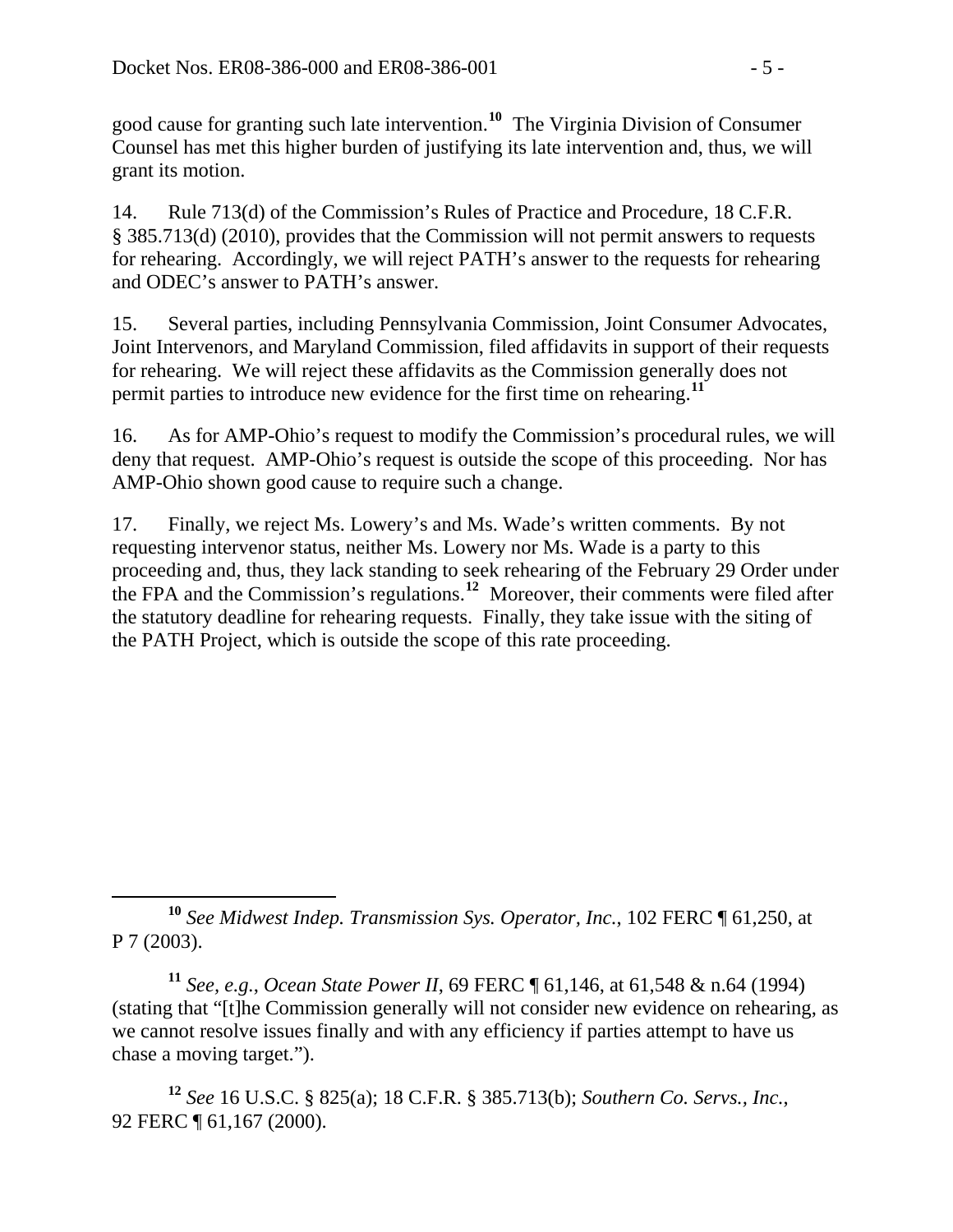good cause for granting such late intervention.**[10](#page-4-0)** The Virginia Division of Consumer Counsel has met this higher burden of justifying its late intervention and, thus, we will grant its motion.

14. Rule 713(d) of the Commission's Rules of Practice and Procedure, 18 C.F.R. § 385.713(d) (2010), provides that the Commission will not permit answers to requests for rehearing. Accordingly, we will reject PATH's answer to the requests for rehearing and ODEC's answer to PATH's answer.

15. Several parties, including Pennsylvania Commission, Joint Consumer Advocates, Joint Intervenors, and Maryland Commission, filed affidavits in support of their requests for rehearing. We will reject these affidavits as the Commission generally does not permit parties to introduce new evidence for the first time on rehearing.**[11](#page-4-1)**

16. As for AMP-Ohio's request to modify the Commission's procedural rules, we will deny that request. AMP-Ohio's request is outside the scope of this proceeding. Nor has AMP-Ohio shown good cause to require such a change.

17. Finally, we reject Ms. Lowery's and Ms. Wade's written comments. By not requesting intervenor status, neither Ms. Lowery nor Ms. Wade is a party to this proceeding and, thus, they lack standing to seek rehearing of the February 29 Order under the FPA and the Commission's regulations.**[12](#page-4-2)** Moreover, their comments were filed after the statutory deadline for rehearing requests. Finally, they take issue with the siting of the PATH Project, which is outside the scope of this rate proceeding.

<span id="page-4-1"></span>**<sup>11</sup>** *See, e.g.*, *Ocean State Power II*, 69 FERC ¶ 61,146, at 61,548 & n.64 (1994) (stating that "[t]he Commission generally will not consider new evidence on rehearing, as we cannot resolve issues finally and with any efficiency if parties attempt to have us chase a moving target.").

<span id="page-4-2"></span>**<sup>12</sup>** *See* 16 U.S.C. § 825(a); 18 C.F.R. § 385.713(b); *Southern Co. Servs., Inc.*, 92 FERC ¶ 61,167 (2000).

<span id="page-4-0"></span>**<sup>10</sup>** *See Midwest Indep. Transmission Sys. Operator, Inc.*, 102 FERC ¶ 61,250, at P 7 (2003).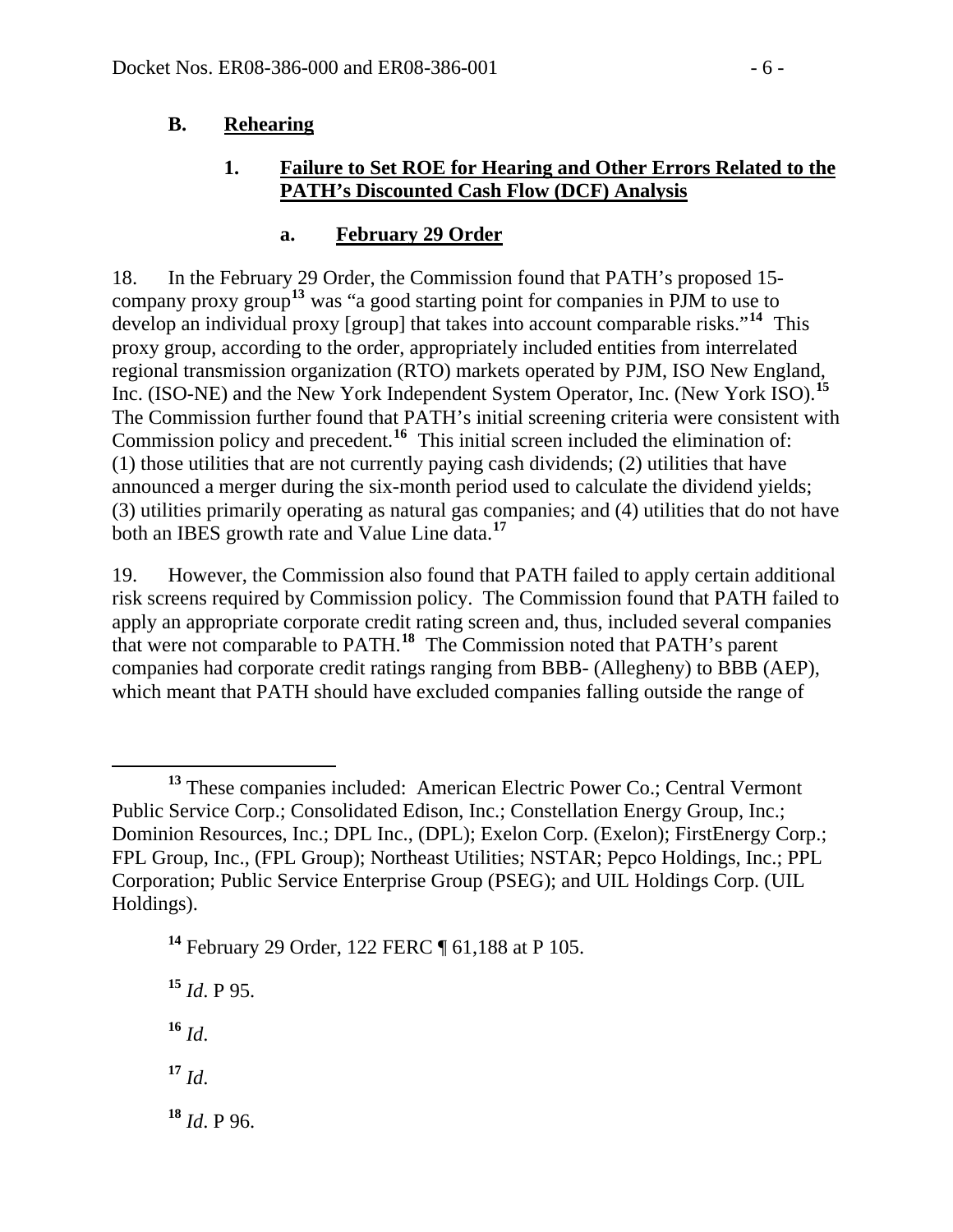#### **B. Rehearing**

#### **1. Failure to Set ROE for Hearing and Other Errors Related to the PATH's Discounted Cash Flow (DCF) Analysis**

#### **a. February 29 Order**

18. In the February 29 Order, the Commission found that PATH's proposed 15 company proxy group**[13](#page-5-0)** was "a good starting point for companies in PJM to use to develop an individual proxy [group] that takes into account comparable risks."**[14](#page-5-1)** This proxy group, according to the order, appropriately included entities from interrelated regional transmission organization (RTO) markets operated by PJM, ISO New England, Inc. (ISO-NE) and the New York Independent System Operator, Inc. (New York ISO).**[15](#page-5-2)** The Commission further found that PATH's initial screening criteria were consistent with Commission policy and precedent.**[16](#page-5-3)** This initial screen included the elimination of: (1) those utilities that are not currently paying cash dividends; (2) utilities that have announced a merger during the six-month period used to calculate the dividend yields; (3) utilities primarily operating as natural gas companies; and (4) utilities that do not have both an IBES growth rate and Value Line data.**[17](#page-5-4)**

19. However, the Commission also found that PATH failed to apply certain additional risk screens required by Commission policy. The Commission found that PATH failed to apply an appropriate corporate credit rating screen and, thus, included several companies that were not comparable to PATH.**[18](#page-5-5)** The Commission noted that PATH's parent companies had corporate credit ratings ranging from BBB- (Allegheny) to BBB (AEP), which meant that PATH should have excluded companies falling outside the range of

<span id="page-5-1"></span>**<sup>14</sup>** February 29 Order, 122 FERC ¶ 61,188 at P 105.

<span id="page-5-2"></span>**<sup>15</sup>** *Id*. P 95.

<span id="page-5-3"></span> $16$  *Id.* 

<span id="page-5-4"></span> $17 \, \text{Id}$ 

<span id="page-5-5"></span>**<sup>18</sup>** *Id*. P 96.

<span id="page-5-0"></span>**<sup>13</sup>** These companies included: American Electric Power Co.; Central Vermont Public Service Corp.; Consolidated Edison, Inc.; Constellation Energy Group, Inc.; Dominion Resources, Inc.; DPL Inc., (DPL); Exelon Corp. (Exelon); FirstEnergy Corp.; FPL Group, Inc., (FPL Group); Northeast Utilities; NSTAR; Pepco Holdings, Inc.; PPL Corporation; Public Service Enterprise Group (PSEG); and UIL Holdings Corp. (UIL Holdings).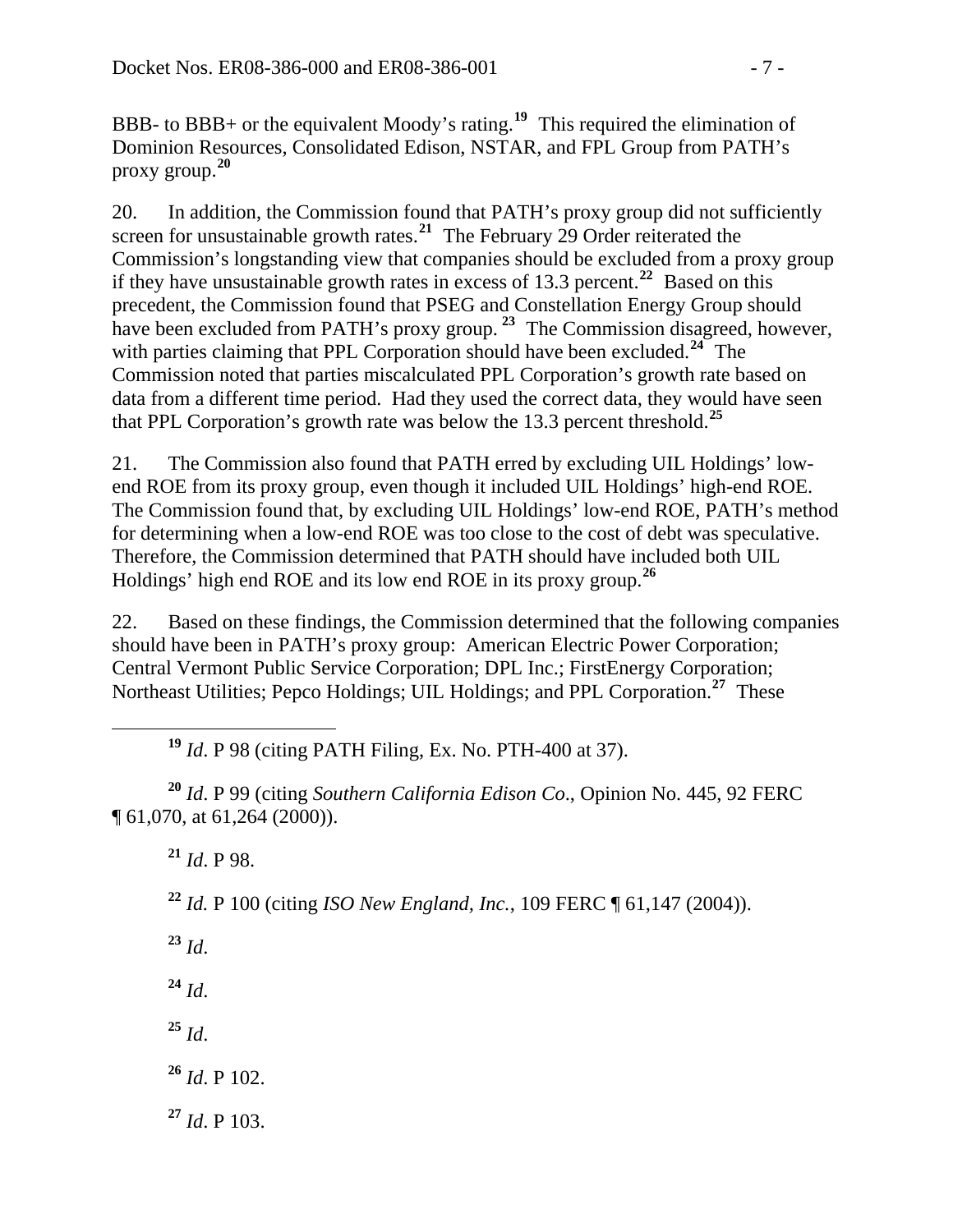BBB- to BBB+ or the equivalent Moody's rating.**[19](#page-6-0)** This required the elimination of Dominion Resources, Consolidated Edison, NSTAR, and FPL Group from PATH's proxy group.**[20](#page-6-1)**

20. In addition, the Commission found that PATH's proxy group did not sufficiently screen for unsustainable growth rates.<sup>[21](#page-6-2)</sup> The February 29 Order reiterated the Commission's longstanding view that companies should be excluded from a proxy group if they have unsustainable growth rates in excess of 13.3 percent.**[22](#page-6-3)** Based on this precedent, the Commission found that PSEG and Constellation Energy Group should have been excluded from PATH's proxy group.<sup>[23](#page-6-4)</sup> The Commission disagreed, however, with parties claiming that PPL Corporation should have been excluded.<sup>[24](#page-6-5)</sup> The Commission noted that parties miscalculated PPL Corporation's growth rate based on data from a different time period. Had they used the correct data, they would have seen that PPL Corporation's growth rate was below the 13.3 percent threshold.**[25](#page-6-6)**

21. The Commission also found that PATH erred by excluding UIL Holdings' lowend ROE from its proxy group, even though it included UIL Holdings' high-end ROE. The Commission found that, by excluding UIL Holdings' low-end ROE, PATH's method for determining when a low-end ROE was too close to the cost of debt was speculative. Therefore, the Commission determined that PATH should have included both UIL Holdings' high end ROE and its low end ROE in its proxy group.**[26](#page-6-7)**

22. Based on these findings, the Commission determined that the following companies should have been in PATH's proxy group: American Electric Power Corporation; Central Vermont Public Service Corporation; DPL Inc.; FirstEnergy Corporation; Northeast Utilities; Pepco Holdings; UIL Holdings; and PPL Corporation.**[27](#page-6-8)** These

**<sup>19</sup>** *Id*. P 98 (citing PATH Filing, Ex. No. PTH-400 at 37).

<span id="page-6-3"></span><span id="page-6-2"></span><span id="page-6-1"></span><span id="page-6-0"></span>**<sup>20</sup>** *Id*. P 99 (citing *Southern California Edison Co*., Opinion No. 445, 92 FERC ¶ 61,070, at 61,264 (2000)).

**<sup>21</sup>** *Id*. P 98.

**<sup>22</sup>** *Id.* P 100 (citing *ISO New England, Inc.*, 109 FERC ¶ 61,147 (2004)).

<span id="page-6-4"></span>**<sup>23</sup>** *Id*.

<span id="page-6-5"></span>**<sup>24</sup>** *Id*.

<span id="page-6-6"></span> $^{25}$  *Id.* 

- <span id="page-6-7"></span>**<sup>26</sup>** *Id*. P 102.
- <span id="page-6-8"></span>**<sup>27</sup>** *Id*. P 103.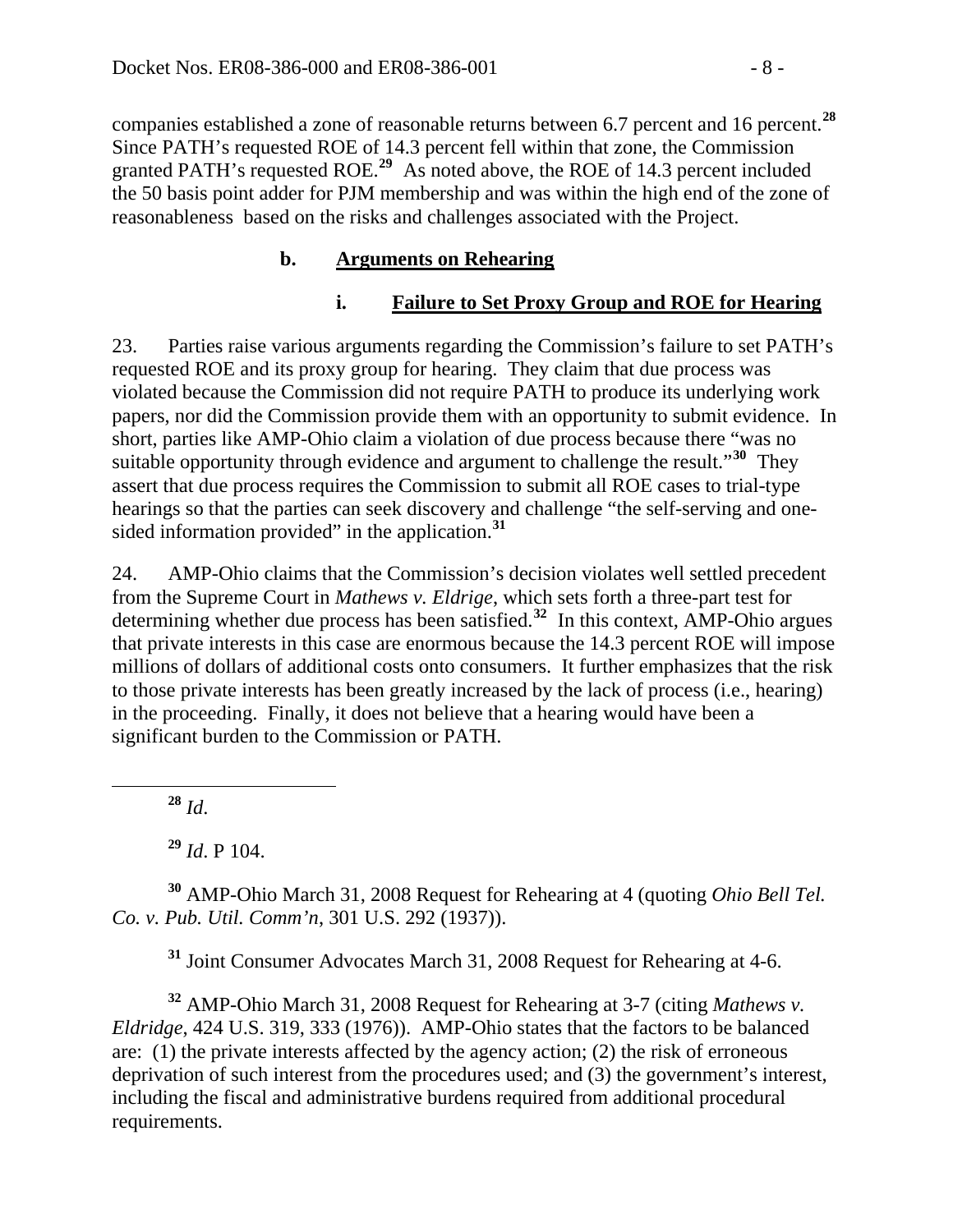companies established a zone of reasonable returns between 6.7 percent and 16 percent.**<sup>28</sup>** Since PATH's requested ROE of 14.3 percent fell within that zone, the Commission granted PATH's requested ROE.**<sup>29</sup>** As noted above, the ROE of 14.3 percent included the 50 basis point adder for PJM membership and was within the high end of the zone of reasonableness based on the risks and challenges associated with the Project.

### **b. Arguments on Rehearing**

### **i. Failure to Set Proxy Group and ROE for Hearing**

23. Parties raise various arguments regarding the Commission's failure to set PATH's requested ROE and its proxy group for hearing. They claim that due process was violated because the Commission did not require PATH to produce its underlying work papers, nor did the Commission provide them with an opportunity to submit evidence. In short, parties like AMP-Ohio claim a violation of due process because there "was no suitable opportunity through evidence and argument to challenge the result."**[30](#page-7-0)** They assert that due process requires the Commission to submit all ROE cases to trial-type hearings so that the parties can seek discovery and challenge "the self-serving and onesided information provided" in the application.**[31](#page-7-1)**

24. AMP-Ohio claims that the Commission's decision violates well settled precedent from the Supreme Court in *Mathews v. Eldrige*, which sets forth a three-part test for determining whether due process has been satisfied.**[32](#page-7-2)** In this context, AMP-Ohio argues that private interests in this case are enormous because the 14.3 percent ROE will impose millions of dollars of additional costs onto consumers. It further emphasizes that the risk to those private interests has been greatly increased by the lack of process (i.e., hearing) in the proceeding. Finally, it does not believe that a hearing would have been a significant burden to the Commission or PATH.

**<sup>28</sup>** *Id*.

**<sup>29</sup>** *Id*. P 104.

<span id="page-7-0"></span>**<sup>30</sup>** AMP-Ohio March 31, 2008 Request for Rehearing at 4 (quoting *Ohio Bell Tel. Co. v. Pub. Util. Comm'n*, 301 U.S. 292 (1937)).

**<sup>31</sup>** Joint Consumer Advocates March 31, 2008 Request for Rehearing at 4-6.

<span id="page-7-2"></span><span id="page-7-1"></span>**<sup>32</sup>** AMP-Ohio March 31, 2008 Request for Rehearing at 3-7 (citing *Mathews v. Eldridge*, 424 U.S. 319, 333 (1976)). AMP-Ohio states that the factors to be balanced are: (1) the private interests affected by the agency action; (2) the risk of erroneous deprivation of such interest from the procedures used; and (3) the government's interest, including the fiscal and administrative burdens required from additional procedural requirements.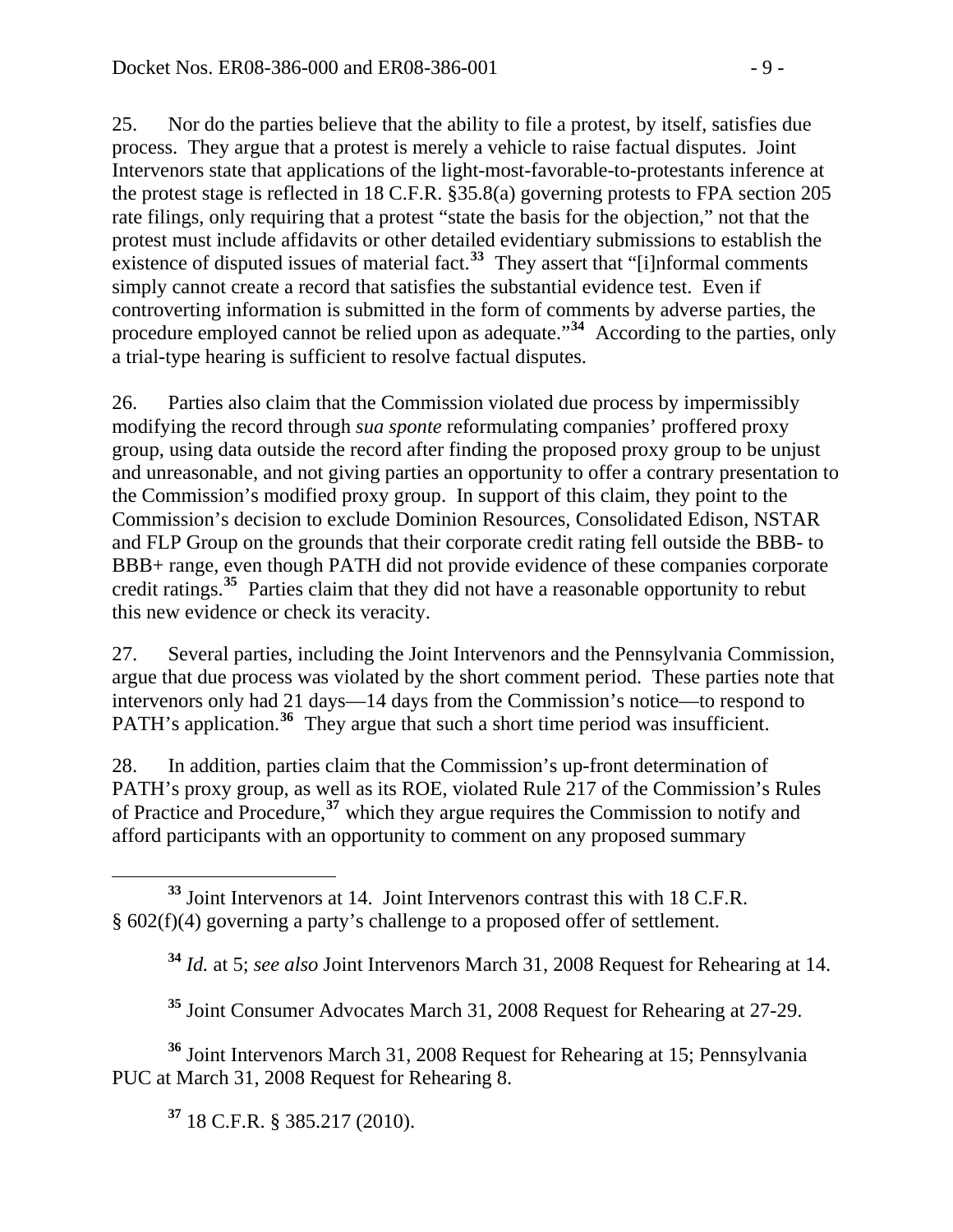25. Nor do the parties believe that the ability to file a protest, by itself, satisfies due process. They argue that a protest is merely a vehicle to raise factual disputes. Joint Intervenors state that applications of the light-most-favorable-to-protestants inference at the protest stage is reflected in 18 C.F.R. §35.8(a) governing protests to FPA section 205 rate filings, only requiring that a protest "state the basis for the objection," not that the protest must include affidavits or other detailed evidentiary submissions to establish the existence of disputed issues of material fact.<sup>[33](#page-8-0)</sup> They assert that "[i]nformal comments simply cannot create a record that satisfies the substantial evidence test. Even if controverting information is submitted in the form of comments by adverse parties, the procedure employed cannot be relied upon as adequate."**[34](#page-8-1)** According to the parties, only a trial-type hearing is sufficient to resolve factual disputes.

26. Parties also claim that the Commission violated due process by impermissibly modifying the record through *sua sponte* reformulating companies' proffered proxy group, using data outside the record after finding the proposed proxy group to be unjust and unreasonable, and not giving parties an opportunity to offer a contrary presentation to the Commission's modified proxy group. In support of this claim, they point to the Commission's decision to exclude Dominion Resources, Consolidated Edison, NSTAR and FLP Group on the grounds that their corporate credit rating fell outside the BBB- to BBB+ range, even though PATH did not provide evidence of these companies corporate credit ratings.**[35](#page-8-2)** Parties claim that they did not have a reasonable opportunity to rebut this new evidence or check its veracity.

27. Several parties, including the Joint Intervenors and the Pennsylvania Commission, argue that due process was violated by the short comment period. These parties note that intervenors only had 21 days—14 days from the Commission's notice—to respond to PATH's application.<sup>[36](#page-8-3)</sup> They argue that such a short time period was insufficient.

28. In addition, parties claim that the Commission's up-front determination of PATH's proxy group, as well as its ROE, violated Rule 217 of the Commission's Rules of Practice and Procedure,**[37](#page-8-4)** which they argue requires the Commission to notify and afford participants with an opportunity to comment on any proposed summary

**<sup>35</sup>** Joint Consumer Advocates March 31, 2008 Request for Rehearing at 27-29.

<span id="page-8-4"></span><span id="page-8-3"></span><span id="page-8-2"></span>**<sup>36</sup>** Joint Intervenors March 31, 2008 Request for Rehearing at 15; Pennsylvania PUC at March 31, 2008 Request for Rehearing 8.

**<sup>37</sup>** 18 C.F.R. § 385.217 (2010).

<span id="page-8-1"></span><span id="page-8-0"></span> $\overline{a}$ **<sup>33</sup>** Joint Intervenors at 14. Joint Intervenors contrast this with 18 C.F.R. § 602(f)(4) governing a party's challenge to a proposed offer of settlement.

**<sup>34</sup>** *Id.* at 5; *see also* Joint Intervenors March 31, 2008 Request for Rehearing at 14.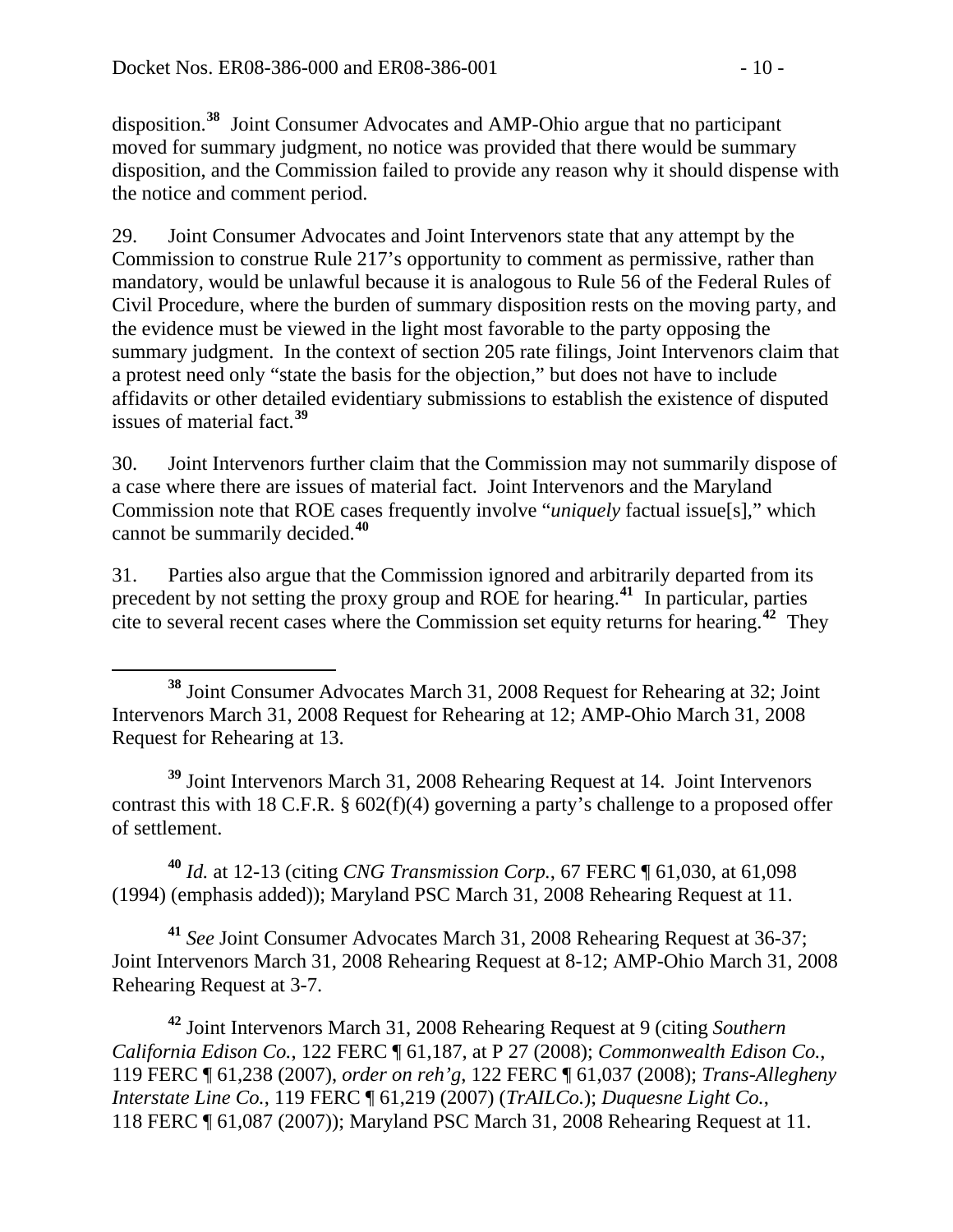disposition.**<sup>38</sup>** Joint Consumer Advocates and AMP-Ohio argue that no participant moved for summary judgment, no notice was provided that there would be summary disposition, and the Commission failed to provide any reason why it should dispense with the notice and comment period.

29. Joint Consumer Advocates and Joint Intervenors state that any attempt by the Commission to construe Rule 217's opportunity to comment as permissive, rather than mandatory, would be unlawful because it is analogous to Rule 56 of the Federal Rules of Civil Procedure, where the burden of summary disposition rests on the moving party, and the evidence must be viewed in the light most favorable to the party opposing the summary judgment. In the context of section 205 rate filings, Joint Intervenors claim that a protest need only "state the basis for the objection," but does not have to include affidavits or other detailed evidentiary submissions to establish the existence of disputed issues of material fact.**[39](#page-9-0)**

30. Joint Intervenors further claim that the Commission may not summarily dispose of a case where there are issues of material fact. Joint Intervenors and the Maryland Commission note that ROE cases frequently involve "*uniquely* factual issue[s]," which cannot be summarily decided.**[40](#page-9-1)**

31. Parties also argue that the Commission ignored and arbitrarily departed from its precedent by not setting the proxy group and ROE for hearing.**[41](#page-9-2)** In particular, parties cite to several recent cases where the Commission set equity returns for hearing.**[42](#page-9-3)** They

<span id="page-9-0"></span>**<sup>39</sup>** Joint Intervenors March 31, 2008 Rehearing Request at 14. Joint Intervenors contrast this with 18 C.F.R. § 602(f)(4) governing a party's challenge to a proposed offer of settlement.

<span id="page-9-1"></span>**<sup>40</sup>** *Id.* at 12-13 (citing *CNG Transmission Corp.*, 67 FERC ¶ 61,030, at 61,098 (1994) (emphasis added)); Maryland PSC March 31, 2008 Rehearing Request at 11.

<span id="page-9-2"></span>**<sup>41</sup>** *See* Joint Consumer Advocates March 31, 2008 Rehearing Request at 36-37; Joint Intervenors March 31, 2008 Rehearing Request at 8-12; AMP-Ohio March 31, 2008 Rehearing Request at 3-7.

<span id="page-9-3"></span>**<sup>42</sup>** Joint Intervenors March 31, 2008 Rehearing Request at 9 (citing *Southern California Edison Co.*, 122 FERC ¶ 61,187, at P 27 (2008); *Commonwealth Edison Co.*, 119 FERC ¶ 61,238 (2007), *order on reh'g*, 122 FERC ¶ 61,037 (2008); *Trans-Allegheny Interstate Line Co.*, 119 FERC ¶ 61,219 (2007) (*TrAILCo.*); *Duquesne Light Co.*, 118 FERC ¶ 61,087 (2007)); Maryland PSC March 31, 2008 Rehearing Request at 11.

 $\overline{a}$ **<sup>38</sup>** Joint Consumer Advocates March 31, 2008 Request for Rehearing at 32; Joint Intervenors March 31, 2008 Request for Rehearing at 12; AMP-Ohio March 31, 2008 Request for Rehearing at 13.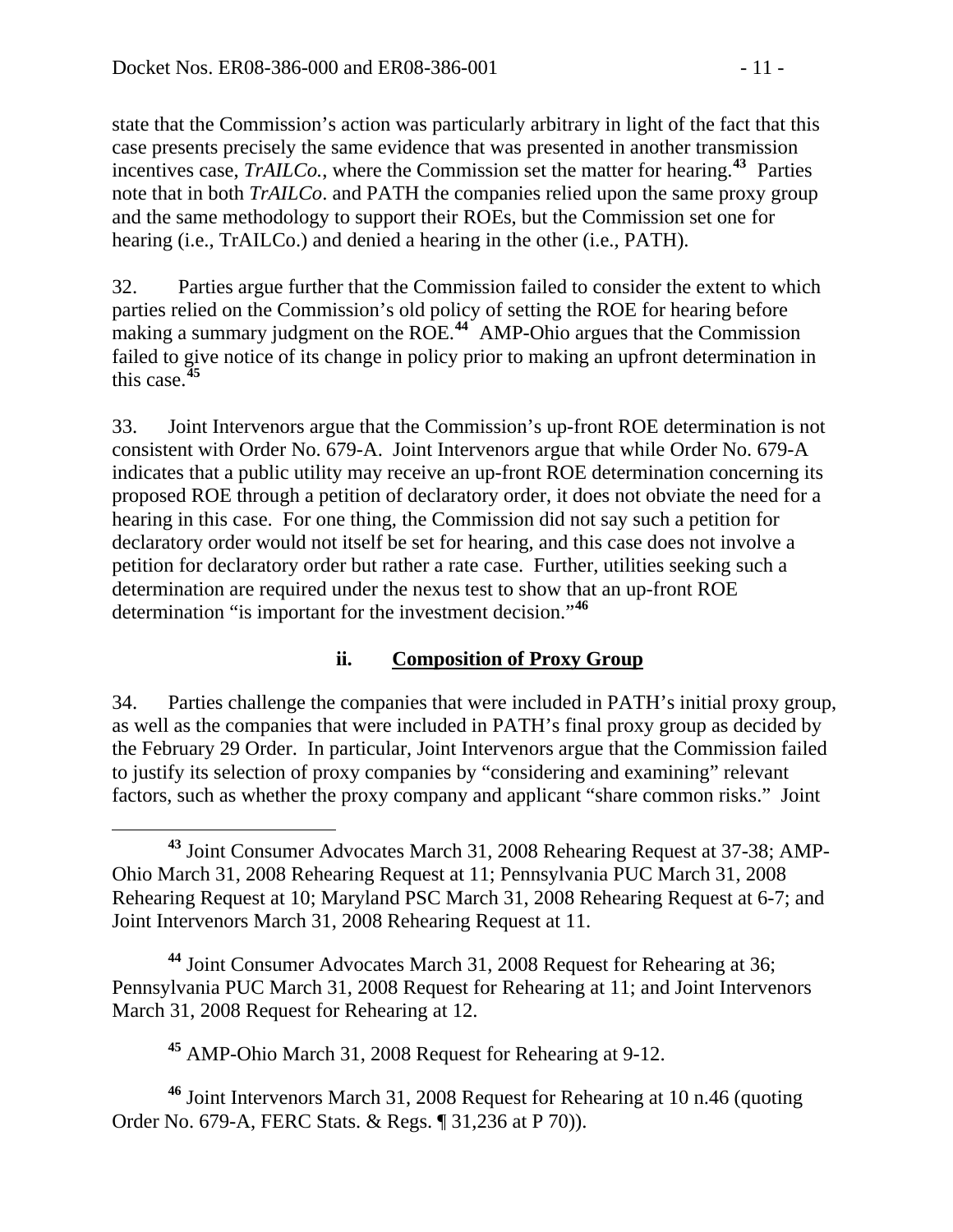state that the Commission's action was particularly arbitrary in light of the fact that this case presents precisely the same evidence that was presented in another transmission incentives case, *TrAILCo.*, where the Commission set the matter for hearing.**<sup>43</sup>** Parties note that in both *TrAILCo*. and PATH the companies relied upon the same proxy group and the same methodology to support their ROEs, but the Commission set one for hearing (i.e., TrAILCo.) and denied a hearing in the other (i.e., PATH).

32. Parties argue further that the Commission failed to consider the extent to which parties relied on the Commission's old policy of setting the ROE for hearing before making a summary judgment on the ROE.**[44](#page-10-0)** AMP-Ohio argues that the Commission failed to give notice of its change in policy prior to making an upfront determination in this case.**[45](#page-10-1)**

33. Joint Intervenors argue that the Commission's up-front ROE determination is not consistent with Order No. 679-A. Joint Intervenors argue that while Order No. 679-A indicates that a public utility may receive an up-front ROE determination concerning its proposed ROE through a petition of declaratory order, it does not obviate the need for a hearing in this case. For one thing, the Commission did not say such a petition for declaratory order would not itself be set for hearing, and this case does not involve a petition for declaratory order but rather a rate case. Further, utilities seeking such a determination are required under the nexus test to show that an up-front ROE determination "is important for the investment decision."**[46](#page-10-2)**

### **ii. Composition of Proxy Group**

34. Parties challenge the companies that were included in PATH's initial proxy group, as well as the companies that were included in PATH's final proxy group as decided by the February 29 Order. In particular, Joint Intervenors argue that the Commission failed to justify its selection of proxy companies by "considering and examining" relevant factors, such as whether the proxy company and applicant "share common risks." Joint

<span id="page-10-0"></span>**<sup>44</sup>** Joint Consumer Advocates March 31, 2008 Request for Rehearing at 36; Pennsylvania PUC March 31, 2008 Request for Rehearing at 11; and Joint Intervenors March 31, 2008 Request for Rehearing at 12.

**<sup>45</sup>** AMP-Ohio March 31, 2008 Request for Rehearing at 9-12.

<span id="page-10-2"></span><span id="page-10-1"></span>**<sup>46</sup>** Joint Intervenors March 31, 2008 Request for Rehearing at 10 n.46 (quoting Order No. 679-A, FERC Stats. & Regs. ¶ 31,236 at P 70)).

**<sup>43</sup>** Joint Consumer Advocates March 31, 2008 Rehearing Request at 37-38; AMP-Ohio March 31, 2008 Rehearing Request at 11; Pennsylvania PUC March 31, 2008 Rehearing Request at 10; Maryland PSC March 31, 2008 Rehearing Request at 6-7; and Joint Intervenors March 31, 2008 Rehearing Request at 11.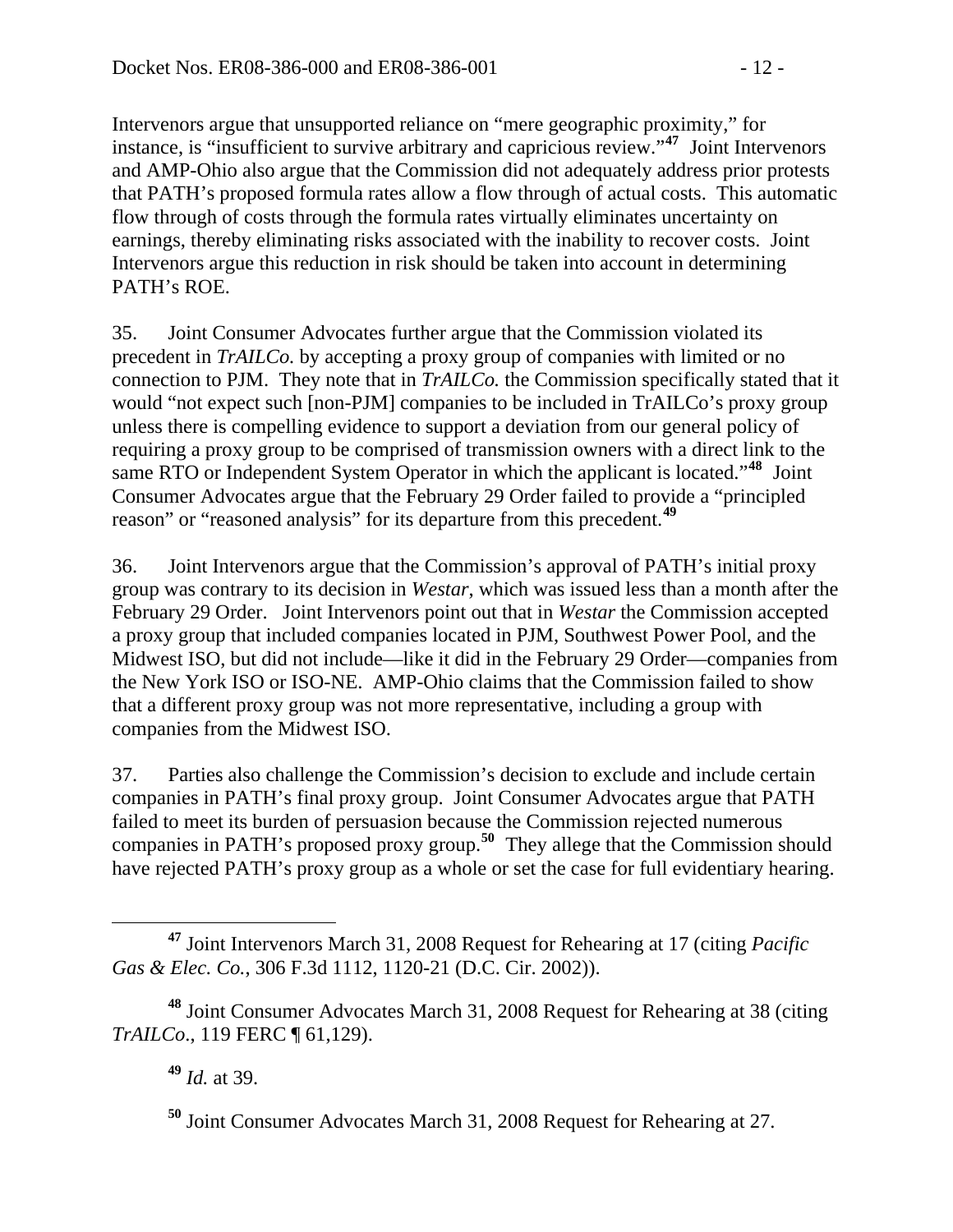Intervenors argue that unsupported reliance on "mere geographic proximity," for instance, is "insufficient to survive arbitrary and capricious review."**<sup>47</sup>** Joint Intervenors and AMP-Ohio also argue that the Commission did not adequately address prior protests that PATH's proposed formula rates allow a flow through of actual costs. This automatic flow through of costs through the formula rates virtually eliminates uncertainty on earnings, thereby eliminating risks associated with the inability to recover costs. Joint Intervenors argue this reduction in risk should be taken into account in determining PATH's ROE.

35. Joint Consumer Advocates further argue that the Commission violated its precedent in *TrAILCo.* by accepting a proxy group of companies with limited or no connection to PJM. They note that in *TrAILCo.* the Commission specifically stated that it would "not expect such [non-PJM] companies to be included in TrAILCo's proxy group unless there is compelling evidence to support a deviation from our general policy of requiring a proxy group to be comprised of transmission owners with a direct link to the same RTO or Independent System Operator in which the applicant is located."**[48](#page-11-0)** Joint Consumer Advocates argue that the February 29 Order failed to provide a "principled reason" or "reasoned analysis" for its departure from this precedent.**[49](#page-11-1)**

36. Joint Intervenors argue that the Commission's approval of PATH's initial proxy group was contrary to its decision in *Westar*, which was issued less than a month after the February 29 Order. Joint Intervenors point out that in *Westar* the Commission accepted a proxy group that included companies located in PJM, Southwest Power Pool, and the Midwest ISO, but did not include—like it did in the February 29 Order—companies from the New York ISO or ISO-NE. AMP-Ohio claims that the Commission failed to show that a different proxy group was not more representative, including a group with companies from the Midwest ISO.

37. Parties also challenge the Commission's decision to exclude and include certain companies in PATH's final proxy group. Joint Consumer Advocates argue that PATH failed to meet its burden of persuasion because the Commission rejected numerous companies in PATH's proposed proxy group.**[50](#page-11-2)** They allege that the Commission should have rejected PATH's proxy group as a whole or set the case for full evidentiary hearing.

**<sup>49</sup>** *Id.* at 39.

**<sup>47</sup>** Joint Intervenors March 31, 2008 Request for Rehearing at 17 (citing *Pacific Gas & Elec. Co.*, 306 F.3d 1112, 1120-21 (D.C. Cir. 2002)).

<span id="page-11-2"></span><span id="page-11-1"></span><span id="page-11-0"></span>**<sup>48</sup>** Joint Consumer Advocates March 31, 2008 Request for Rehearing at 38 (citing *TrAILCo*., 119 FERC ¶ 61,129).

**<sup>50</sup>** Joint Consumer Advocates March 31, 2008 Request for Rehearing at 27.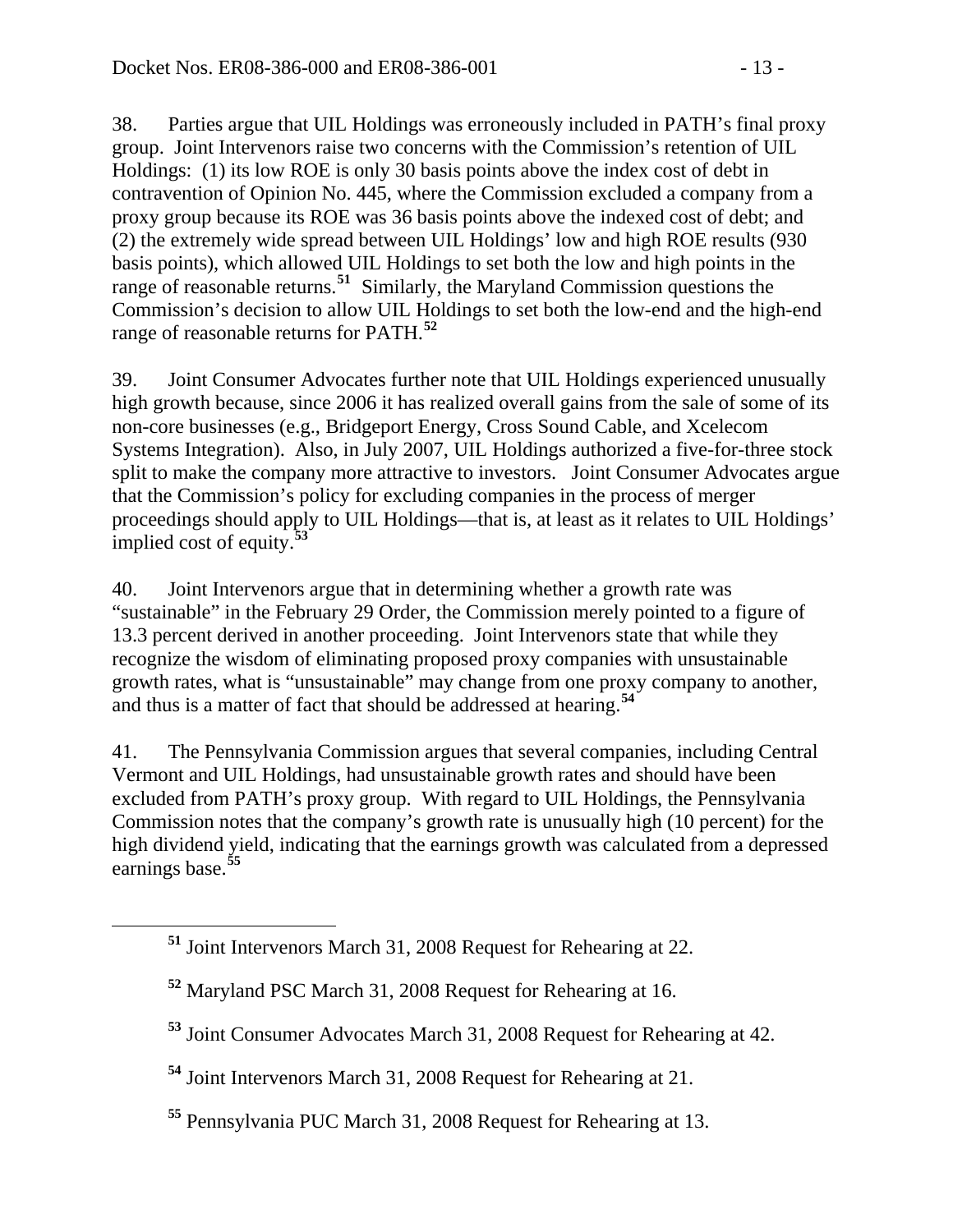38. Parties argue that UIL Holdings was erroneously included in PATH's final proxy group. Joint Intervenors raise two concerns with the Commission's retention of UIL Holdings: (1) its low ROE is only 30 basis points above the index cost of debt in contravention of Opinion No. 445, where the Commission excluded a company from a proxy group because its ROE was 36 basis points above the indexed cost of debt; and (2) the extremely wide spread between UIL Holdings' low and high ROE results (930 basis points), which allowed UIL Holdings to set both the low and high points in the range of reasonable returns.**[51](#page-12-0)** Similarly, the Maryland Commission questions the Commission's decision to allow UIL Holdings to set both the low-end and the high-end range of reasonable returns for PATH.**[52](#page-12-1)**

39. Joint Consumer Advocates further note that UIL Holdings experienced unusually high growth because, since 2006 it has realized overall gains from the sale of some of its non-core businesses (e.g., Bridgeport Energy, Cross Sound Cable, and Xcelecom Systems Integration). Also, in July 2007, UIL Holdings authorized a five-for-three stock split to make the company more attractive to investors. Joint Consumer Advocates argue that the Commission's policy for excluding companies in the process of merger proceedings should apply to UIL Holdings—that is, at least as it relates to UIL Holdings' implied cost of equity.**[53](#page-12-2)**

40. Joint Intervenors argue that in determining whether a growth rate was "sustainable" in the February 29 Order, the Commission merely pointed to a figure of 13.3 percent derived in another proceeding. Joint Intervenors state that while they recognize the wisdom of eliminating proposed proxy companies with unsustainable growth rates, what is "unsustainable" may change from one proxy company to another, and thus is a matter of fact that should be addressed at hearing.**[54](#page-12-3)**

41. The Pennsylvania Commission argues that several companies, including Central Vermont and UIL Holdings, had unsustainable growth rates and should have been excluded from PATH's proxy group. With regard to UIL Holdings, the Pennsylvania Commission notes that the company's growth rate is unusually high (10 percent) for the high dividend yield, indicating that the earnings growth was calculated from a depressed earnings base.**[55](#page-12-4)**

<span id="page-12-0"></span>**<sup>51</sup>** Joint Intervenors March 31, 2008 Request for Rehearing at 22.

<span id="page-12-1"></span>**<sup>52</sup>** Maryland PSC March 31, 2008 Request for Rehearing at 16.

<span id="page-12-2"></span>**<sup>53</sup>** Joint Consumer Advocates March 31, 2008 Request for Rehearing at 42.

<span id="page-12-3"></span>**<sup>54</sup>** Joint Intervenors March 31, 2008 Request for Rehearing at 21.

<span id="page-12-4"></span>**<sup>55</sup>** Pennsylvania PUC March 31, 2008 Request for Rehearing at 13.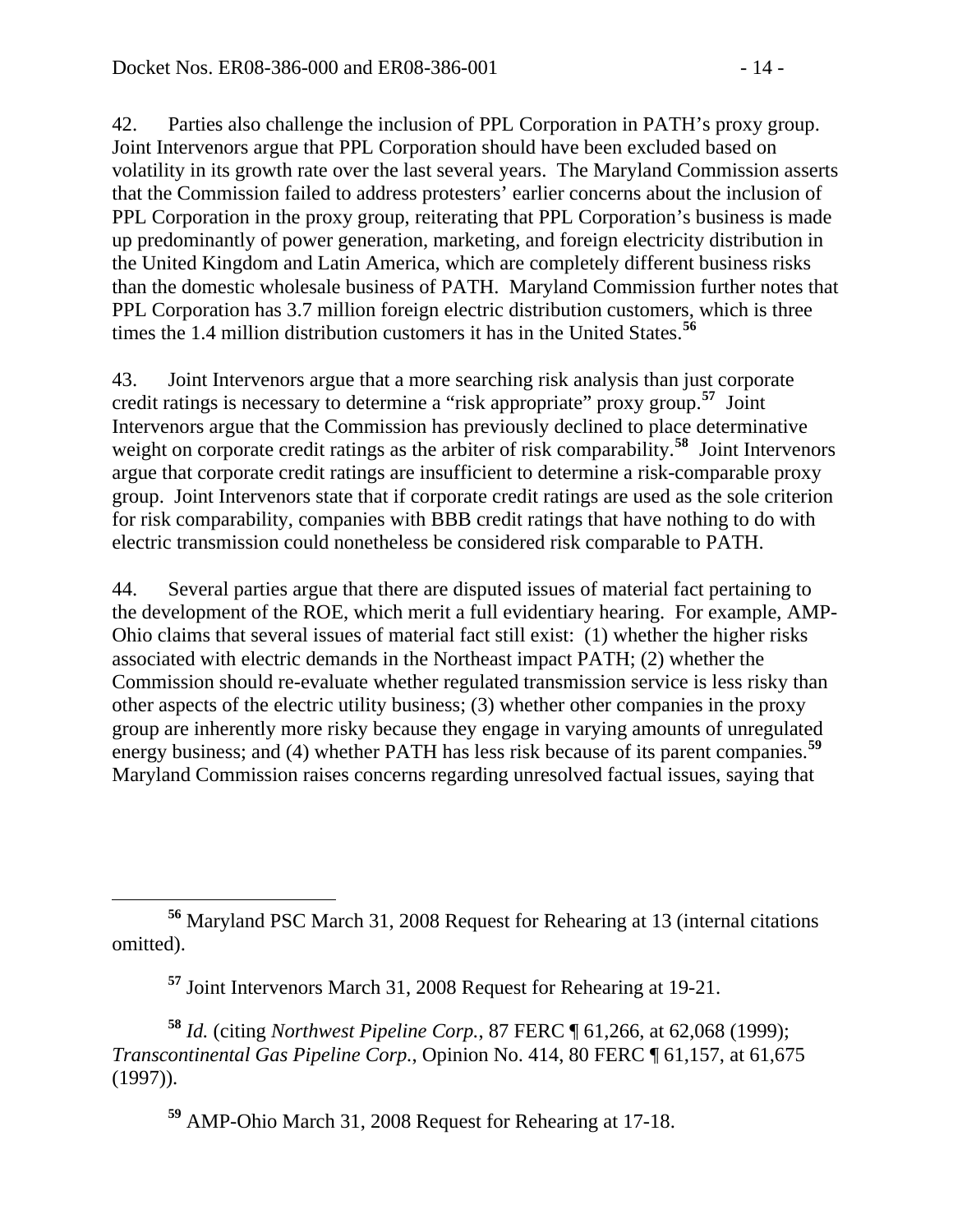42. Parties also challenge the inclusion of PPL Corporation in PATH's proxy group. Joint Intervenors argue that PPL Corporation should have been excluded based on volatility in its growth rate over the last several years. The Maryland Commission asserts that the Commission failed to address protesters' earlier concerns about the inclusion of PPL Corporation in the proxy group, reiterating that PPL Corporation's business is made up predominantly of power generation, marketing, and foreign electricity distribution in the United Kingdom and Latin America, which are completely different business risks than the domestic wholesale business of PATH. Maryland Commission further notes that PPL Corporation has 3.7 million foreign electric distribution customers, which is three times the 1.4 million distribution customers it has in the United States.**[56](#page-13-0)**

43. Joint Intervenors argue that a more searching risk analysis than just corporate credit ratings is necessary to determine a "risk appropriate" proxy group.**[57](#page-13-1)** Joint Intervenors argue that the Commission has previously declined to place determinative weight on corporate credit ratings as the arbiter of risk comparability.<sup>[58](#page-13-2)</sup> Joint Intervenors argue that corporate credit ratings are insufficient to determine a risk-comparable proxy group. Joint Intervenors state that if corporate credit ratings are used as the sole criterion for risk comparability, companies with BBB credit ratings that have nothing to do with electric transmission could nonetheless be considered risk comparable to PATH.

44. Several parties argue that there are disputed issues of material fact pertaining to the development of the ROE, which merit a full evidentiary hearing. For example, AMP-Ohio claims that several issues of material fact still exist: (1) whether the higher risks associated with electric demands in the Northeast impact PATH; (2) whether the Commission should re-evaluate whether regulated transmission service is less risky than other aspects of the electric utility business; (3) whether other companies in the proxy group are inherently more risky because they engage in varying amounts of unregulated energy business; and (4) whether PATH has less risk because of its parent companies.**[59](#page-13-3)** Maryland Commission raises concerns regarding unresolved factual issues, saying that

<span id="page-13-0"></span>**<sup>56</sup>** Maryland PSC March 31, 2008 Request for Rehearing at 13 (internal citations omitted).

**<sup>57</sup>** Joint Intervenors March 31, 2008 Request for Rehearing at 19-21.

<span id="page-13-3"></span><span id="page-13-2"></span><span id="page-13-1"></span>**<sup>58</sup>** *Id.* (citing *Northwest Pipeline Corp.*, 87 FERC ¶ 61,266, at 62,068 (1999); *Transcontinental Gas Pipeline Corp.*, Opinion No. 414, 80 FERC ¶ 61,157, at 61,675 (1997)).

**<sup>59</sup>** AMP-Ohio March 31, 2008 Request for Rehearing at 17-18.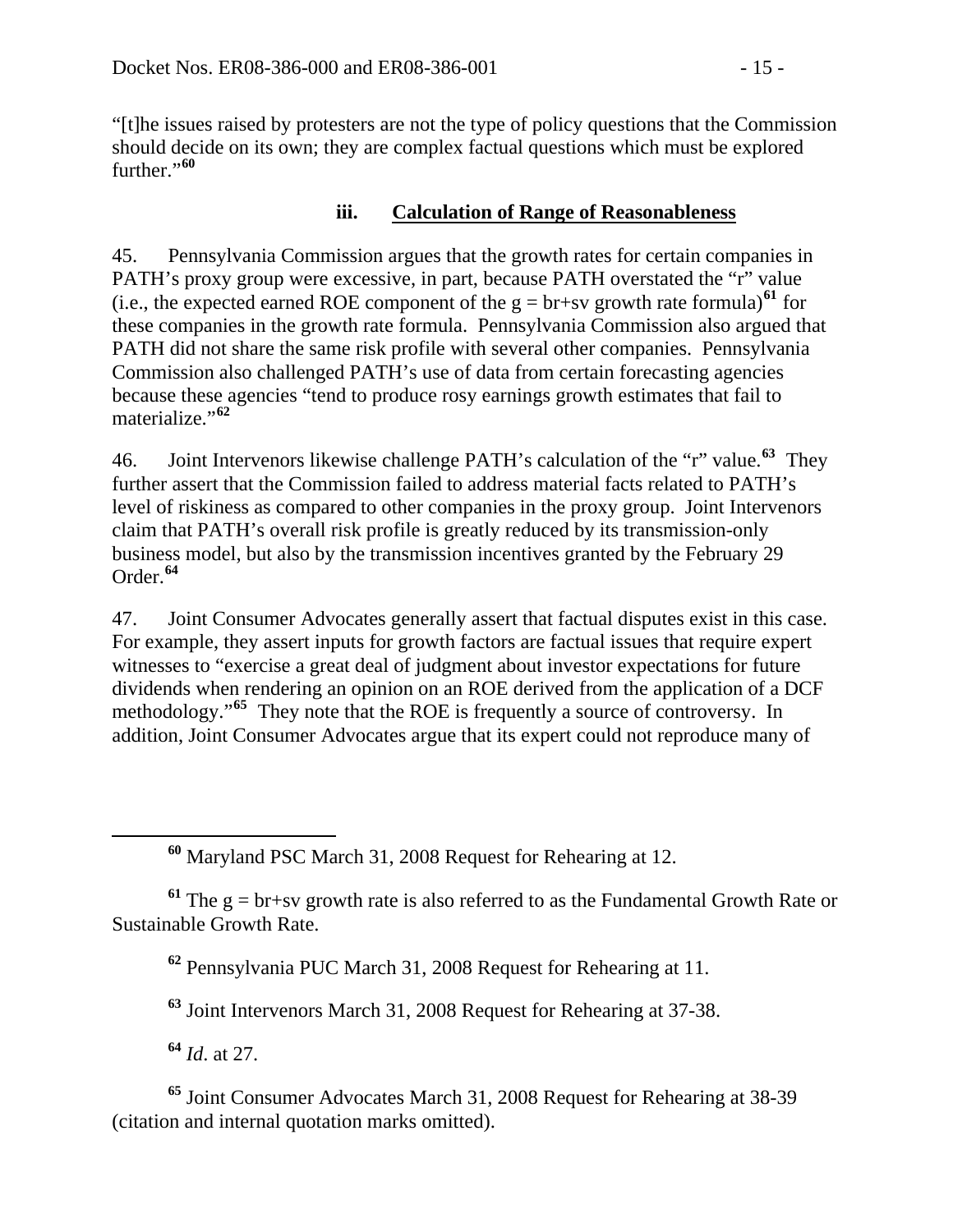"[t]he issues raised by protesters are not the type of policy questions that the Commission should decide on its own; they are complex factual questions which must be explored further."**[60](#page-14-0)**

## **iii. Calculation of Range of Reasonableness**

45. Pennsylvania Commission argues that the growth rates for certain companies in PATH's proxy group were excessive, in part, because PATH overstated the "r" value (i.e., the expected earned ROE component of the  $g = br + sv$  growth rate formula)<sup>[61](#page-14-1)</sup> for these companies in the growth rate formula. Pennsylvania Commission also argued that PATH did not share the same risk profile with several other companies. Pennsylvania Commission also challenged PATH's use of data from certain forecasting agencies because these agencies "tend to produce rosy earnings growth estimates that fail to materialize."**[62](#page-14-2)**

46. Joint Intervenors likewise challenge PATH's calculation of the "r" value.**[63](#page-14-3)** They further assert that the Commission failed to address material facts related to PATH's level of riskiness as compared to other companies in the proxy group. Joint Intervenors claim that PATH's overall risk profile is greatly reduced by its transmission-only business model, but also by the transmission incentives granted by the February 29 Order.**[64](#page-14-4)**

47. Joint Consumer Advocates generally assert that factual disputes exist in this case. For example, they assert inputs for growth factors are factual issues that require expert witnesses to "exercise a great deal of judgment about investor expectations for future dividends when rendering an opinion on an ROE derived from the application of a DCF methodology."<sup>[65](#page-14-5)</sup> They note that the ROE is frequently a source of controversy. In addition, Joint Consumer Advocates argue that its expert could not reproduce many of

**<sup>60</sup>** Maryland PSC March 31, 2008 Request for Rehearing at 12.

<span id="page-14-2"></span><span id="page-14-1"></span><span id="page-14-0"></span><sup>61</sup> The  $g = br+sv$  growth rate is also referred to as the Fundamental Growth Rate or Sustainable Growth Rate.

**<sup>62</sup>** Pennsylvania PUC March 31, 2008 Request for Rehearing at 11.

**<sup>63</sup>** Joint Intervenors March 31, 2008 Request for Rehearing at 37-38.

**<sup>64</sup>** *Id*. at 27.

<span id="page-14-5"></span><span id="page-14-4"></span><span id="page-14-3"></span>**<sup>65</sup>** Joint Consumer Advocates March 31, 2008 Request for Rehearing at 38-39 (citation and internal quotation marks omitted).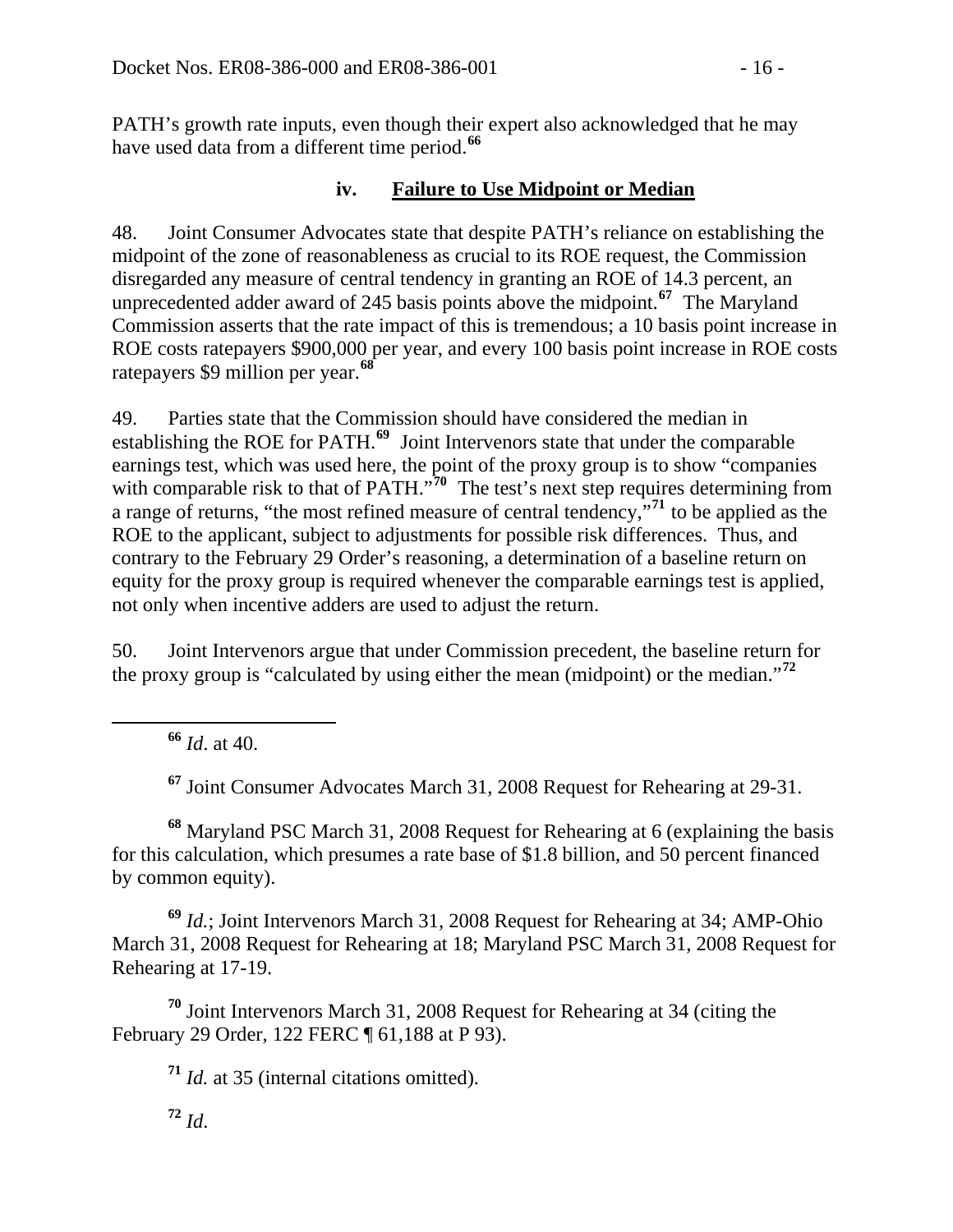PATH's growth rate inputs, even though their expert also acknowledged that he may have used data from a different time period.**<sup>66</sup>**

### **iv. Failure to Use Midpoint or Median**

48. Joint Consumer Advocates state that despite PATH's reliance on establishing the midpoint of the zone of reasonableness as crucial to its ROE request, the Commission disregarded any measure of central tendency in granting an ROE of 14.3 percent, an unprecedented adder award of 245 basis points above the midpoint.**[67](#page-15-0)** The Maryland Commission asserts that the rate impact of this is tremendous; a 10 basis point increase in ROE costs ratepayers \$900,000 per year, and every 100 basis point increase in ROE costs ratepayers \$9 million per year.**[68](#page-15-1)**

49. Parties state that the Commission should have considered the median in establishing the ROE for PATH.**[69](#page-15-2)** Joint Intervenors state that under the comparable earnings test, which was used here, the point of the proxy group is to show "companies with comparable risk to that of PATH."<sup>[70](#page-15-3)</sup> The test's next step requires determining from a range of returns, "the most refined measure of central tendency,"**[71](#page-15-4)** to be applied as the ROE to the applicant, subject to adjustments for possible risk differences. Thus, and contrary to the February 29 Order's reasoning, a determination of a baseline return on equity for the proxy group is required whenever the comparable earnings test is applied, not only when incentive adders are used to adjust the return.

50. Joint Intervenors argue that under Commission precedent, the baseline return for the proxy group is "calculated by using either the mean (midpoint) or the median."**[72](#page-15-5)**

**<sup>66</sup>** *Id*. at 40.

**<sup>67</sup>** Joint Consumer Advocates March 31, 2008 Request for Rehearing at 29-31.

<span id="page-15-1"></span><span id="page-15-0"></span>**<sup>68</sup>** Maryland PSC March 31, 2008 Request for Rehearing at 6 (explaining the basis for this calculation, which presumes a rate base of \$1.8 billion, and 50 percent financed by common equity).

<span id="page-15-2"></span>**<sup>69</sup>** *Id.*; Joint Intervenors March 31, 2008 Request for Rehearing at 34; AMP-Ohio March 31, 2008 Request for Rehearing at 18; Maryland PSC March 31, 2008 Request for Rehearing at 17-19.

<span id="page-15-5"></span><span id="page-15-4"></span><span id="page-15-3"></span>**<sup>70</sup>** Joint Intervenors March 31, 2008 Request for Rehearing at 34 (citing the February 29 Order, 122 FERC ¶ 61,188 at P 93).

**<sup>71</sup>** *Id.* at 35 (internal citations omitted).

 $72$  *Id.*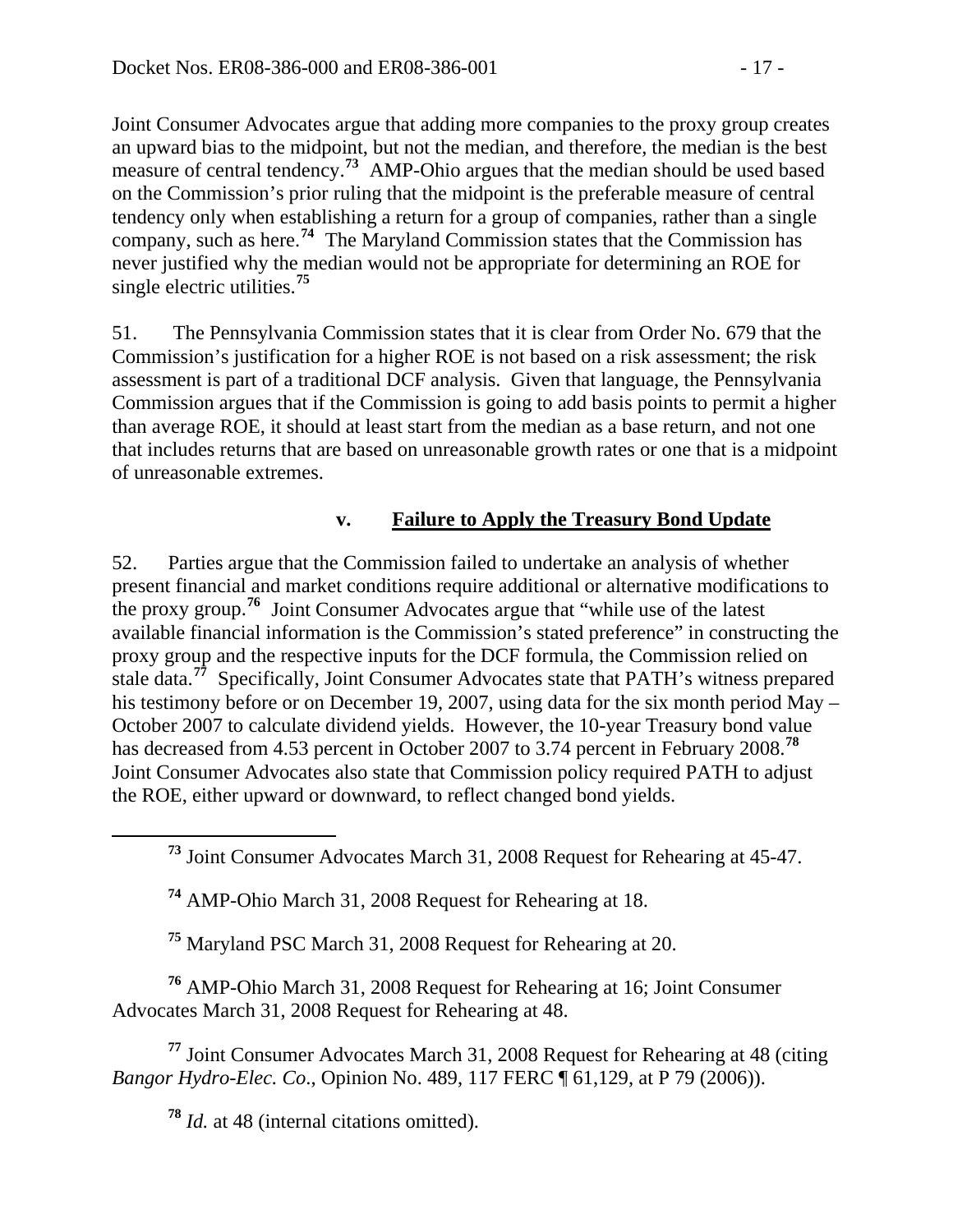Joint Consumer Advocates argue that adding more companies to the proxy group creates an upward bias to the midpoint, but not the median, and therefore, the median is the best measure of central tendency.<sup>73</sup> AMP-Ohio argues that the median should be used based on the Commission's prior ruling that the midpoint is the preferable measure of central tendency only when establishing a return for a group of companies, rather than a single company, such as here.**<sup>74</sup>** The Maryland Commission states that the Commission has never justified why the median would not be appropriate for determining an ROE for single electric utilities.**<sup>75</sup>**

51. The Pennsylvania Commission states that it is clear from Order No. 679 that the Commission's justification for a higher ROE is not based on a risk assessment; the risk assessment is part of a traditional DCF analysis. Given that language, the Pennsylvania Commission argues that if the Commission is going to add basis points to permit a higher than average ROE, it should at least start from the median as a base return, and not one that includes returns that are based on unreasonable growth rates or one that is a midpoint of unreasonable extremes.

# **v. Failure to Apply the Treasury Bond Update**

52. Parties argue that the Commission failed to undertake an analysis of whether present financial and market conditions require additional or alternative modifications to the proxy group.**[76](#page-16-0)** Joint Consumer Advocates argue that "while use of the latest available financial information is the Commission's stated preference" in constructing the proxy group and the respective inputs for the DCF formula, the Commission relied on stale data.**[77](#page-16-1)** Specifically, Joint Consumer Advocates state that PATH's witness prepared his testimony before or on December 19, 2007, using data for the six month period May – October 2007 to calculate dividend yields. However, the 10-year Treasury bond value has decreased from 4.53 percent in October 2007 to 3.74 percent in February 2008.**[78](#page-16-2)** Joint Consumer Advocates also state that Commission policy required PATH to adjust the ROE, either upward or downward, to reflect changed bond yields.

**<sup>74</sup>** AMP-Ohio March 31, 2008 Request for Rehearing at 18.

**<sup>75</sup>** Maryland PSC March 31, 2008 Request for Rehearing at 20.

<span id="page-16-0"></span>**<sup>76</sup>** AMP-Ohio March 31, 2008 Request for Rehearing at 16; Joint Consumer Advocates March 31, 2008 Request for Rehearing at 48.

<span id="page-16-2"></span><span id="page-16-1"></span>**<sup>77</sup>** Joint Consumer Advocates March 31, 2008 Request for Rehearing at 48 (citing *Bangor Hydro-Elec. Co*., Opinion No. 489, 117 FERC ¶ 61,129, at P 79 (2006)).

**<sup>78</sup>** *Id.* at 48 (internal citations omitted).

**<sup>73</sup>** Joint Consumer Advocates March 31, 2008 Request for Rehearing at 45-47.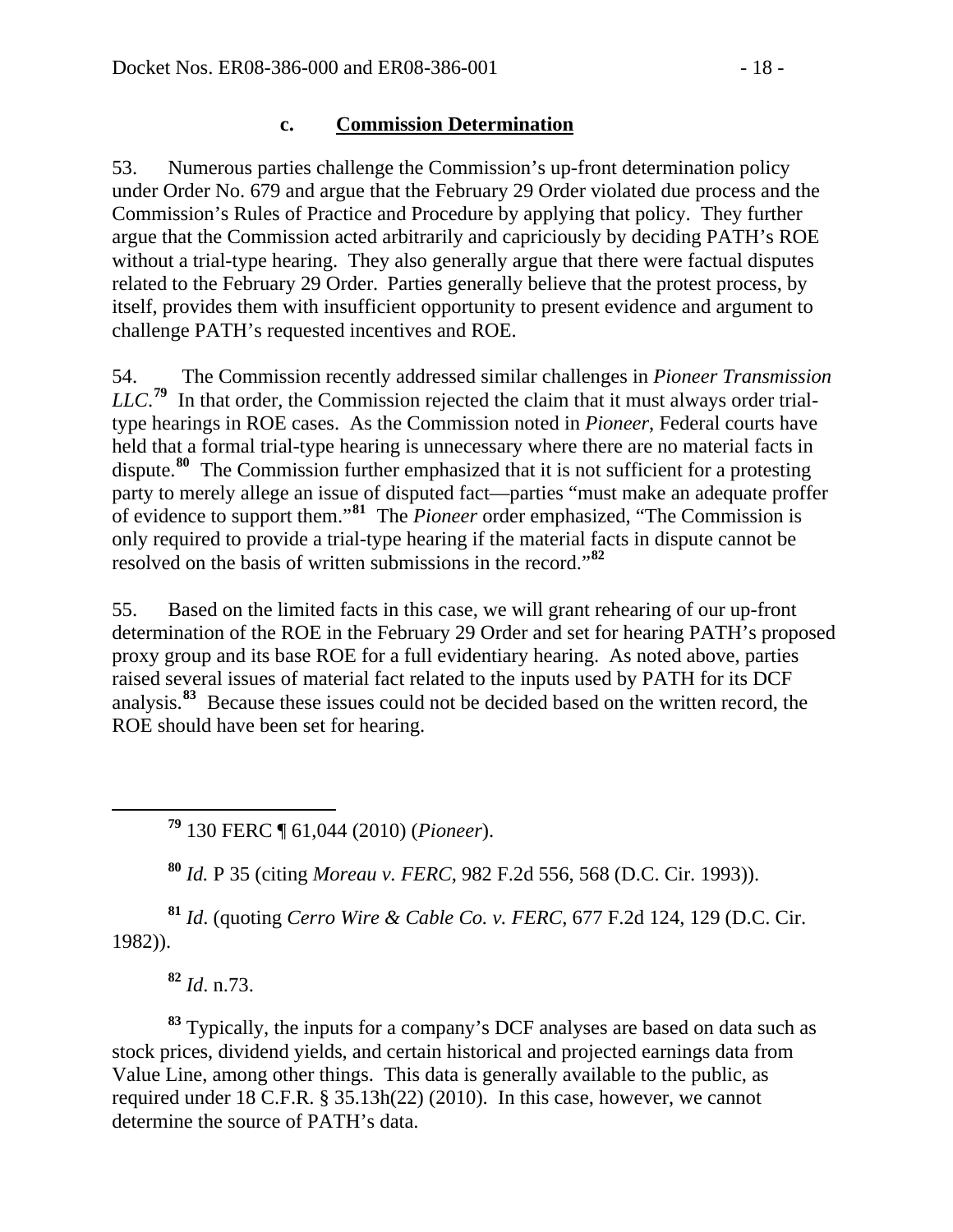### **c. Commission Determination**

53. Numerous parties challenge the Commission's up-front determination policy under Order No. 679 and argue that the February 29 Order violated due process and the Commission's Rules of Practice and Procedure by applying that policy. They further argue that the Commission acted arbitrarily and capriciously by deciding PATH's ROE without a trial-type hearing. They also generally argue that there were factual disputes related to the February 29 Order. Parties generally believe that the protest process, by itself, provides them with insufficient opportunity to present evidence and argument to challenge PATH's requested incentives and ROE.

54. The Commission recently addressed similar challenges in *Pioneer Transmission*  LLC.<sup>[79](#page-17-0)</sup> In that order, the Commission rejected the claim that it must always order trialtype hearings in ROE cases. As the Commission noted in *Pioneer*, Federal courts have held that a formal trial-type hearing is unnecessary where there are no material facts in dispute.**[80](#page-17-1)** The Commission further emphasized that it is not sufficient for a protesting party to merely allege an issue of disputed fact—parties "must make an adequate proffer of evidence to support them."**[81](#page-17-2)** The *Pioneer* order emphasized, "The Commission is only required to provide a trial-type hearing if the material facts in dispute cannot be resolved on the basis of written submissions in the record."**[82](#page-17-3)**

55. Based on the limited facts in this case, we will grant rehearing of our up-front determination of the ROE in the February 29 Order and set for hearing PATH's proposed proxy group and its base ROE for a full evidentiary hearing. As noted above, parties raised several issues of material fact related to the inputs used by PATH for its DCF analysis.**[83](#page-17-4)** Because these issues could not be decided based on the written record, the ROE should have been set for hearing.

**<sup>79</sup>** 130 FERC ¶ 61,044 (2010) (*Pioneer*).

**<sup>80</sup>** *Id.* P 35 (citing *Moreau v. FERC*, 982 F.2d 556, 568 (D.C. Cir. 1993)).

<span id="page-17-2"></span><span id="page-17-1"></span>**<sup>81</sup>** *Id*. (quoting *Cerro Wire & Cable Co. v. FERC*, 677 F.2d 124, 129 (D.C. Cir. 1982)).

**<sup>82</sup>** *Id*. n.73.

<span id="page-17-0"></span> $\overline{a}$ 

<span id="page-17-4"></span><span id="page-17-3"></span>**<sup>83</sup>** Typically, the inputs for a company's DCF analyses are based on data such as stock prices, dividend yields, and certain historical and projected earnings data from Value Line, among other things. This data is generally available to the public, as required under 18 C.F.R. § 35.13h(22) (2010). In this case, however, we cannot determine the source of PATH's data.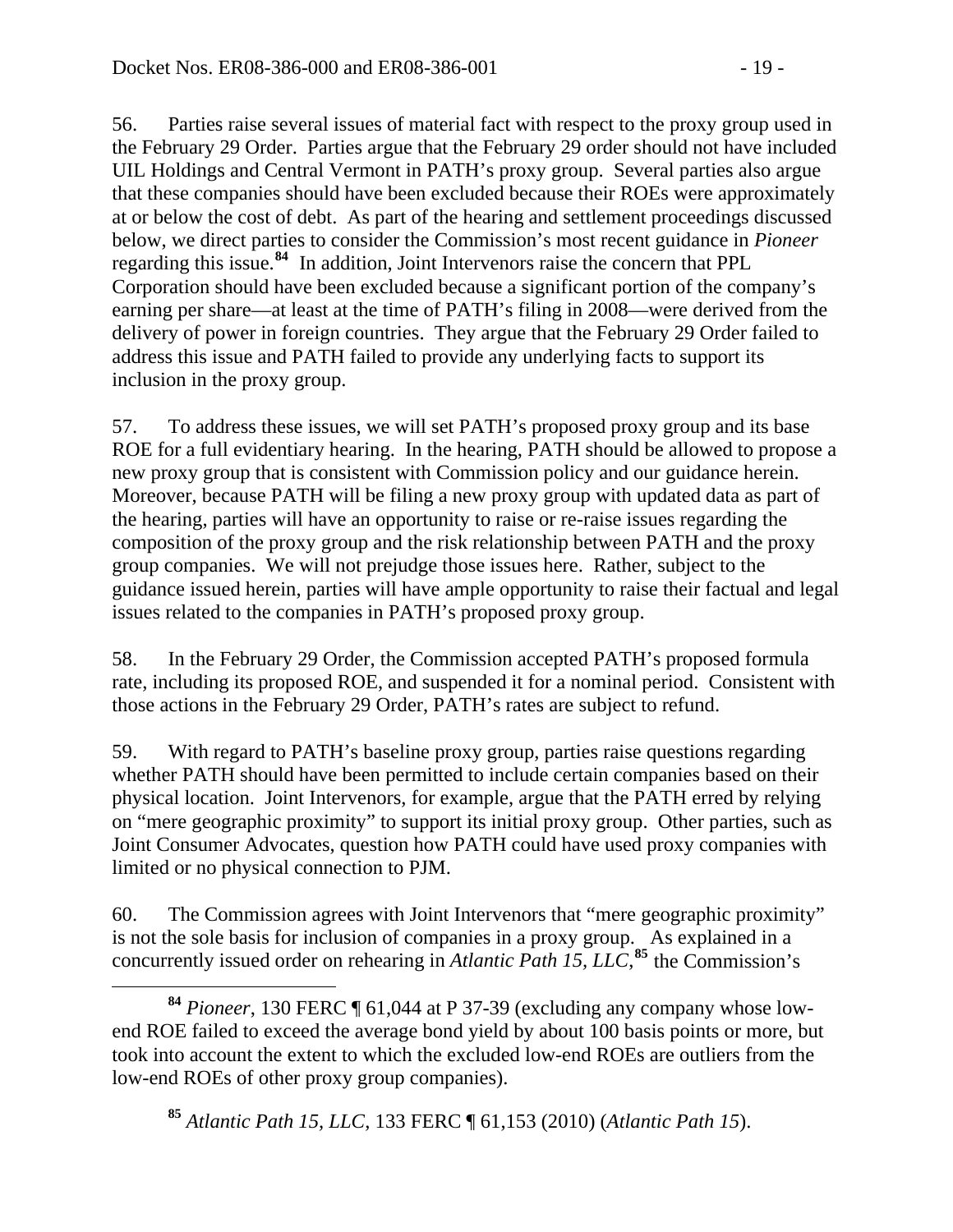56. Parties raise several issues of material fact with respect to the proxy group used in the February 29 Order. Parties argue that the February 29 order should not have included UIL Holdings and Central Vermont in PATH's proxy group. Several parties also argue that these companies should have been excluded because their ROEs were approximately at or below the cost of debt. As part of the hearing and settlement proceedings discussed below, we direct parties to consider the Commission's most recent guidance in *Pioneer* regarding this issue.**[84](#page-18-0)** In addition, Joint Intervenors raise the concern that PPL Corporation should have been excluded because a significant portion of the company's earning per share—at least at the time of PATH's filing in 2008—were derived from the delivery of power in foreign countries. They argue that the February 29 Order failed to address this issue and PATH failed to provide any underlying facts to support its inclusion in the proxy group.

57. To address these issues, we will set PATH's proposed proxy group and its base ROE for a full evidentiary hearing. In the hearing, PATH should be allowed to propose a new proxy group that is consistent with Commission policy and our guidance herein. Moreover, because PATH will be filing a new proxy group with updated data as part of the hearing, parties will have an opportunity to raise or re-raise issues regarding the composition of the proxy group and the risk relationship between PATH and the proxy group companies. We will not prejudge those issues here. Rather, subject to the guidance issued herein, parties will have ample opportunity to raise their factual and legal issues related to the companies in PATH's proposed proxy group.

58. In the February 29 Order, the Commission accepted PATH's proposed formula rate, including its proposed ROE, and suspended it for a nominal period. Consistent with those actions in the February 29 Order, PATH's rates are subject to refund.

59. With regard to PATH's baseline proxy group, parties raise questions regarding whether PATH should have been permitted to include certain companies based on their physical location. Joint Intervenors, for example, argue that the PATH erred by relying on "mere geographic proximity" to support its initial proxy group. Other parties, such as Joint Consumer Advocates, question how PATH could have used proxy companies with limited or no physical connection to PJM.

60. The Commission agrees with Joint Intervenors that "mere geographic proximity" is not the sole basis for inclusion of companies in a proxy group. As explained in a concurrently issued order on rehearing in *Atlantic Path 15, LLC*, **[85](#page-18-1)** the Commission's

<span id="page-18-1"></span><span id="page-18-0"></span> **<sup>84</sup>** *Pioneer*, 130 FERC ¶ 61,044 at P 37-39 (excluding any company whose lowend ROE failed to exceed the average bond yield by about 100 basis points or more, but took into account the extent to which the excluded low-end ROEs are outliers from the low-end ROEs of other proxy group companies).

**<sup>85</sup>** *Atlantic Path 15, LLC*, 133 FERC ¶ 61,153 (2010) (*Atlantic Path 15*).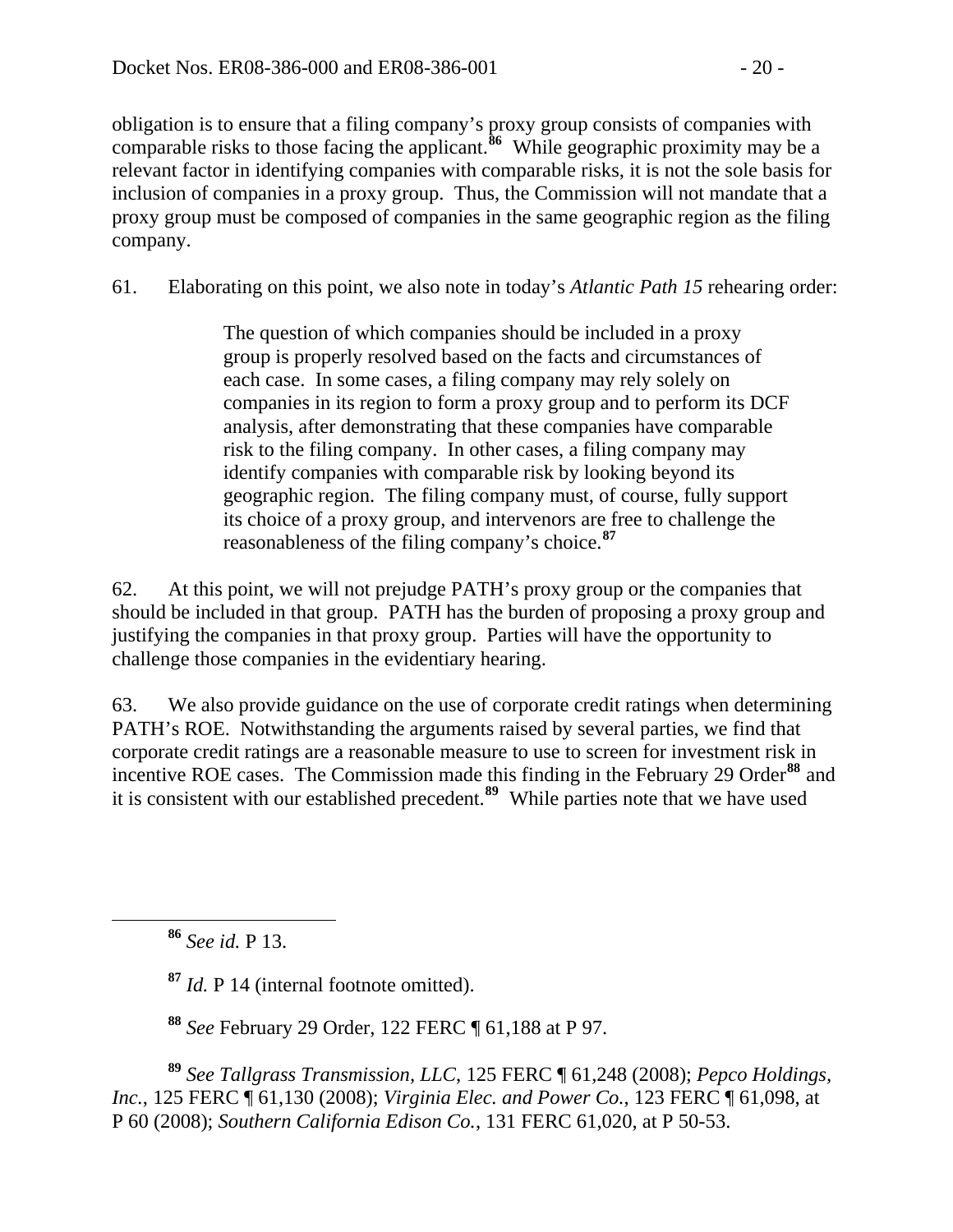obligation is to ensure that a filing company's proxy group consists of companies with comparable risks to those facing the applicant.**<sup>86</sup>** While geographic proximity may be a relevant factor in identifying companies with comparable risks, it is not the sole basis for inclusion of companies in a proxy group. Thus, the Commission will not mandate that a proxy group must be composed of companies in the same geographic region as the filing company.

61. Elaborating on this point, we also note in today's *Atlantic Path 15* rehearing order:

The question of which companies should be included in a proxy group is properly resolved based on the facts and circumstances of each case. In some cases, a filing company may rely solely on companies in its region to form a proxy group and to perform its DCF analysis, after demonstrating that these companies have comparable risk to the filing company. In other cases, a filing company may identify companies with comparable risk by looking beyond its geographic region. The filing company must, of course, fully support its choice of a proxy group, and intervenors are free to challenge the reasonableness of the filing company's choice.**[87](#page-19-0)**

62. At this point, we will not prejudge PATH's proxy group or the companies that should be included in that group. PATH has the burden of proposing a proxy group and justifying the companies in that proxy group. Parties will have the opportunity to challenge those companies in the evidentiary hearing.

63. We also provide guidance on the use of corporate credit ratings when determining PATH's ROE. Notwithstanding the arguments raised by several parties, we find that corporate credit ratings are a reasonable measure to use to screen for investment risk in incentive ROE cases. The Commission made this finding in the February 29 Order<sup>[88](#page-19-1)</sup> and it is consistent with our established precedent.**[89](#page-19-2)** While parties note that we have used

**<sup>87</sup>** *Id.* P 14 (internal footnote omitted).

**<sup>88</sup>** *See* February 29 Order, 122 FERC ¶ 61,188 at P 97.

<span id="page-19-2"></span><span id="page-19-1"></span><span id="page-19-0"></span>**<sup>89</sup>** *See Tallgrass Transmission, LLC*, 125 FERC ¶ 61,248 (2008); *Pepco Holdings, Inc.*, 125 FERC ¶ 61,130 (2008); *Virginia Elec. and Power Co.*, 123 FERC ¶ 61,098, at P 60 (2008); *Southern California Edison Co.*, 131 FERC 61,020, at P 50-53.

**<sup>86</sup>** *See id.* P 13.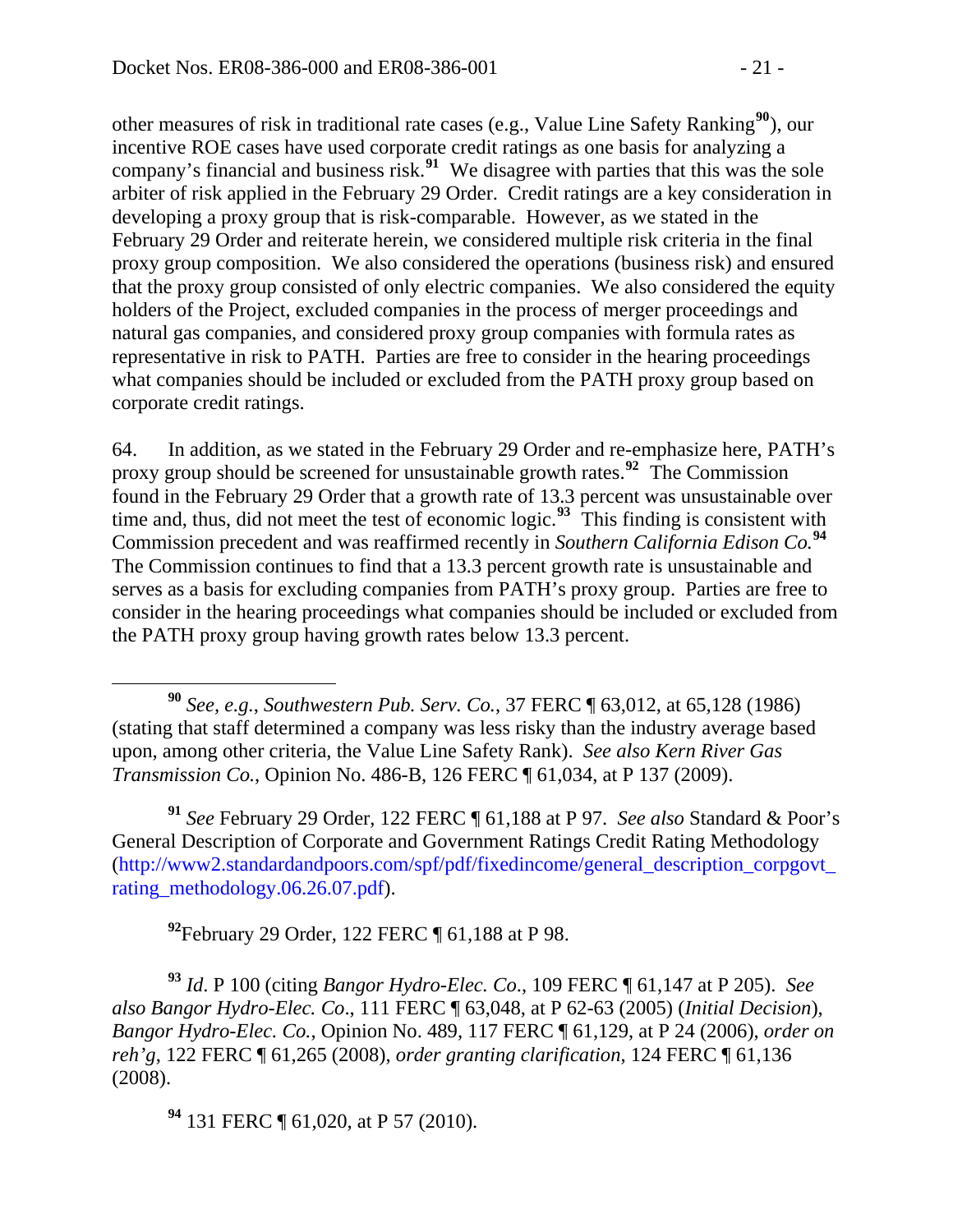other measures of risk in traditional rate cases (e.g., Value Line Safety Ranking**[90](#page-20-0)**), our incentive ROE cases have used corporate credit ratings as one basis for analyzing a company's financial and business risk.**[91](#page-20-1)** We disagree with parties that this was the sole arbiter of risk applied in the February 29 Order. Credit ratings are a key consideration in developing a proxy group that is risk-comparable. However, as we stated in the February 29 Order and reiterate herein, we considered multiple risk criteria in the final proxy group composition. We also considered the operations (business risk) and ensured that the proxy group consisted of only electric companies. We also considered the equity holders of the Project, excluded companies in the process of merger proceedings and natural gas companies, and considered proxy group companies with formula rates as representative in risk to PATH. Parties are free to consider in the hearing proceedings what companies should be included or excluded from the PATH proxy group based on corporate credit ratings.

64. In addition, as we stated in the February 29 Order and re-emphasize here, PATH's proxy group should be screened for unsustainable growth rates.**[92](#page-20-2)** The Commission found in the February 29 Order that a growth rate of 13.3 percent was unsustainable over time and, thus, did not meet the test of economic logic.<sup>[93](#page-20-3)</sup> This finding is consistent with Commission precedent and was reaffirmed recently in *Southern California Edison Co.***[94](#page-20-4)** The Commission continues to find that a 13.3 percent growth rate is unsustainable and serves as a basis for excluding companies from PATH's proxy group. Parties are free to consider in the hearing proceedings what companies should be included or excluded from the PATH proxy group having growth rates below 13.3 percent.

<span id="page-20-1"></span>**<sup>91</sup>** *See* February 29 Order, 122 FERC ¶ 61,188 at P 97. *See also* Standard & Poor's General Description of Corporate and Government Ratings Credit Rating Methodology [\(http://www2.standardandpoors.com/spf/pdf/fixedincome/general\\_description\\_corpgovt\\_](http://www2.standardandpoors.com/spf/pdf/fixedincome/general_description_corpgovt_rating_methodology.06.26.07.pdf) [rating\\_methodology.06.26.07.pdf\)](http://www2.standardandpoors.com/spf/pdf/fixedincome/general_description_corpgovt_rating_methodology.06.26.07.pdf).

**<sup>92</sup>**February 29 Order, 122 FERC ¶ 61,188 at P 98.

<span id="page-20-3"></span><span id="page-20-2"></span>**<sup>93</sup>** *Id*. P 100 (citing *Bangor Hydro-Elec. Co*., 109 FERC ¶ 61,147 at P 205). *See also Bangor Hydro-Elec. Co*., 111 FERC ¶ 63,048, at P 62-63 (2005) (*Initial Decision*), *Bangor Hydro-Elec. Co.*, Opinion No. 489, 117 FERC ¶ 61,129, at P 24 (2006), *order on reh'g*, 122 FERC ¶ 61,265 (2008), *order granting clarification*, 124 FERC ¶ 61,136 (2008).

<span id="page-20-4"></span>**<sup>94</sup>** 131 FERC ¶ 61,020, at P 57 (2010).

 $\overline{a}$ 

<span id="page-20-0"></span>**<sup>90</sup>** *See, e.g.*, *Southwestern Pub. Serv. Co.*, 37 FERC ¶ 63,012, at 65,128 (1986) (stating that staff determined a company was less risky than the industry average based upon, among other criteria, the Value Line Safety Rank). *See also Kern River Gas Transmission Co.*, Opinion No. 486-B, 126 FERC ¶ 61,034, at P 137 (2009).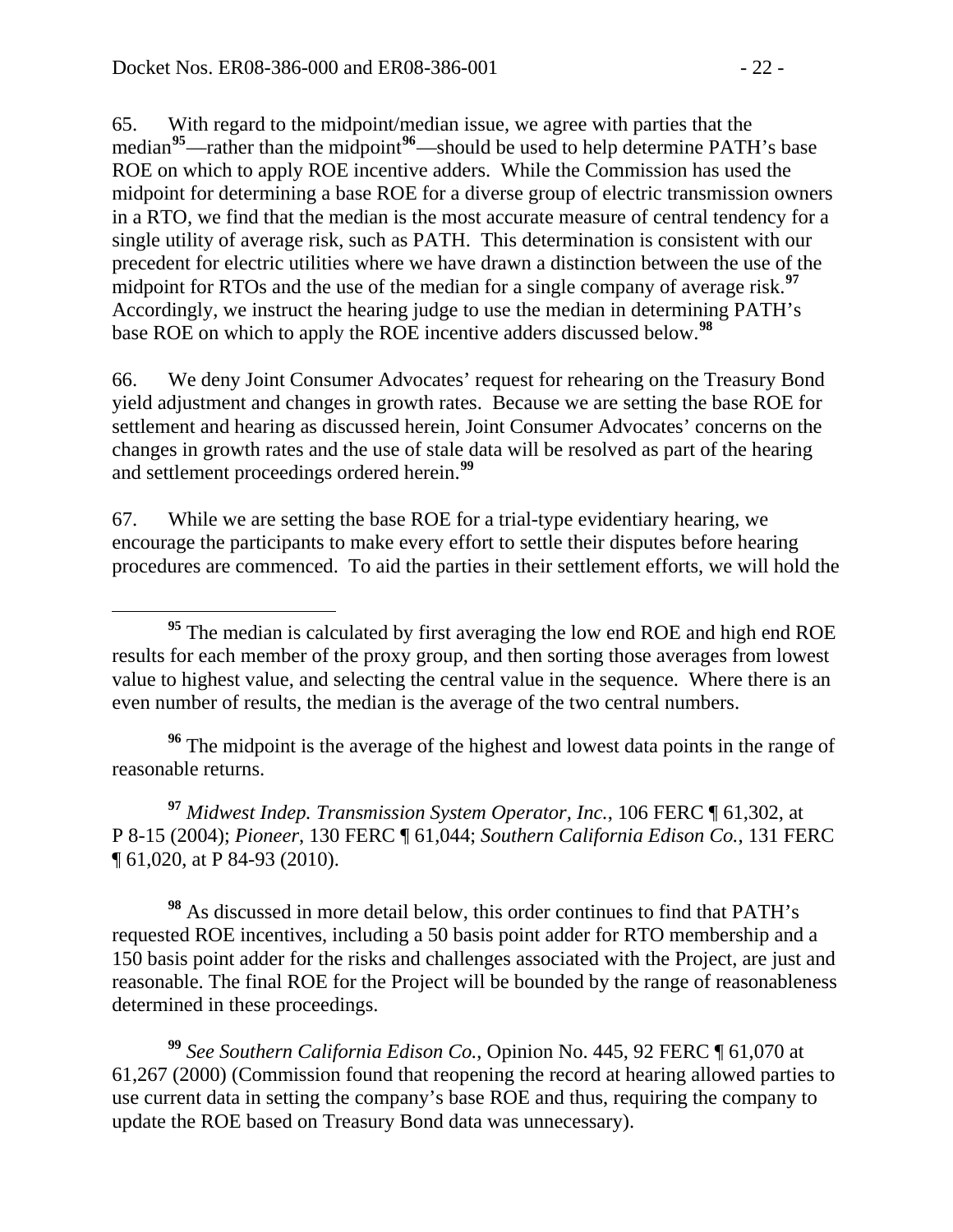65. With regard to the midpoint/median issue, we agree with parties that the median<sup>[95](#page-21-0)</sup>—rather than the midpoint<sup>[96](#page-21-1)</sup>—should be used to help determine PATH's base ROE on which to apply ROE incentive adders. While the Commission has used the midpoint for determining a base ROE for a diverse group of electric transmission owners in a RTO, we find that the median is the most accurate measure of central tendency for a single utility of average risk, such as PATH. This determination is consistent with our precedent for electric utilities where we have drawn a distinction between the use of the midpoint for RTOs and the use of the median for a single company of average risk.**[97](#page-21-2)** Accordingly, we instruct the hearing judge to use the median in determining PATH's base ROE on which to apply the ROE incentive adders discussed below.**[98](#page-21-3)**

66. We deny Joint Consumer Advocates' request for rehearing on the Treasury Bond yield adjustment and changes in growth rates. Because we are setting the base ROE for settlement and hearing as discussed herein, Joint Consumer Advocates' concerns on the changes in growth rates and the use of stale data will be resolved as part of the hearing and settlement proceedings ordered herein.**[99](#page-21-4)**

67. While we are setting the base ROE for a trial-type evidentiary hearing, we encourage the participants to make every effort to settle their disputes before hearing procedures are commenced. To aid the parties in their settlement efforts, we will hold the

<span id="page-21-1"></span>**<sup>96</sup>** The midpoint is the average of the highest and lowest data points in the range of reasonable returns.

<span id="page-21-2"></span>**<sup>97</sup>** *Midwest Indep. Transmission System Operator, Inc.*, 106 FERC ¶ 61,302, at P 8-15 (2004); *Pioneer*, 130 FERC ¶ 61,044; *Southern California Edison Co.*, 131 FERC ¶ 61,020, at P 84-93 (2010).

<span id="page-21-3"></span>**<sup>98</sup>** As discussed in more detail below, this order continues to find that PATH's requested ROE incentives, including a 50 basis point adder for RTO membership and a 150 basis point adder for the risks and challenges associated with the Project, are just and reasonable. The final ROE for the Project will be bounded by the range of reasonableness determined in these proceedings.

<span id="page-21-4"></span>**<sup>99</sup>** *See Southern California Edison Co.*, Opinion No. 445, 92 FERC ¶ 61,070 at 61,267 (2000) (Commission found that reopening the record at hearing allowed parties to use current data in setting the company's base ROE and thus, requiring the company to update the ROE based on Treasury Bond data was unnecessary).

<span id="page-21-0"></span>**<sup>95</sup>** The median is calculated by first averaging the low end ROE and high end ROE results for each member of the proxy group, and then sorting those averages from lowest value to highest value, and selecting the central value in the sequence. Where there is an even number of results, the median is the average of the two central numbers.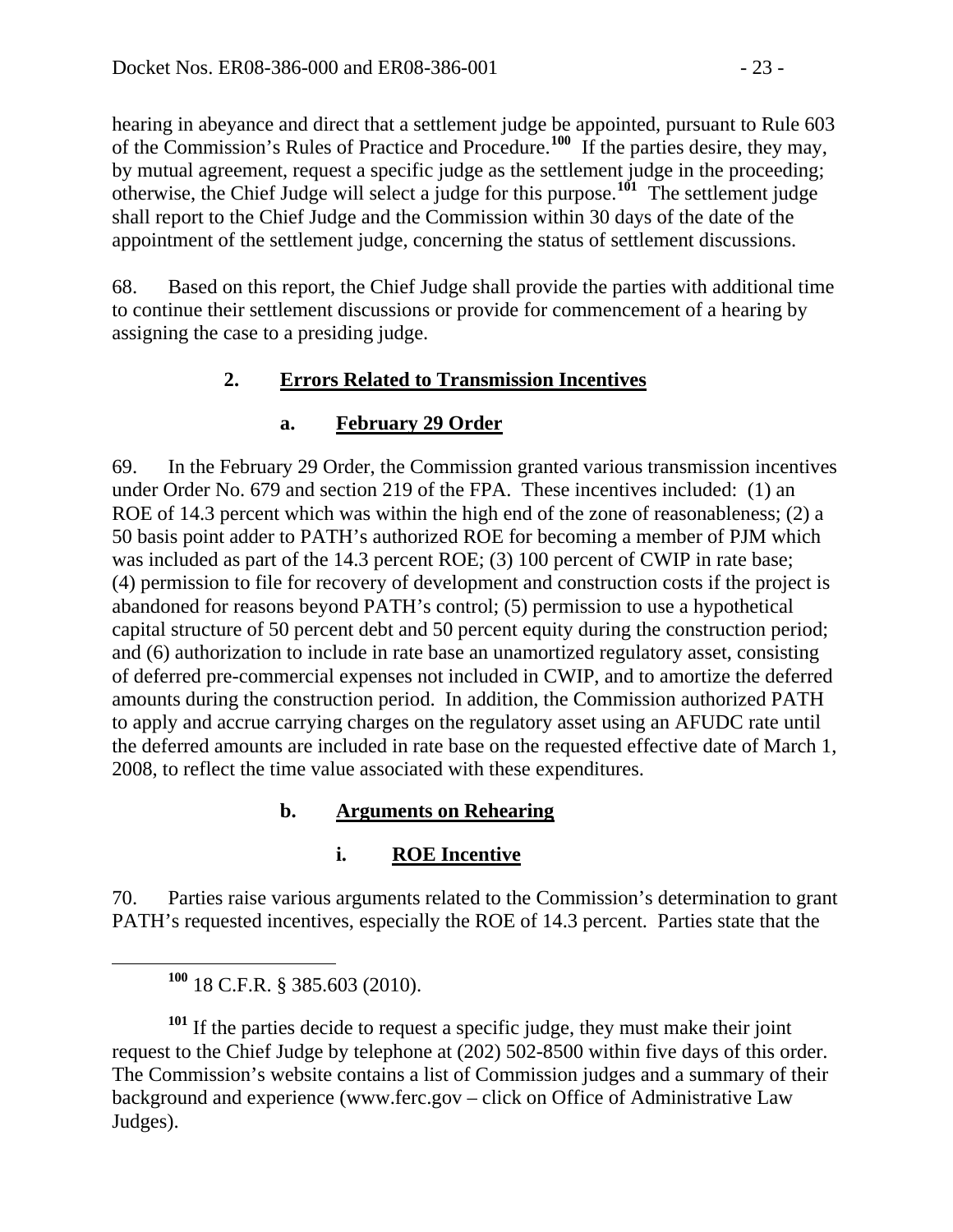hearing in abeyance and direct that a settlement judge be appointed, pursuant to Rule 603 of the Commission's Rules of Practice and Procedure.**<sup>100</sup>** If the parties desire, they may, by mutual agreement, request a specific judge as the settlement judge in the proceeding; otherwise, the Chief Judge will select a judge for this purpose.**<sup>101</sup>** The settlement judge shall report to the Chief Judge and the Commission within 30 days of the date of the appointment of the settlement judge, concerning the status of settlement discussions.

68. Based on this report, the Chief Judge shall provide the parties with additional time to continue their settlement discussions or provide for commencement of a hearing by assigning the case to a presiding judge.

# **2. Errors Related to Transmission Incentives**

# **a. February 29 Order**

69. In the February 29 Order, the Commission granted various transmission incentives under Order No. 679 and section 219 of the FPA. These incentives included: (1) an ROE of 14.3 percent which was within the high end of the zone of reasonableness; (2) a 50 basis point adder to PATH's authorized ROE for becoming a member of PJM which was included as part of the 14.3 percent ROE; (3) 100 percent of CWIP in rate base; (4) permission to file for recovery of development and construction costs if the project is abandoned for reasons beyond PATH's control; (5) permission to use a hypothetical capital structure of 50 percent debt and 50 percent equity during the construction period; and (6) authorization to include in rate base an unamortized regulatory asset, consisting of deferred pre-commercial expenses not included in CWIP, and to amortize the deferred amounts during the construction period. In addition, the Commission authorized PATH to apply and accrue carrying charges on the regulatory asset using an AFUDC rate until the deferred amounts are included in rate base on the requested effective date of March 1, 2008, to reflect the time value associated with these expenditures.

# **b. Arguments on Rehearing**

# **i. ROE Incentive**

70. Parties raise various arguments related to the Commission's determination to grant PATH's requested incentives, especially the ROE of 14.3 percent. Parties state that the

<sup>101</sup> If the parties decide to request a specific judge, they must make their joint request to the Chief Judge by telephone at (202) 502-8500 within five days of this order. The Commission's website contains a list of Commission judges and a summary of their background and experience (www.ferc.gov – click on Office of Administrative Law Judges).

**<sup>100</sup>** 18 C.F.R. § 385.603 (2010).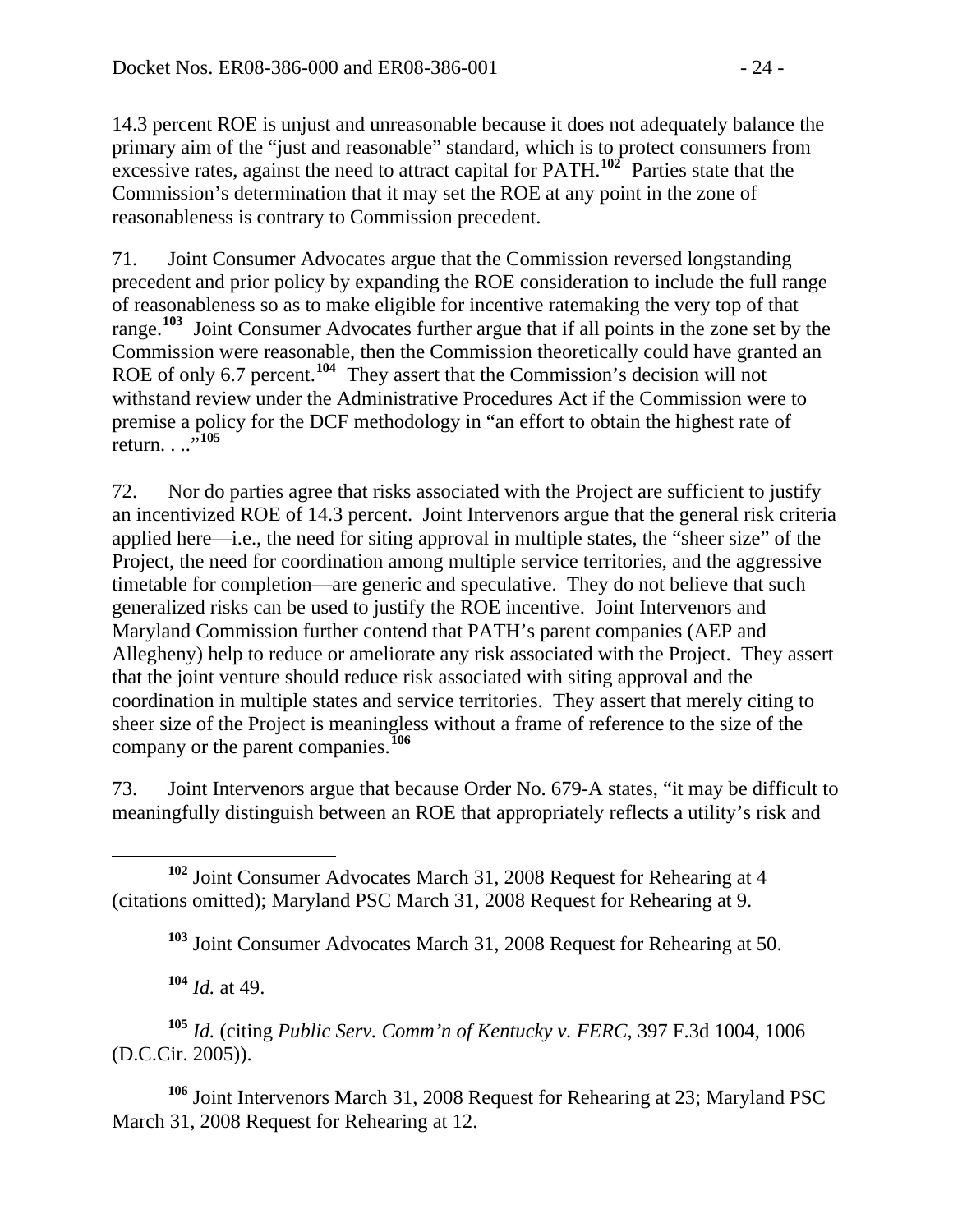14.3 percent ROE is unjust and unreasonable because it does not adequately balance the primary aim of the "just and reasonable" standard, which is to protect consumers from excessive rates, against the need to attract capital for PATH.**<sup>102</sup>** Parties state that the Commission's determination that it may set the ROE at any point in the zone of reasonableness is contrary to Commission precedent.

71. Joint Consumer Advocates argue that the Commission reversed longstanding precedent and prior policy by expanding the ROE consideration to include the full range of reasonableness so as to make eligible for incentive ratemaking the very top of that range.**[103](#page-23-0)** Joint Consumer Advocates further argue that if all points in the zone set by the Commission were reasonable, then the Commission theoretically could have granted an ROE of only 6.7 percent.<sup>[104](#page-23-1)</sup> They assert that the Commission's decision will not withstand review under the Administrative Procedures Act if the Commission were to premise a policy for the DCF methodology in "an effort to obtain the highest rate of return. . .."**[105](#page-23-2)**

72. Nor do parties agree that risks associated with the Project are sufficient to justify an incentivized ROE of 14.3 percent. Joint Intervenors argue that the general risk criteria applied here—i.e., the need for siting approval in multiple states, the "sheer size" of the Project, the need for coordination among multiple service territories, and the aggressive timetable for completion—are generic and speculative. They do not believe that such generalized risks can be used to justify the ROE incentive. Joint Intervenors and Maryland Commission further contend that PATH's parent companies (AEP and Allegheny) help to reduce or ameliorate any risk associated with the Project. They assert that the joint venture should reduce risk associated with siting approval and the coordination in multiple states and service territories. They assert that merely citing to sheer size of the Project is meaningless without a frame of reference to the size of the company or the parent companies.**[106](#page-23-3)**

73. Joint Intervenors argue that because Order No. 679-A states, "it may be difficult to meaningfully distinguish between an ROE that appropriately reflects a utility's risk and

<span id="page-23-0"></span> **<sup>102</sup>** Joint Consumer Advocates March 31, 2008 Request for Rehearing at 4 (citations omitted); Maryland PSC March 31, 2008 Request for Rehearing at 9.

**<sup>103</sup>** Joint Consumer Advocates March 31, 2008 Request for Rehearing at 50.

**<sup>104</sup>** *Id.* at 49.

<span id="page-23-2"></span><span id="page-23-1"></span>**<sup>105</sup>** *Id.* (citing *Public Serv. Comm'n of Kentucky v. FERC*, 397 F.3d 1004, 1006 (D.C.Cir. 2005)).

<span id="page-23-3"></span>**<sup>106</sup>** Joint Intervenors March 31, 2008 Request for Rehearing at 23; Maryland PSC March 31, 2008 Request for Rehearing at 12.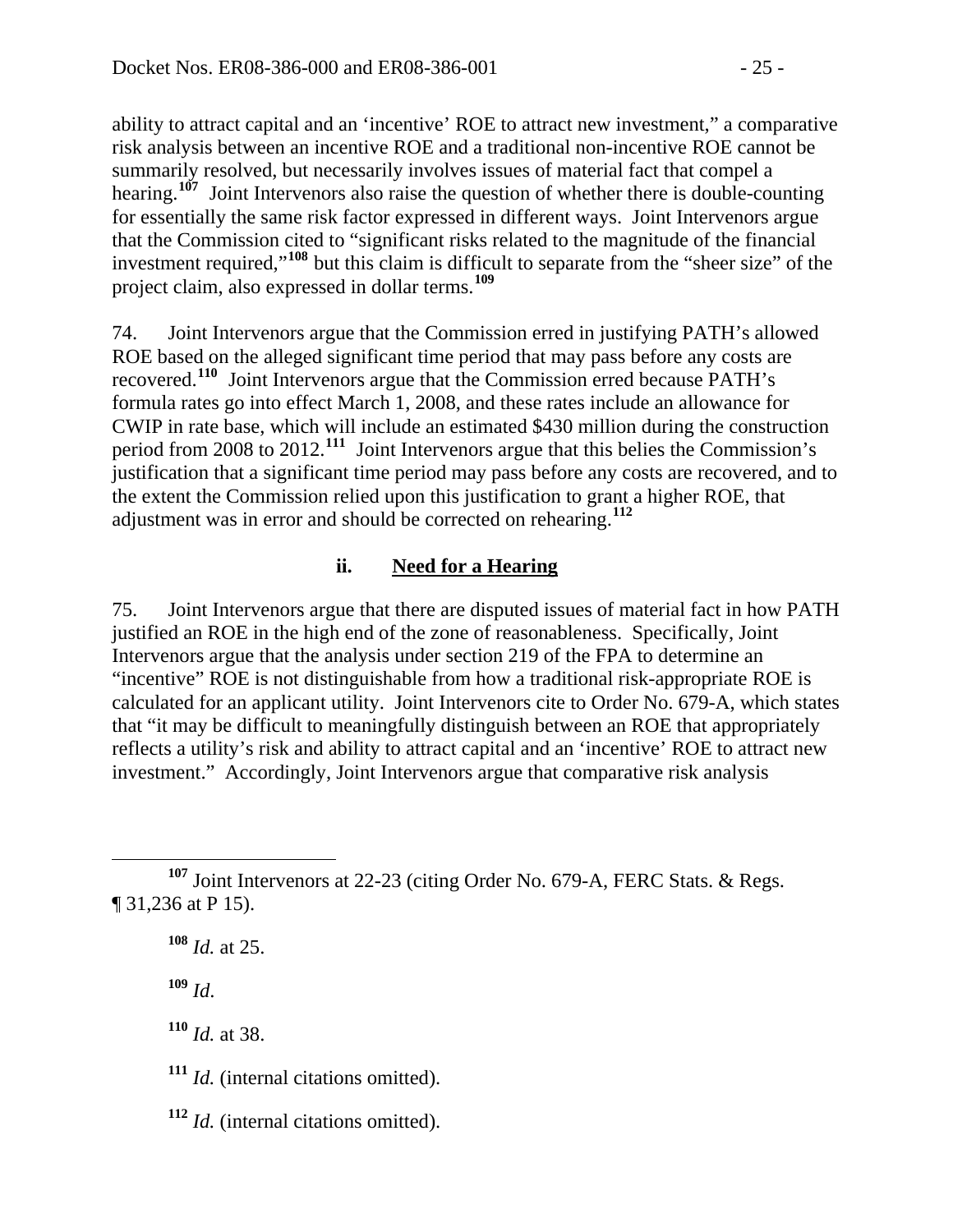ability to attract capital and an 'incentive' ROE to attract new investment," a comparative risk analysis between an incentive ROE and a traditional non-incentive ROE cannot be summarily resolved, but necessarily involves issues of material fact that compel a hearing.**<sup>107</sup>** Joint Intervenors also raise the question of whether there is double-counting for essentially the same risk factor expressed in different ways. Joint Intervenors argue that the Commission cited to "significant risks related to the magnitude of the financial investment required,"**<sup>108</sup>** but this claim is difficult to separate from the "sheer size" of the project claim, also expressed in dollar terms.**<sup>109</sup>**

74. Joint Intervenors argue that the Commission erred in justifying PATH's allowed ROE based on the alleged significant time period that may pass before any costs are recovered.**[110](#page-24-0)** Joint Intervenors argue that the Commission erred because PATH's formula rates go into effect March 1, 2008, and these rates include an allowance for CWIP in rate base, which will include an estimated \$430 million during the construction period from 2008 to 2012.**[111](#page-24-1)** Joint Intervenors argue that this belies the Commission's justification that a significant time period may pass before any costs are recovered, and to the extent the Commission relied upon this justification to grant a higher ROE, that adjustment was in error and should be corrected on rehearing.**[112](#page-24-2)**

### **ii. Need for a Hearing**

75. Joint Intervenors argue that there are disputed issues of material fact in how PATH justified an ROE in the high end of the zone of reasonableness. Specifically, Joint Intervenors argue that the analysis under section 219 of the FPA to determine an "incentive" ROE is not distinguishable from how a traditional risk-appropriate ROE is calculated for an applicant utility. Joint Intervenors cite to Order No. 679-A, which states that "it may be difficult to meaningfully distinguish between an ROE that appropriately reflects a utility's risk and ability to attract capital and an 'incentive' ROE to attract new investment." Accordingly, Joint Intervenors argue that comparative risk analysis

**<sup>108</sup>** *Id.* at 25.

**<sup>109</sup>** *Id*.

<span id="page-24-0"></span>**<sup>110</sup>** *Id.* at 38.

<span id="page-24-1"></span>**<sup>111</sup>** *Id.* (internal citations omitted).

<span id="page-24-2"></span>**<sup>112</sup>** *Id.* (internal citations omitted).

**<sup>107</sup>** Joint Intervenors at 22-23 (citing Order No. 679-A, FERC Stats. & Regs. ¶ 31,236 at P 15).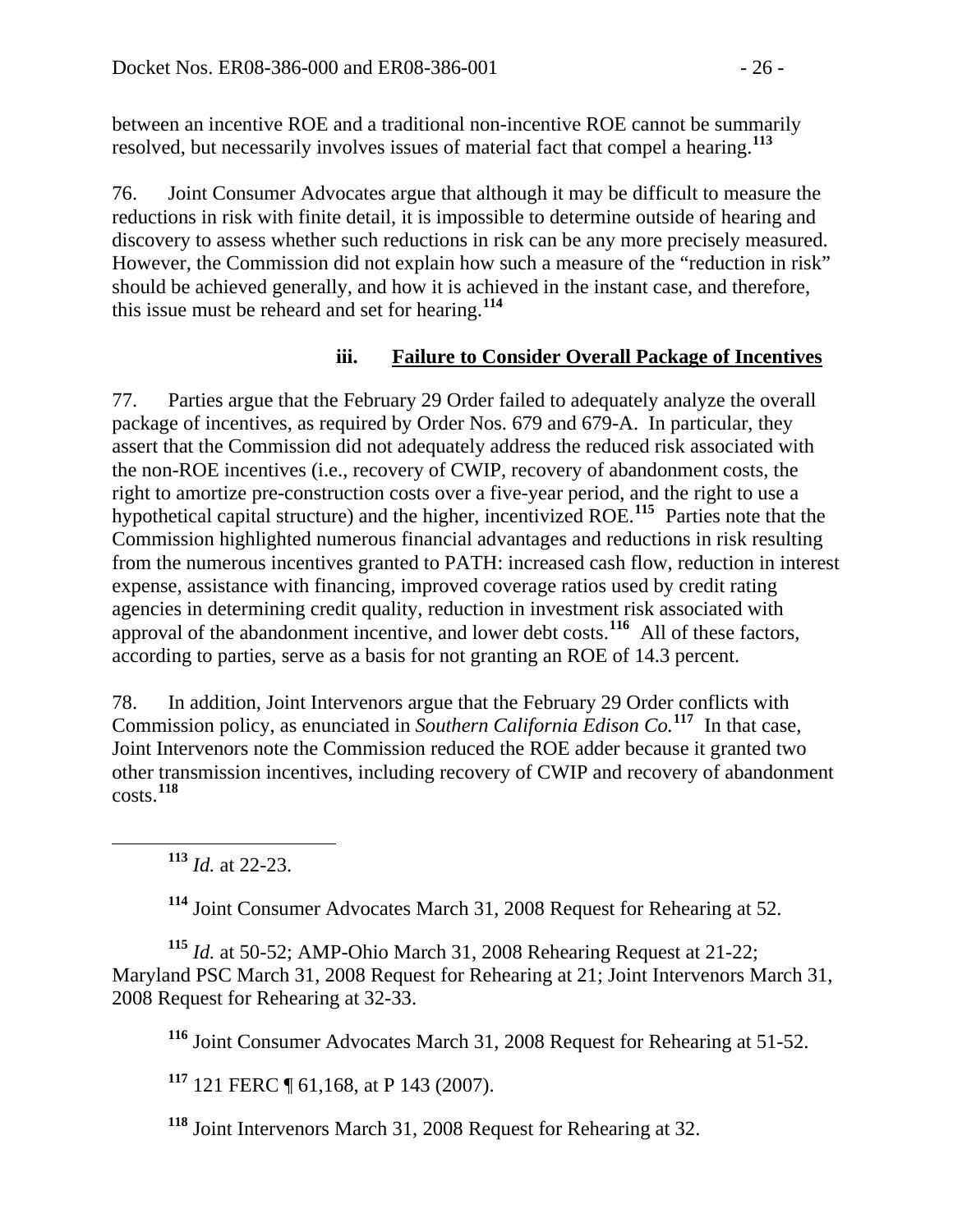between an incentive ROE and a traditional non-incentive ROE cannot be summarily resolved, but necessarily involves issues of material fact that compel a hearing.**[113](#page-25-0)**

76. Joint Consumer Advocates argue that although it may be difficult to measure the reductions in risk with finite detail, it is impossible to determine outside of hearing and discovery to assess whether such reductions in risk can be any more precisely measured. However, the Commission did not explain how such a measure of the "reduction in risk" should be achieved generally, and how it is achieved in the instant case, and therefore, this issue must be reheard and set for hearing.**[114](#page-25-1)**

### **iii. Failure to Consider Overall Package of Incentives**

77. Parties argue that the February 29 Order failed to adequately analyze the overall package of incentives, as required by Order Nos. 679 and 679-A. In particular, they assert that the Commission did not adequately address the reduced risk associated with the non-ROE incentives (i.e., recovery of CWIP, recovery of abandonment costs, the right to amortize pre-construction costs over a five-year period, and the right to use a hypothetical capital structure) and the higher, incentivized ROE.**[115](#page-25-2)** Parties note that the Commission highlighted numerous financial advantages and reductions in risk resulting from the numerous incentives granted to PATH: increased cash flow, reduction in interest expense, assistance with financing, improved coverage ratios used by credit rating agencies in determining credit quality, reduction in investment risk associated with approval of the abandonment incentive, and lower debt costs.**[116](#page-25-3)** All of these factors, according to parties, serve as a basis for not granting an ROE of 14.3 percent.

78. In addition, Joint Intervenors argue that the February 29 Order conflicts with Commission policy, as enunciated in *Southern California Edison Co.***[117](#page-25-4)** In that case, Joint Intervenors note the Commission reduced the ROE adder because it granted two other transmission incentives, including recovery of CWIP and recovery of abandonment costs.**[118](#page-25-5)**

**<sup>113</sup>** *Id.* at 22-23.

**<sup>114</sup>** Joint Consumer Advocates March 31, 2008 Request for Rehearing at 52.

<span id="page-25-3"></span><span id="page-25-2"></span><span id="page-25-1"></span><span id="page-25-0"></span>**<sup>115</sup>** *Id.* at 50-52; AMP-Ohio March 31, 2008 Rehearing Request at 21-22; Maryland PSC March 31, 2008 Request for Rehearing at 21; Joint Intervenors March 31, 2008 Request for Rehearing at 32-33.

**<sup>116</sup>** Joint Consumer Advocates March 31, 2008 Request for Rehearing at 51-52.

<span id="page-25-4"></span>**<sup>117</sup>** 121 FERC ¶ 61,168, at P 143 (2007).

<span id="page-25-5"></span>**<sup>118</sup>** Joint Intervenors March 31, 2008 Request for Rehearing at 32.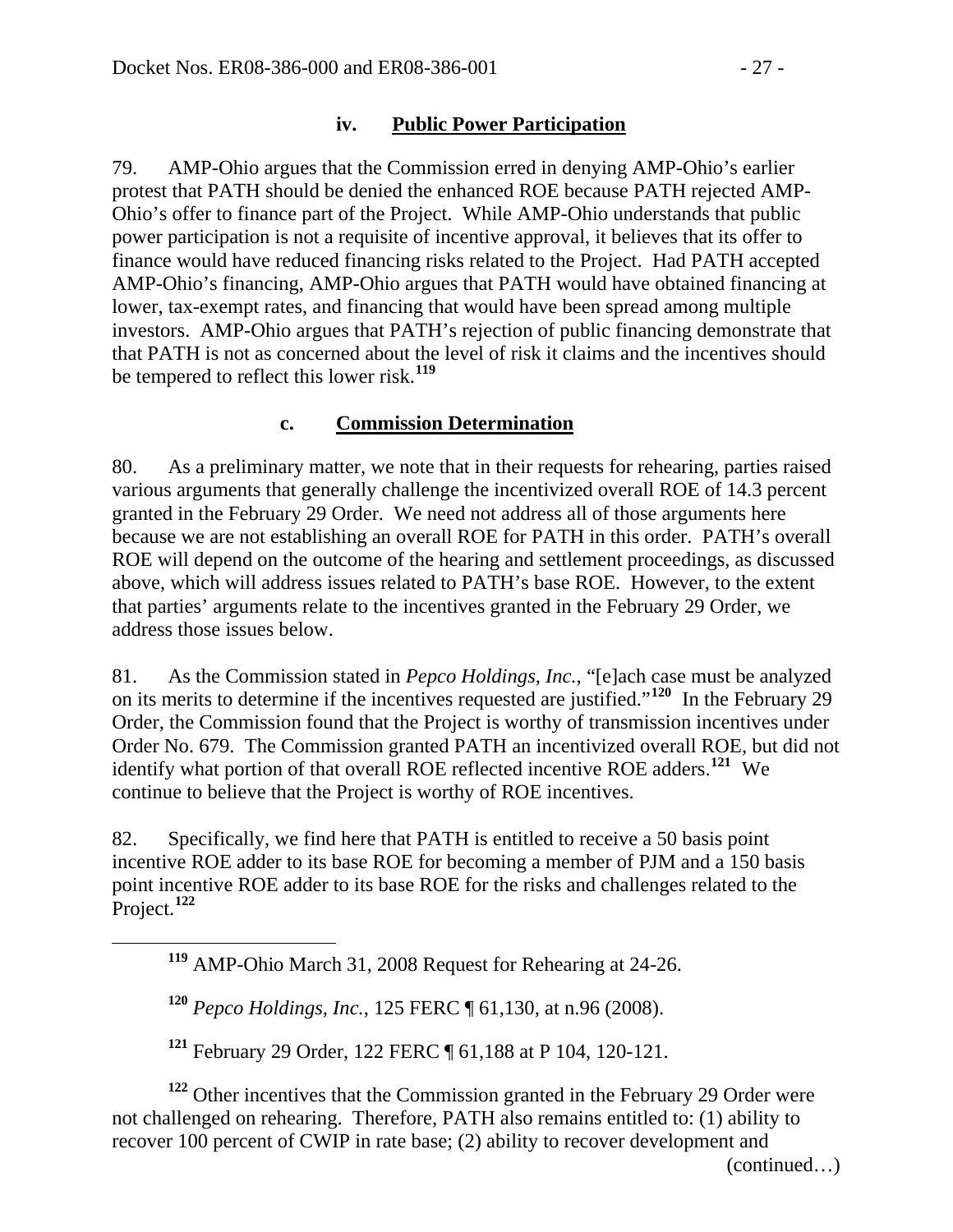#### **iv. Public Power Participation**

79. AMP-Ohio argues that the Commission erred in denying AMP-Ohio's earlier protest that PATH should be denied the enhanced ROE because PATH rejected AMP-Ohio's offer to finance part of the Project. While AMP-Ohio understands that public power participation is not a requisite of incentive approval, it believes that its offer to finance would have reduced financing risks related to the Project. Had PATH accepted AMP-Ohio's financing, AMP-Ohio argues that PATH would have obtained financing at lower, tax-exempt rates, and financing that would have been spread among multiple investors. AMP-Ohio argues that PATH's rejection of public financing demonstrate that that PATH is not as concerned about the level of risk it claims and the incentives should be tempered to reflect this lower risk.**[119](#page-26-0)**

#### **c. Commission Determination**

80. As a preliminary matter, we note that in their requests for rehearing, parties raised various arguments that generally challenge the incentivized overall ROE of 14.3 percent granted in the February 29 Order. We need not address all of those arguments here because we are not establishing an overall ROE for PATH in this order. PATH's overall ROE will depend on the outcome of the hearing and settlement proceedings, as discussed above, which will address issues related to PATH's base ROE. However, to the extent that parties' arguments relate to the incentives granted in the February 29 Order, we address those issues below.

81. As the Commission stated in *Pepco Holdings, Inc.*, "[e]ach case must be analyzed on its merits to determine if the incentives requested are justified."**[120](#page-26-1)** In the February 29 Order, the Commission found that the Project is worthy of transmission incentives under Order No. 679. The Commission granted PATH an incentivized overall ROE, but did not identify what portion of that overall ROE reflected incentive ROE adders.**[121](#page-26-2)** We continue to believe that the Project is worthy of ROE incentives.

82. Specifically, we find here that PATH is entitled to receive a 50 basis point incentive ROE adder to its base ROE for becoming a member of PJM and a 150 basis point incentive ROE adder to its base ROE for the risks and challenges related to the Project.**[122](#page-26-3)**

**<sup>119</sup>** AMP-Ohio March 31, 2008 Request for Rehearing at 24-26.

**<sup>120</sup>** *Pepco Holdings, Inc.*, 125 FERC ¶ 61,130, at n.96 (2008).

<span id="page-26-1"></span><span id="page-26-0"></span> $\overline{a}$ 

**<sup>121</sup>** February 29 Order, 122 FERC ¶ 61,188 at P 104, 120-121.

<span id="page-26-3"></span><span id="page-26-2"></span>**<sup>122</sup>** Other incentives that the Commission granted in the February 29 Order were not challenged on rehearing. Therefore, PATH also remains entitled to: (1) ability to recover 100 percent of CWIP in rate base; (2) ability to recover development and

(continued…)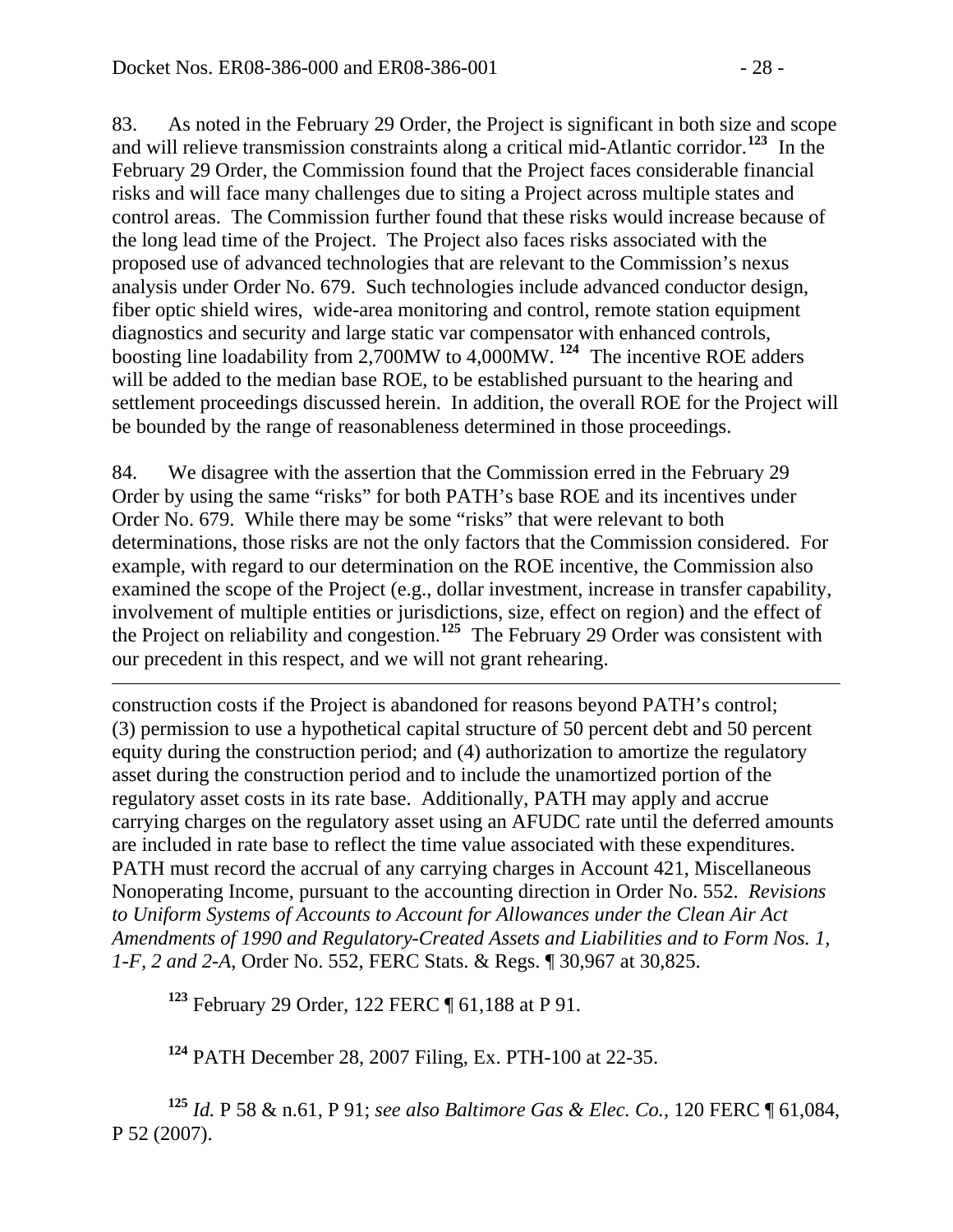$\overline{a}$ 

83. As noted in the February 29 Order, the Project is significant in both size and scope and will relieve transmission constraints along a critical mid-Atlantic corridor.**[123](#page-27-0)** In the February 29 Order, the Commission found that the Project faces considerable financial risks and will face many challenges due to siting a Project across multiple states and control areas. The Commission further found that these risks would increase because of the long lead time of the Project. The Project also faces risks associated with the proposed use of advanced technologies that are relevant to the Commission's nexus analysis under Order No. 679. Such technologies include advanced conductor design, fiber optic shield wires, wide-area monitoring and control, remote station equipment diagnostics and security and large static var compensator with enhanced controls, boosting line loadability from 2,700MW to 4,000MW. **[124](#page-27-1)** The incentive ROE adders will be added to the median base ROE, to be established pursuant to the hearing and settlement proceedings discussed herein. In addition, the overall ROE for the Project will be bounded by the range of reasonableness determined in those proceedings.

84. We disagree with the assertion that the Commission erred in the February 29 Order by using the same "risks" for both PATH's base ROE and its incentives under Order No. 679. While there may be some "risks" that were relevant to both determinations, those risks are not the only factors that the Commission considered. For example, with regard to our determination on the ROE incentive, the Commission also examined the scope of the Project (e.g., dollar investment, increase in transfer capability, involvement of multiple entities or jurisdictions, size, effect on region) and the effect of the Project on reliability and congestion.**[125](#page-27-2)** The February 29 Order was consistent with our precedent in this respect, and we will not grant rehearing.

construction costs if the Project is abandoned for reasons beyond PATH's control; (3) permission to use a hypothetical capital structure of 50 percent debt and 50 percent equity during the construction period; and (4) authorization to amortize the regulatory asset during the construction period and to include the unamortized portion of the regulatory asset costs in its rate base. Additionally, PATH may apply and accrue carrying charges on the regulatory asset using an AFUDC rate until the deferred amounts are included in rate base to reflect the time value associated with these expenditures. PATH must record the accrual of any carrying charges in Account 421, Miscellaneous Nonoperating Income, pursuant to the accounting direction in Order No. 552. *Revisions to Uniform Systems of Accounts to Account for Allowances under the Clean Air Act Amendments of 1990 and Regulatory-Created Assets and Liabilities and to Form Nos. 1, 1-F, 2 and 2-A*, Order No. 552, FERC Stats. & Regs. ¶ 30,967 at 30,825.

**<sup>123</sup>** February 29 Order, 122 FERC ¶ 61,188 at P 91.

**<sup>124</sup>** PATH December 28, 2007 Filing, Ex. PTH-100 at 22-35.

<span id="page-27-2"></span><span id="page-27-1"></span><span id="page-27-0"></span>**<sup>125</sup>** *Id.* P 58 & n.61, P 91; *see also Baltimore Gas & Elec. Co.*, 120 FERC ¶ 61,084, P 52 (2007).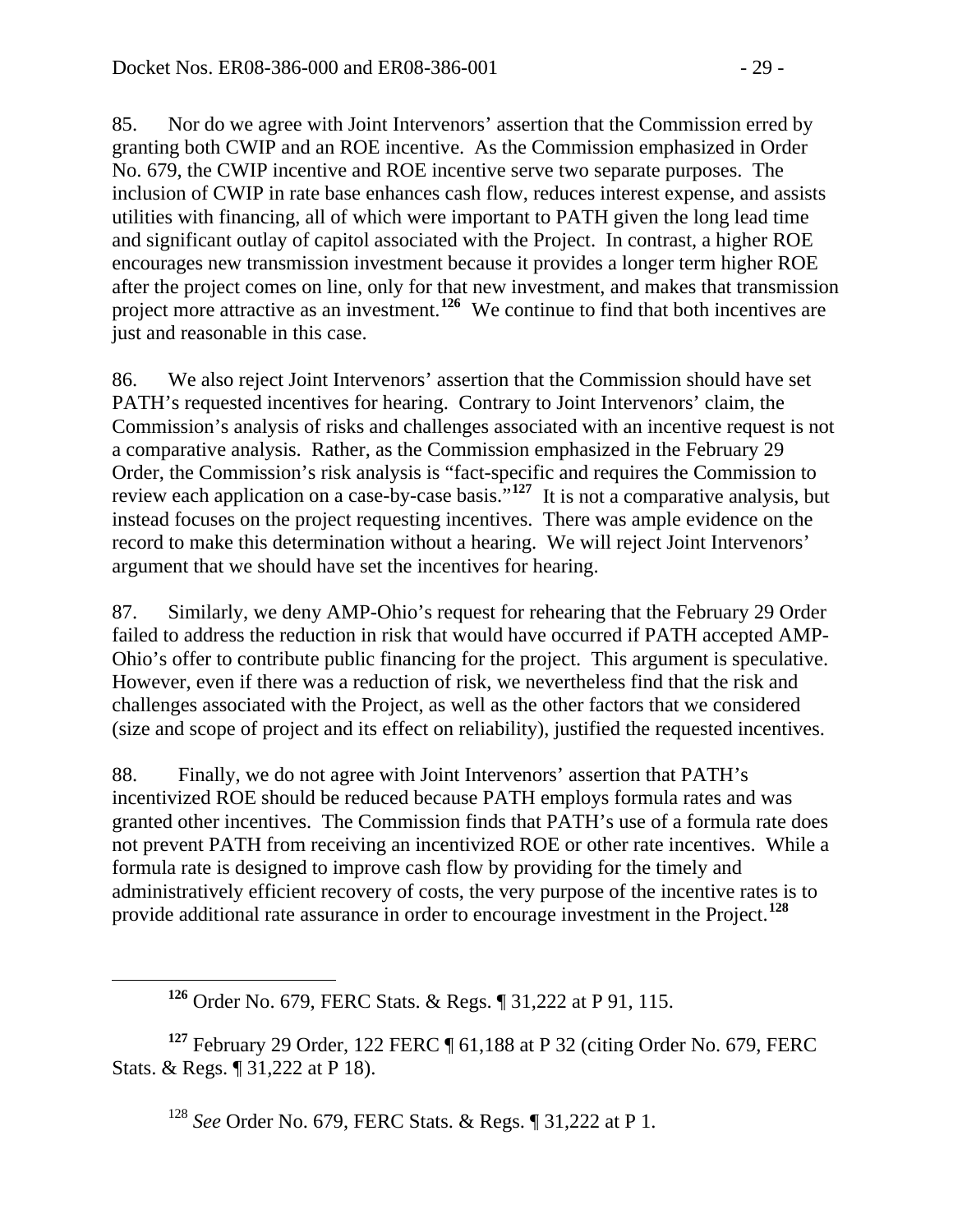85. Nor do we agree with Joint Intervenors' assertion that the Commission erred by granting both CWIP and an ROE incentive. As the Commission emphasized in Order No. 679, the CWIP incentive and ROE incentive serve two separate purposes. The inclusion of CWIP in rate base enhances cash flow, reduces interest expense, and assists utilities with financing, all of which were important to PATH given the long lead time and significant outlay of capitol associated with the Project. In contrast, a higher ROE encourages new transmission investment because it provides a longer term higher ROE after the project comes on line, only for that new investment, and makes that transmission project more attractive as an investment.<sup>[126](#page-28-0)</sup> We continue to find that both incentives are just and reasonable in this case.

86. We also reject Joint Intervenors' assertion that the Commission should have set PATH's requested incentives for hearing. Contrary to Joint Intervenors' claim, the Commission's analysis of risks and challenges associated with an incentive request is not a comparative analysis. Rather, as the Commission emphasized in the February 29 Order, the Commission's risk analysis is "fact-specific and requires the Commission to review each application on a case-by-case basis.<sup>7,[127](#page-28-1)</sup> It is not a comparative analysis, but instead focuses on the project requesting incentives. There was ample evidence on the record to make this determination without a hearing. We will reject Joint Intervenors' argument that we should have set the incentives for hearing.

87. Similarly, we deny AMP-Ohio's request for rehearing that the February 29 Order failed to address the reduction in risk that would have occurred if PATH accepted AMP-Ohio's offer to contribute public financing for the project. This argument is speculative. However, even if there was a reduction of risk, we nevertheless find that the risk and challenges associated with the Project, as well as the other factors that we considered (size and scope of project and its effect on reliability), justified the requested incentives.

88. Finally, we do not agree with Joint Intervenors' assertion that PATH's incentivized ROE should be reduced because PATH employs formula rates and was granted other incentives. The Commission finds that PATH's use of a formula rate does not prevent PATH from receiving an incentivized ROE or other rate incentives. While a formula rate is designed to improve cash flow by providing for the timely and administratively efficient recovery of costs, the very purpose of the incentive rates is to provide additional rate assurance in order to encourage investment in the Project.**[128](#page-28-2)**

<span id="page-28-2"></span><span id="page-28-1"></span><span id="page-28-0"></span>**<sup>127</sup>** February 29 Order, 122 FERC ¶ 61,188 at P 32 (citing Order No. 679, FERC Stats. & Regs. ¶ 31,222 at P 18).

<sup>128</sup> *See* Order No. 679, FERC Stats. & Regs. ¶ 31,222 at P 1.

**<sup>126</sup>** Order No. 679, FERC Stats. & Regs. ¶ 31,222 at P 91, 115.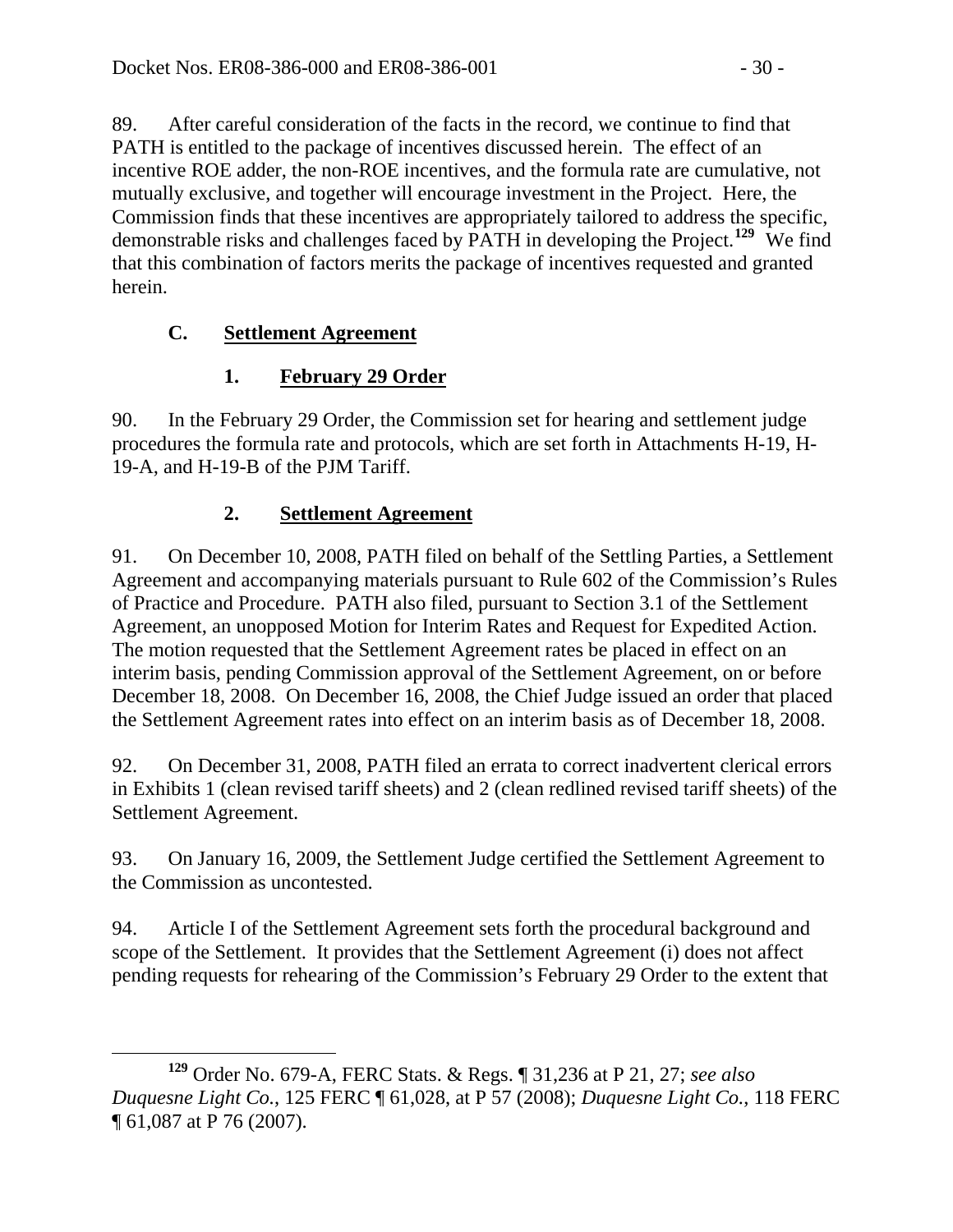89. After careful consideration of the facts in the record, we continue to find that PATH is entitled to the package of incentives discussed herein. The effect of an incentive ROE adder, the non-ROE incentives, and the formula rate are cumulative, not mutually exclusive, and together will encourage investment in the Project. Here, the Commission finds that these incentives are appropriately tailored to address the specific, demonstrable risks and challenges faced by PATH in developing the Project.**[129](#page-29-0)** We find that this combination of factors merits the package of incentives requested and granted herein.

## **C. Settlement Agreement**

## **1. February 29 Order**

90. In the February 29 Order, the Commission set for hearing and settlement judge procedures the formula rate and protocols, which are set forth in Attachments H-19, H-19-A, and H-19-B of the PJM Tariff.

## **2. Settlement Agreement**

91. On December 10, 2008, PATH filed on behalf of the Settling Parties, a Settlement Agreement and accompanying materials pursuant to Rule 602 of the Commission's Rules of Practice and Procedure. PATH also filed, pursuant to Section 3.1 of the Settlement Agreement, an unopposed Motion for Interim Rates and Request for Expedited Action. The motion requested that the Settlement Agreement rates be placed in effect on an interim basis, pending Commission approval of the Settlement Agreement, on or before December 18, 2008. On December 16, 2008, the Chief Judge issued an order that placed the Settlement Agreement rates into effect on an interim basis as of December 18, 2008.

92. On December 31, 2008, PATH filed an errata to correct inadvertent clerical errors in Exhibits 1 (clean revised tariff sheets) and 2 (clean redlined revised tariff sheets) of the Settlement Agreement.

93. On January 16, 2009, the Settlement Judge certified the Settlement Agreement to the Commission as uncontested.

94. Article I of the Settlement Agreement sets forth the procedural background and scope of the Settlement. It provides that the Settlement Agreement (i) does not affect pending requests for rehearing of the Commission's February 29 Order to the extent that

<span id="page-29-0"></span>**<sup>129</sup>** Order No. 679-A, FERC Stats. & Regs. ¶ 31,236 at P 21, 27; *see also Duquesne Light Co.*, 125 FERC ¶ 61,028, at P 57 (2008); *Duquesne Light Co.*, 118 FERC ¶ 61,087 at P 76 (2007).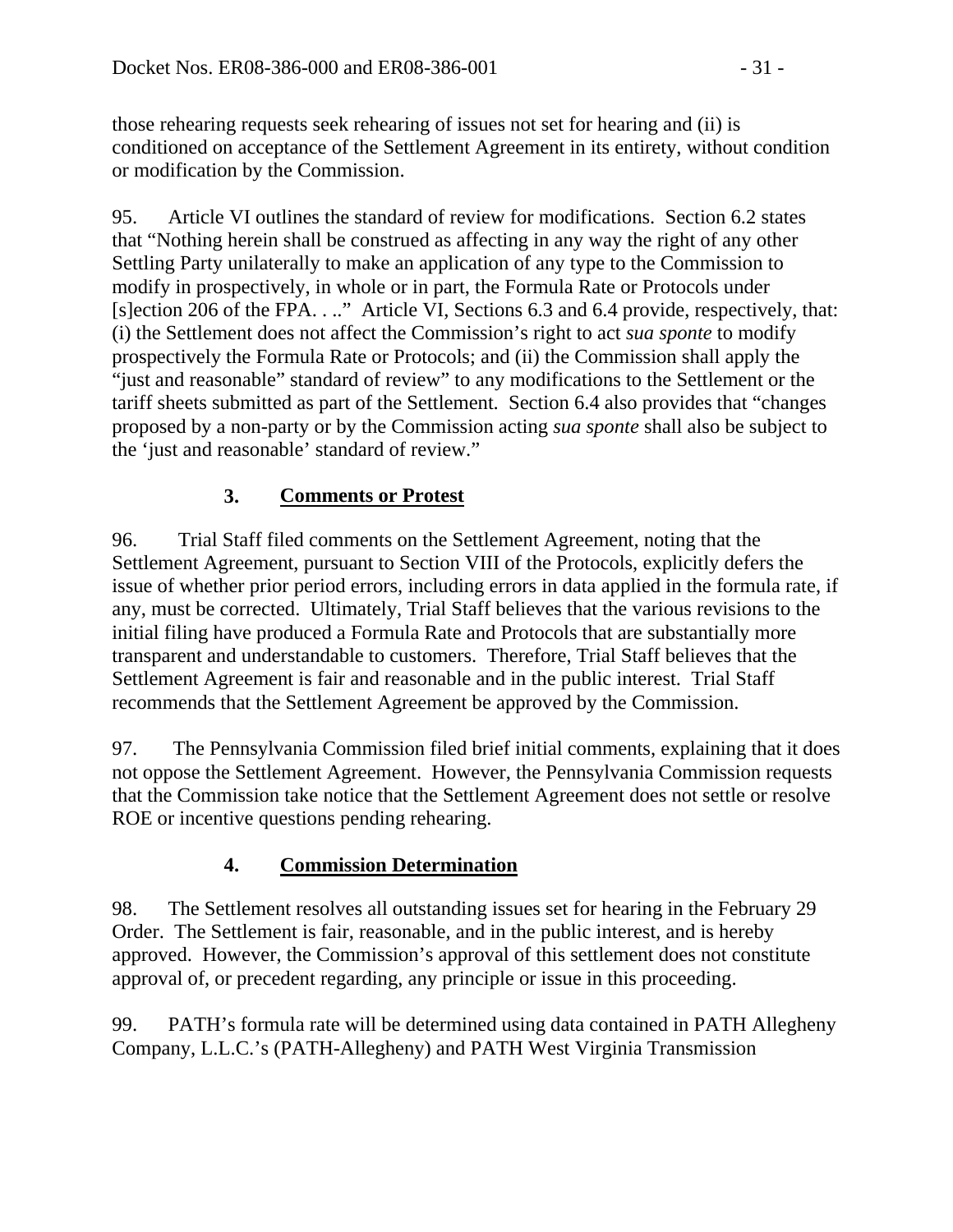those rehearing requests seek rehearing of issues not set for hearing and (ii) is conditioned on acceptance of the Settlement Agreement in its entirety, without condition or modification by the Commission.

95. Article VI outlines the standard of review for modifications. Section 6.2 states that "Nothing herein shall be construed as affecting in any way the right of any other Settling Party unilaterally to make an application of any type to the Commission to modify in prospectively, in whole or in part, the Formula Rate or Protocols under [s]ection 206 of the FPA. . .." Article VI, Sections 6.3 and 6.4 provide, respectively, that: (i) the Settlement does not affect the Commission's right to act *sua sponte* to modify prospectively the Formula Rate or Protocols; and (ii) the Commission shall apply the "just and reasonable" standard of review" to any modifications to the Settlement or the tariff sheets submitted as part of the Settlement. Section 6.4 also provides that "changes proposed by a non-party or by the Commission acting *sua sponte* shall also be subject to the 'just and reasonable' standard of review."

# **3. Comments or Protest**

96. Trial Staff filed comments on the Settlement Agreement, noting that the Settlement Agreement, pursuant to Section VIII of the Protocols, explicitly defers the issue of whether prior period errors, including errors in data applied in the formula rate, if any, must be corrected. Ultimately, Trial Staff believes that the various revisions to the initial filing have produced a Formula Rate and Protocols that are substantially more transparent and understandable to customers. Therefore, Trial Staff believes that the Settlement Agreement is fair and reasonable and in the public interest. Trial Staff recommends that the Settlement Agreement be approved by the Commission.

97. The Pennsylvania Commission filed brief initial comments, explaining that it does not oppose the Settlement Agreement. However, the Pennsylvania Commission requests that the Commission take notice that the Settlement Agreement does not settle or resolve ROE or incentive questions pending rehearing.

# **4. Commission Determination**

98. The Settlement resolves all outstanding issues set for hearing in the February 29 Order. The Settlement is fair, reasonable, and in the public interest, and is hereby approved. However, the Commission's approval of this settlement does not constitute approval of, or precedent regarding, any principle or issue in this proceeding.

99. PATH's formula rate will be determined using data contained in PATH Allegheny Company, L.L.C.'s (PATH-Allegheny) and PATH West Virginia Transmission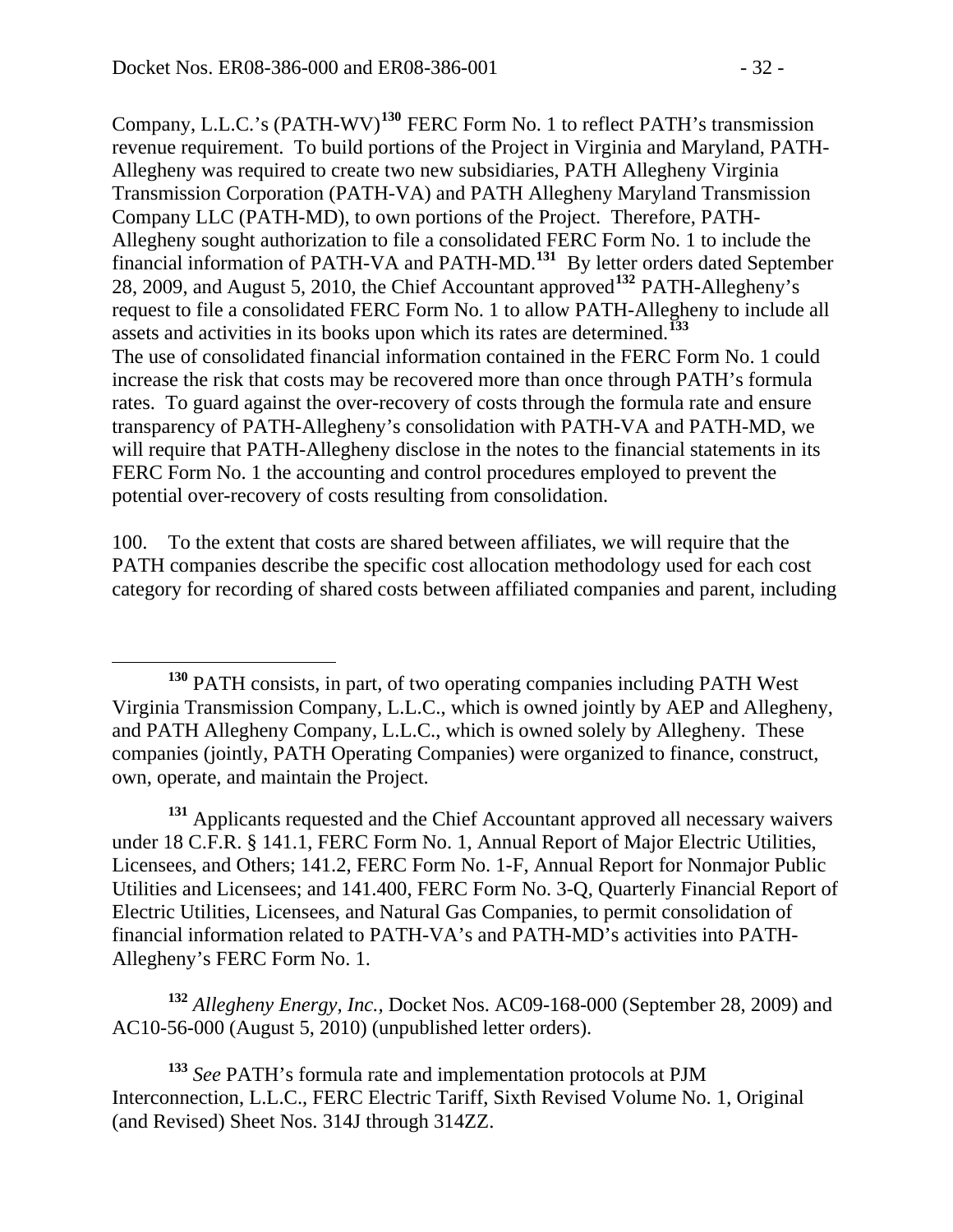Company, L.L.C.'s (PATH-WV)**[130](#page-31-0)** FERC Form No. 1 to reflect PATH's transmission revenue requirement. To build portions of the Project in Virginia and Maryland, PATH-Allegheny was required to create two new subsidiaries, PATH Allegheny Virginia Transmission Corporation (PATH-VA) and PATH Allegheny Maryland Transmission Company LLC (PATH-MD), to own portions of the Project. Therefore, PATH-Allegheny sought authorization to file a consolidated FERC Form No. 1 to include the financial information of PATH-VA and PATH-MD.**[131](#page-31-1)** By letter orders dated September 28, 2009, and August 5, 2010, the Chief Accountant approved**[132](#page-31-2)** PATH-Allegheny's request to file a consolidated FERC Form No. 1 to allow PATH-Allegheny to include all assets and activities in its books upon which its rates are determined.**[133](#page-31-3)** The use of consolidated financial information contained in the FERC Form No. 1 could increase the risk that costs may be recovered more than once through PATH's formula rates. To guard against the over-recovery of costs through the formula rate and ensure transparency of PATH-Allegheny's consolidation with PATH-VA and PATH-MD, we will require that PATH-Allegheny disclose in the notes to the financial statements in its FERC Form No. 1 the accounting and control procedures employed to prevent the potential over-recovery of costs resulting from consolidation.

100. To the extent that costs are shared between affiliates, we will require that the PATH companies describe the specific cost allocation methodology used for each cost category for recording of shared costs between affiliated companies and parent, including

<span id="page-31-1"></span> **<sup>131</sup>** Applicants requested and the Chief Accountant approved all necessary waivers under 18 C.F.R. § 141.1, FERC Form No. 1, Annual Report of Major Electric Utilities, Licensees, and Others; 141.2, FERC Form No. 1-F, Annual Report for Nonmajor Public Utilities and Licensees; and 141.400, FERC Form No. 3-Q, Quarterly Financial Report of Electric Utilities, Licensees, and Natural Gas Companies, to permit consolidation of financial information related to PATH-VA's and PATH-MD's activities into PATH-Allegheny's FERC Form No. 1.

<span id="page-31-2"></span> **<sup>132</sup>** *Allegheny Energy, Inc.,* Docket Nos. AC09-168-000 (September 28, 2009) and AC10-56-000 (August 5, 2010) (unpublished letter orders).

<span id="page-31-3"></span>**<sup>133</sup>** *See* PATH's formula rate and implementation protocols at PJM Interconnection, L.L.C., FERC Electric Tariff, Sixth Revised Volume No. 1, Original (and Revised) Sheet Nos. 314J through 314ZZ.

<span id="page-31-0"></span>**<sup>130</sup>** PATH consists, in part, of two operating companies including PATH West Virginia Transmission Company, L.L.C., which is owned jointly by AEP and Allegheny, and PATH Allegheny Company, L.L.C., which is owned solely by Allegheny. These companies (jointly, PATH Operating Companies) were organized to finance, construct, own, operate, and maintain the Project.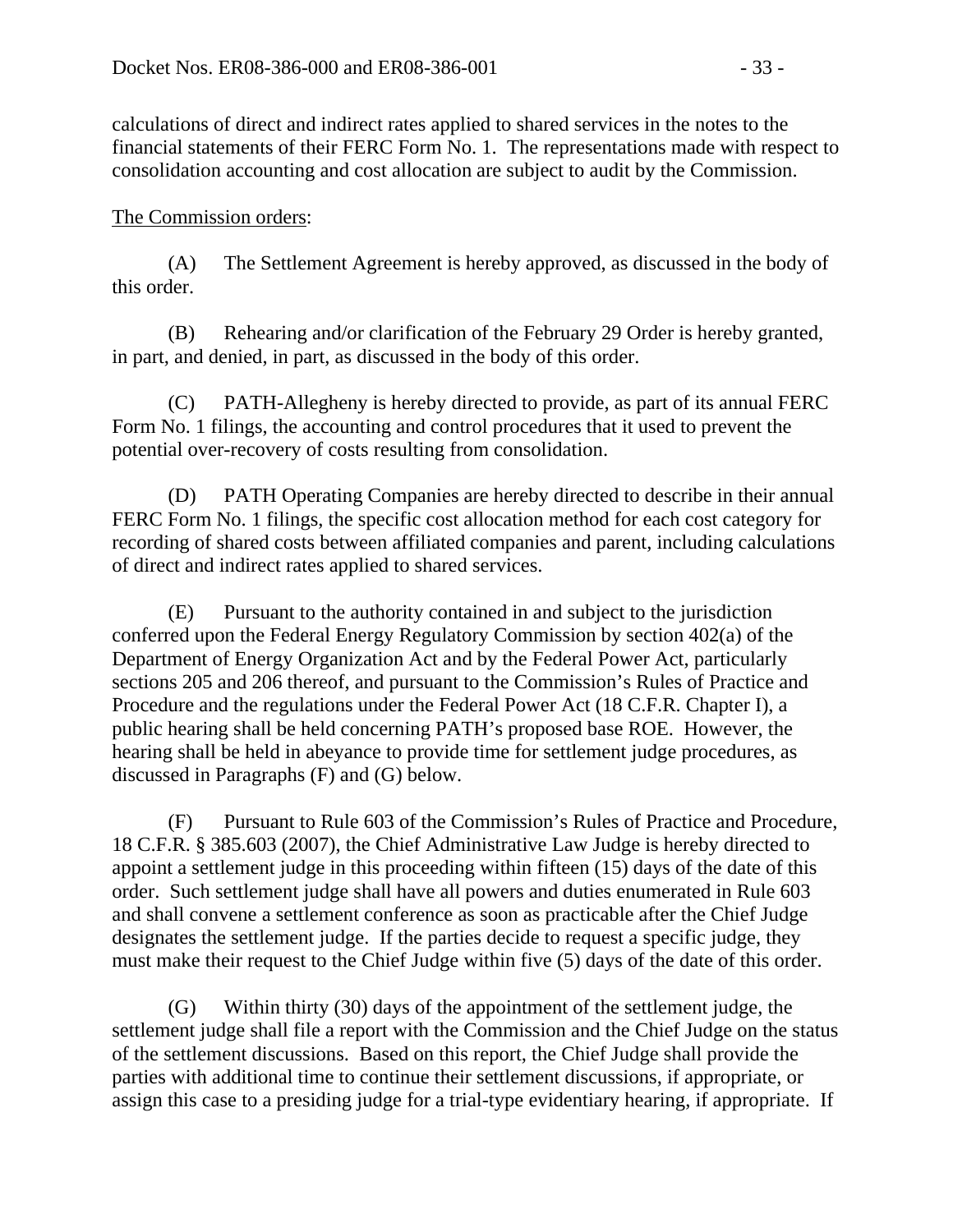calculations of direct and indirect rates applied to shared services in the notes to the financial statements of their FERC Form No. 1. The representations made with respect to consolidation accounting and cost allocation are subject to audit by the Commission.

#### The Commission orders:

(A) The Settlement Agreement is hereby approved, as discussed in the body of this order.

(B) Rehearing and/or clarification of the February 29 Order is hereby granted, in part, and denied, in part, as discussed in the body of this order.

(C) PATH-Allegheny is hereby directed to provide, as part of its annual FERC Form No. 1 filings, the accounting and control procedures that it used to prevent the potential over-recovery of costs resulting from consolidation.

(D) PATH Operating Companies are hereby directed to describe in their annual FERC Form No. 1 filings, the specific cost allocation method for each cost category for recording of shared costs between affiliated companies and parent, including calculations of direct and indirect rates applied to shared services.

(E) Pursuant to the authority contained in and subject to the jurisdiction conferred upon the Federal Energy Regulatory Commission by section 402(a) of the Department of Energy Organization Act and by the Federal Power Act, particularly sections 205 and 206 thereof, and pursuant to the Commission's Rules of Practice and Procedure and the regulations under the Federal Power Act (18 C.F.R. Chapter I), a public hearing shall be held concerning PATH's proposed base ROE. However, the hearing shall be held in abeyance to provide time for settlement judge procedures, as discussed in Paragraphs (F) and (G) below.

(F) Pursuant to Rule 603 of the Commission's Rules of Practice and Procedure, 18 C.F.R. § 385.603 (2007), the Chief Administrative Law Judge is hereby directed to appoint a settlement judge in this proceeding within fifteen (15) days of the date of this order. Such settlement judge shall have all powers and duties enumerated in Rule 603 and shall convene a settlement conference as soon as practicable after the Chief Judge designates the settlement judge. If the parties decide to request a specific judge, they must make their request to the Chief Judge within five (5) days of the date of this order.

(G) Within thirty (30) days of the appointment of the settlement judge, the settlement judge shall file a report with the Commission and the Chief Judge on the status of the settlement discussions. Based on this report, the Chief Judge shall provide the parties with additional time to continue their settlement discussions, if appropriate, or assign this case to a presiding judge for a trial-type evidentiary hearing, if appropriate. If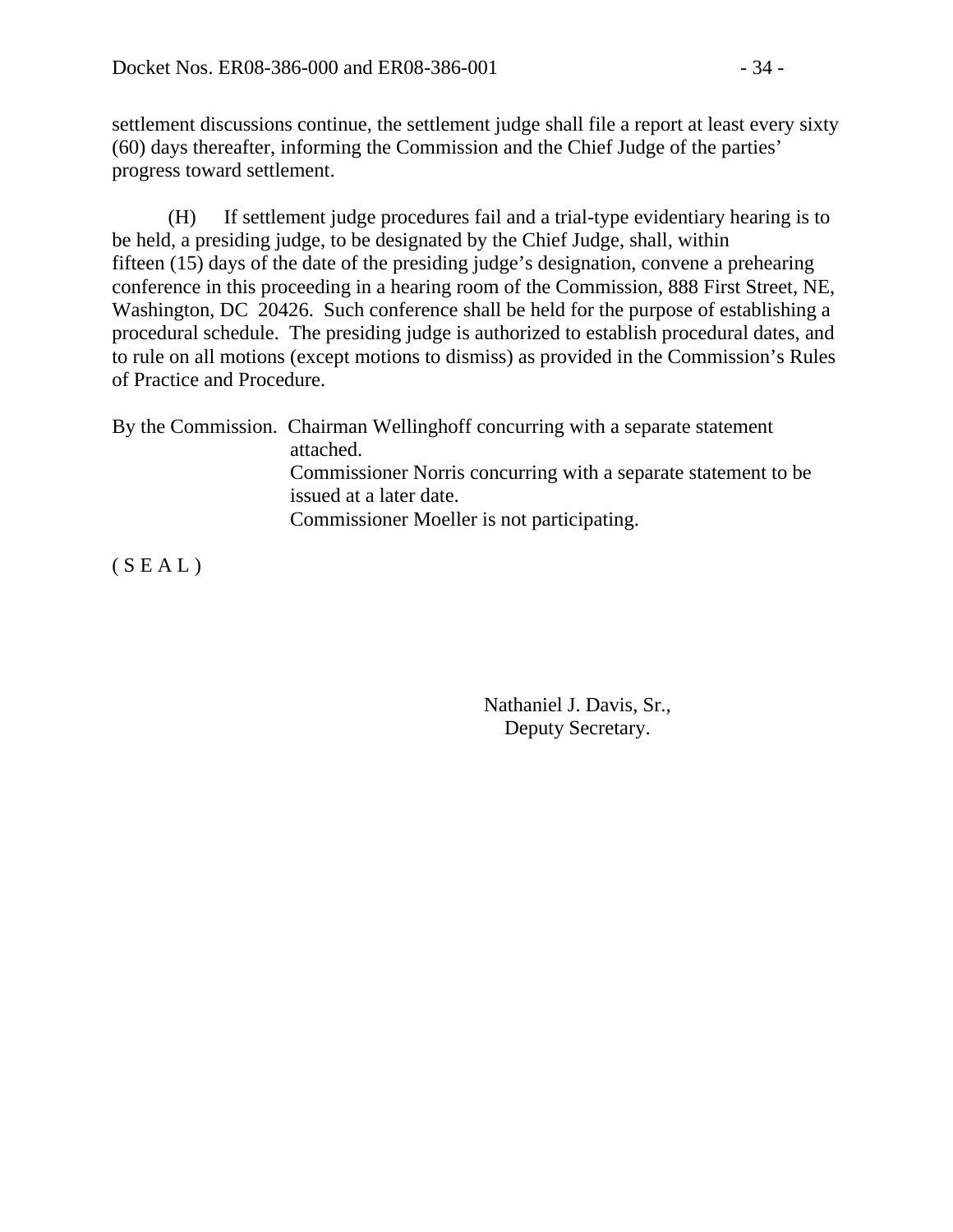settlement discussions continue, the settlement judge shall file a report at least every sixty (60) days thereafter, informing the Commission and the Chief Judge of the parties' progress toward settlement.

(H) If settlement judge procedures fail and a trial-type evidentiary hearing is to be held, a presiding judge, to be designated by the Chief Judge, shall, within fifteen (15) days of the date of the presiding judge's designation, convene a prehearing conference in this proceeding in a hearing room of the Commission, 888 First Street, NE, Washington, DC 20426. Such conference shall be held for the purpose of establishing a procedural schedule. The presiding judge is authorized to establish procedural dates, and to rule on all motions (except motions to dismiss) as provided in the Commission's Rules of Practice and Procedure.

By the Commission. Chairman Wellinghoff concurring with a separate statement attached. Commissioner Norris concurring with a separate statement to be issued at a later date. Commissioner Moeller is not participating.

 $(S E A L)$ 

Nathaniel J. Davis, Sr., Deputy Secretary.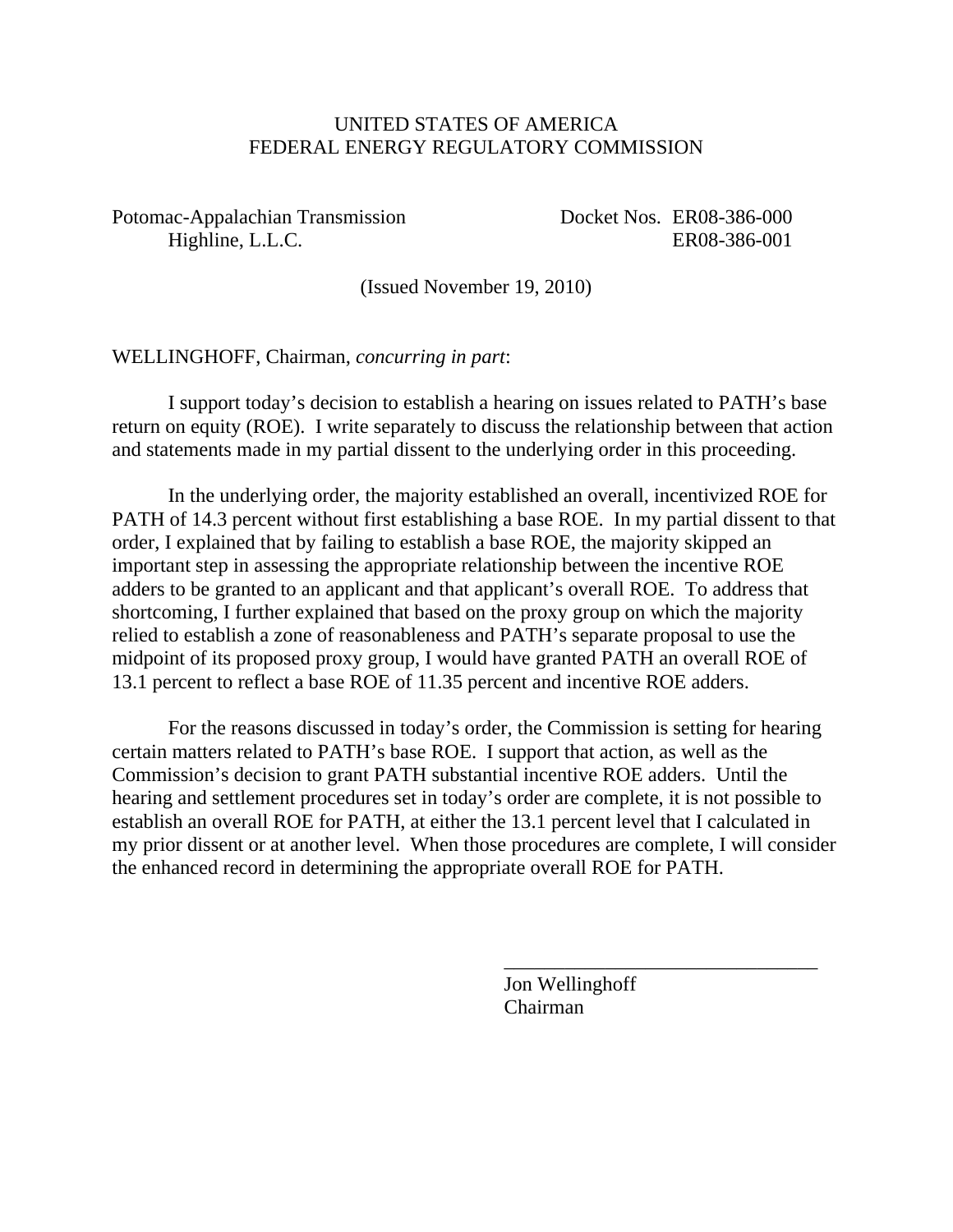#### UNITED STATES OF AMERICA FEDERAL ENERGY REGULATORY COMMISSION

Potomac-Appalachian Transmission Docket Nos. ER08-386-000 Highline, L.L.C. ER08-386-001

(Issued November 19, 2010)

WELLINGHOFF, Chairman, *concurring in part*:

 I support today's decision to establish a hearing on issues related to PATH's base return on equity (ROE). I write separately to discuss the relationship between that action and statements made in my partial dissent to the underlying order in this proceeding.

 In the underlying order, the majority established an overall, incentivized ROE for PATH of 14.3 percent without first establishing a base ROE. In my partial dissent to that order, I explained that by failing to establish a base ROE, the majority skipped an important step in assessing the appropriate relationship between the incentive ROE adders to be granted to an applicant and that applicant's overall ROE. To address that shortcoming, I further explained that based on the proxy group on which the majority relied to establish a zone of reasonableness and PATH's separate proposal to use the midpoint of its proposed proxy group, I would have granted PATH an overall ROE of 13.1 percent to reflect a base ROE of 11.35 percent and incentive ROE adders.

 For the reasons discussed in today's order, the Commission is setting for hearing certain matters related to PATH's base ROE. I support that action, as well as the Commission's decision to grant PATH substantial incentive ROE adders. Until the hearing and settlement procedures set in today's order are complete, it is not possible to establish an overall ROE for PATH, at either the 13.1 percent level that I calculated in my prior dissent or at another level. When those procedures are complete, I will consider the enhanced record in determining the appropriate overall ROE for PATH.

> Jon Wellinghoff Chairman

\_\_\_\_\_\_\_\_\_\_\_\_\_\_\_\_\_\_\_\_\_\_\_\_\_\_\_\_\_\_\_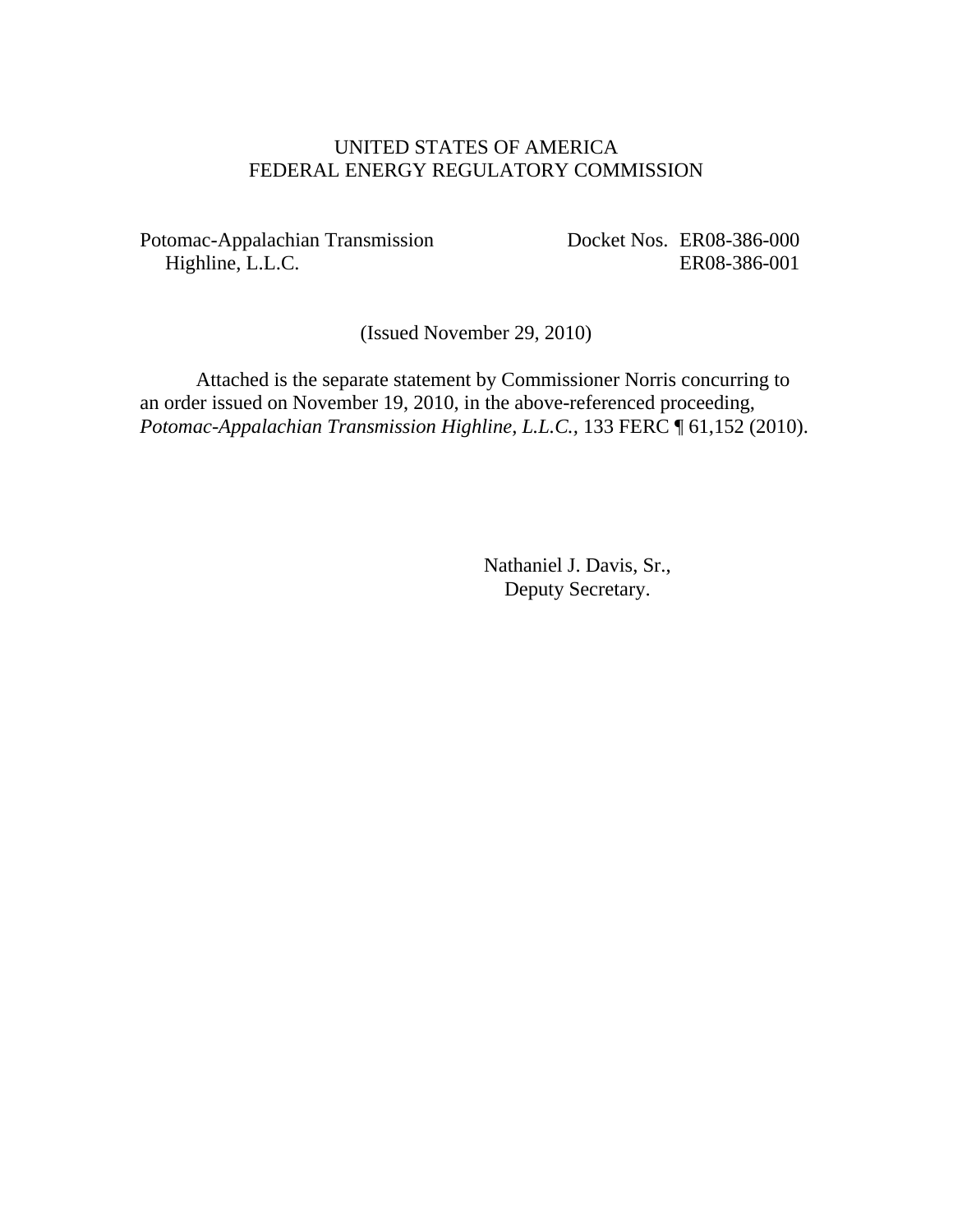#### UNITED STATES OF AMERICA FEDERAL ENERGY REGULATORY COMMISSION

Potomac-Appalachian Transmission Highline, L.L.C.

Docket Nos. ER08-386-000 ER08-386-001

(Issued November 29, 2010)

 Attached is the separate statement by Commissioner Norris concurring to an order issued on November 19, 2010, in the above-referenced proceeding, *Potomac-Appalachian Transmission Highline, L.L.C.,* 133 FERC ¶ 61,152 (2010).

> Nathaniel J. Davis, Sr., Deputy Secretary.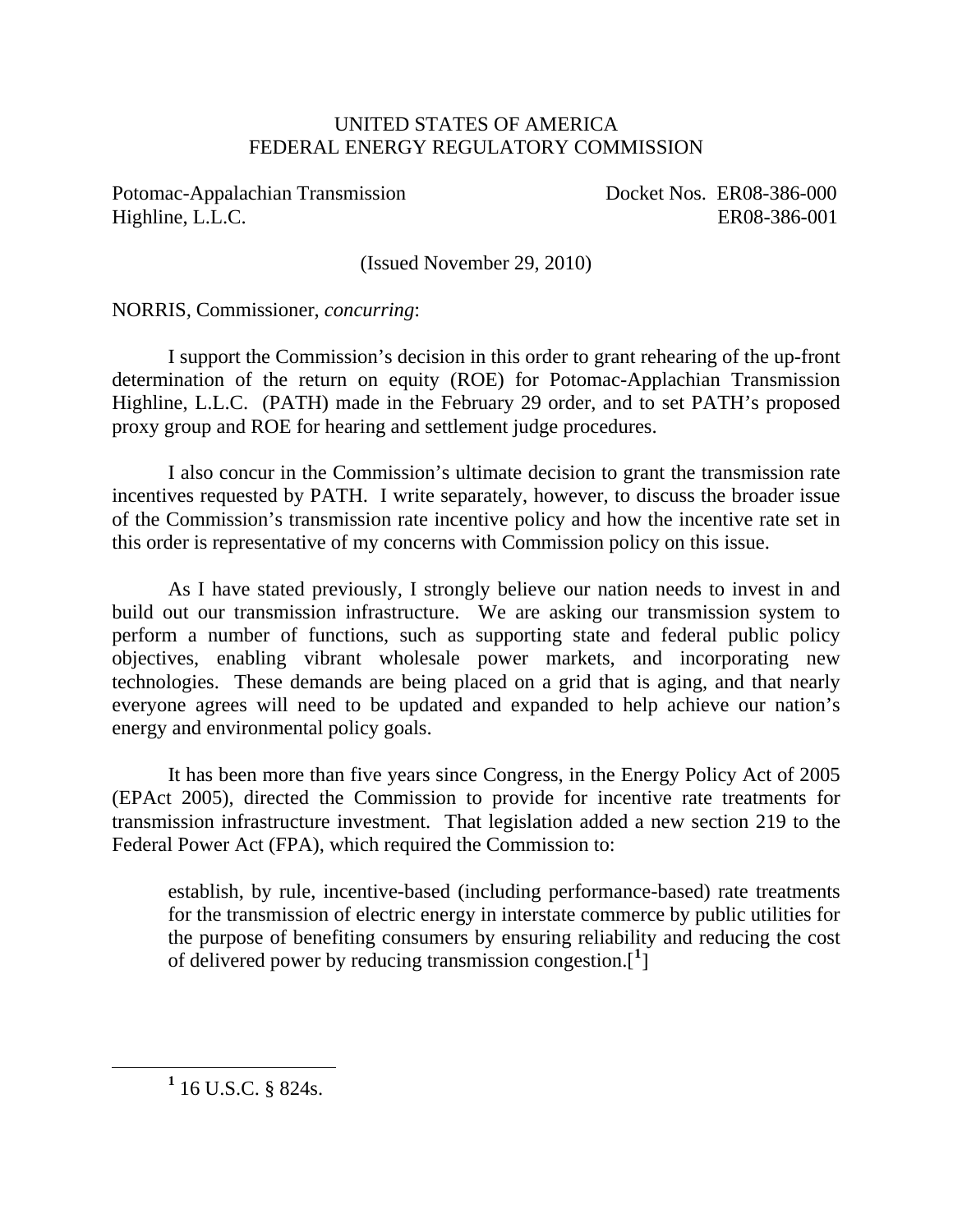#### UNITED STATES OF AMERICA FEDERAL ENERGY REGULATORY COMMISSION

Potomac-Appalachian Transmission Docket Nos. ER08-386-000 Highline, L.L.C. ER08-386-001

(Issued November 29, 2010)

NORRIS*,* Commissioner, *concurring*:

I support the Commission's decision in this order to grant rehearing of the up-front determination of the return on equity (ROE) for Potomac-Applachian Transmission Highline, L.L.C. (PATH) made in the February 29 order, and to set PATH's proposed proxy group and ROE for hearing and settlement judge procedures.

I also concur in the Commission's ultimate decision to grant the transmission rate incentives requested by PATH. I write separately, however, to discuss the broader issue of the Commission's transmission rate incentive policy and how the incentive rate set in this order is representative of my concerns with Commission policy on this issue.

As I have stated previously, I strongly believe our nation needs to invest in and build out our transmission infrastructure. We are asking our transmission system to perform a number of functions, such as supporting state and federal public policy objectives, enabling vibrant wholesale power markets, and incorporating new technologies. These demands are being placed on a grid that is aging, and that nearly everyone agrees will need to be updated and expanded to help achieve our nation's energy and environmental policy goals.

It has been more than five years since Congress, in the Energy Policy Act of 2005 (EPAct 2005), directed the Commission to provide for incentive rate treatments for transmission infrastructure investment. That legislation added a new section 219 to the Federal Power Act (FPA), which required the Commission to:

establish, by rule, incentive-based (including performance-based) rate treatments for the transmission of electric energy in interstate commerce by public utilities for the purpose of benefiting consumers by ensuring reliability and reducing the cost of delivered power by reducing transmission congestion.[**[1](#page-36-0)** ]

<span id="page-36-0"></span><u>1</u>  $1\,$  16 U.S.C. § 824s.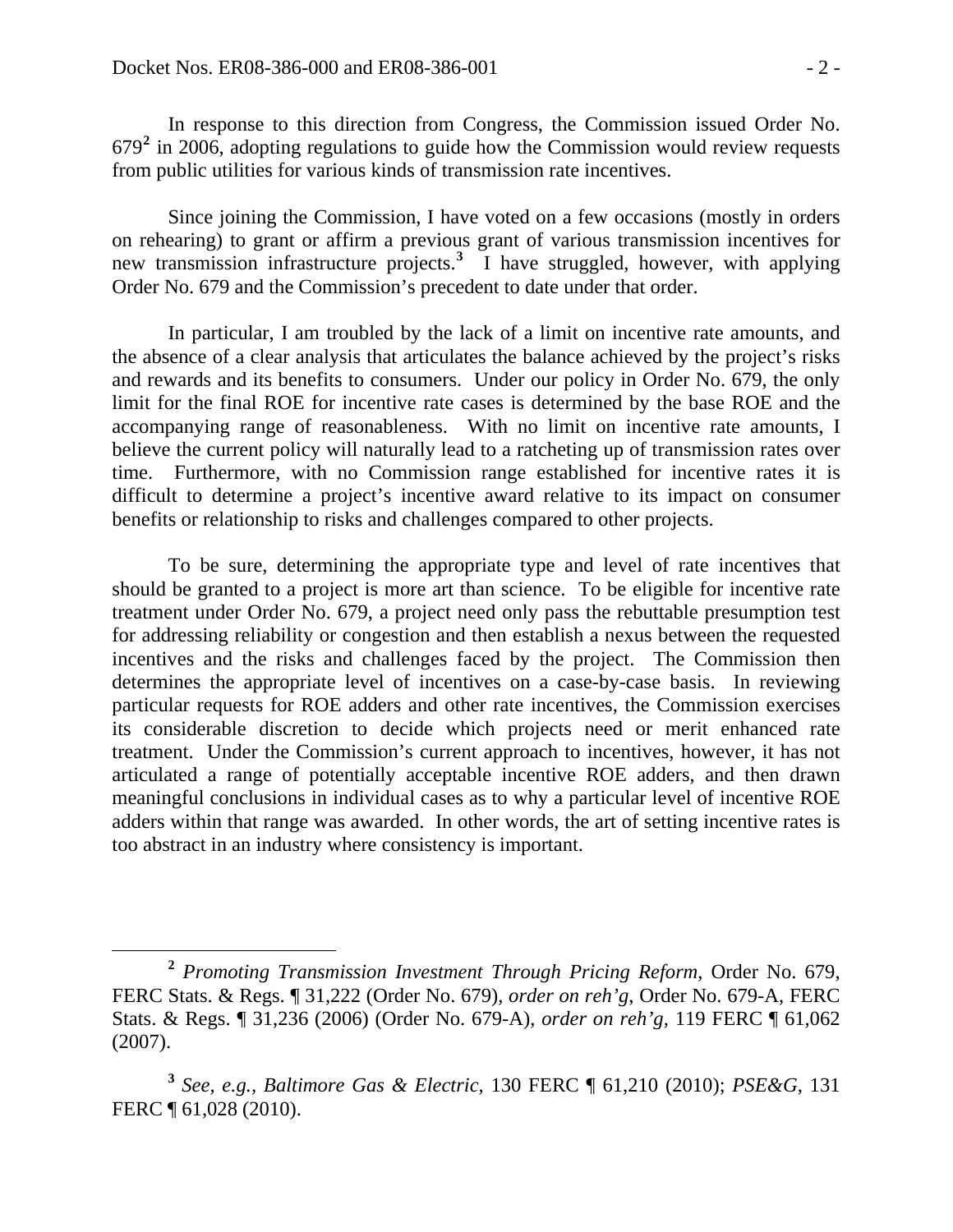In response to this direction from Congress, the Commission issued Order No. 679**[2](#page-37-0)** in 2006, adopting regulations to guide how the Commission would review requests from public utilities for various kinds of transmission rate incentives.

Since joining the Commission, I have voted on a few occasions (mostly in orders on rehearing) to grant or affirm a previous grant of various transmission incentives for new transmission infrastructure projects.**[3](#page-37-1)** I have struggled, however, with applying Order No. 679 and the Commission's precedent to date under that order.

In particular, I am troubled by the lack of a limit on incentive rate amounts, and the absence of a clear analysis that articulates the balance achieved by the project's risks and rewards and its benefits to consumers. Under our policy in Order No. 679, the only limit for the final ROE for incentive rate cases is determined by the base ROE and the accompanying range of reasonableness. With no limit on incentive rate amounts, I believe the current policy will naturally lead to a ratcheting up of transmission rates over time. Furthermore, with no Commission range established for incentive rates it is difficult to determine a project's incentive award relative to its impact on consumer benefits or relationship to risks and challenges compared to other projects.

To be sure, determining the appropriate type and level of rate incentives that should be granted to a project is more art than science. To be eligible for incentive rate treatment under Order No. 679, a project need only pass the rebuttable presumption test for addressing reliability or congestion and then establish a nexus between the requested incentives and the risks and challenges faced by the project. The Commission then determines the appropriate level of incentives on a case-by-case basis. In reviewing particular requests for ROE adders and other rate incentives, the Commission exercises its considerable discretion to decide which projects need or merit enhanced rate treatment. Under the Commission's current approach to incentives, however, it has not articulated a range of potentially acceptable incentive ROE adders, and then drawn meaningful conclusions in individual cases as to why a particular level of incentive ROE adders within that range was awarded. In other words, the art of setting incentive rates is too abstract in an industry where consistency is important.

<span id="page-37-0"></span>**<sup>2</sup>** *Promoting Transmission Investment Through Pricing Reform*, Order No. 679, FERC Stats. & Regs. ¶ 31,222 (Order No. 679), *order on reh'g*, Order No. 679-A, FERC Stats. & Regs. ¶ 31,236 (2006) (Order No. 679-A), *order on reh'g*, 119 FERC ¶ 61,062 (2007).

<span id="page-37-1"></span>**<sup>3</sup>** *See, e.g., Baltimore Gas & Electric,* 130 FERC ¶ 61,210 (2010); *PSE&G*, 131 FERC ¶ 61,028 (2010).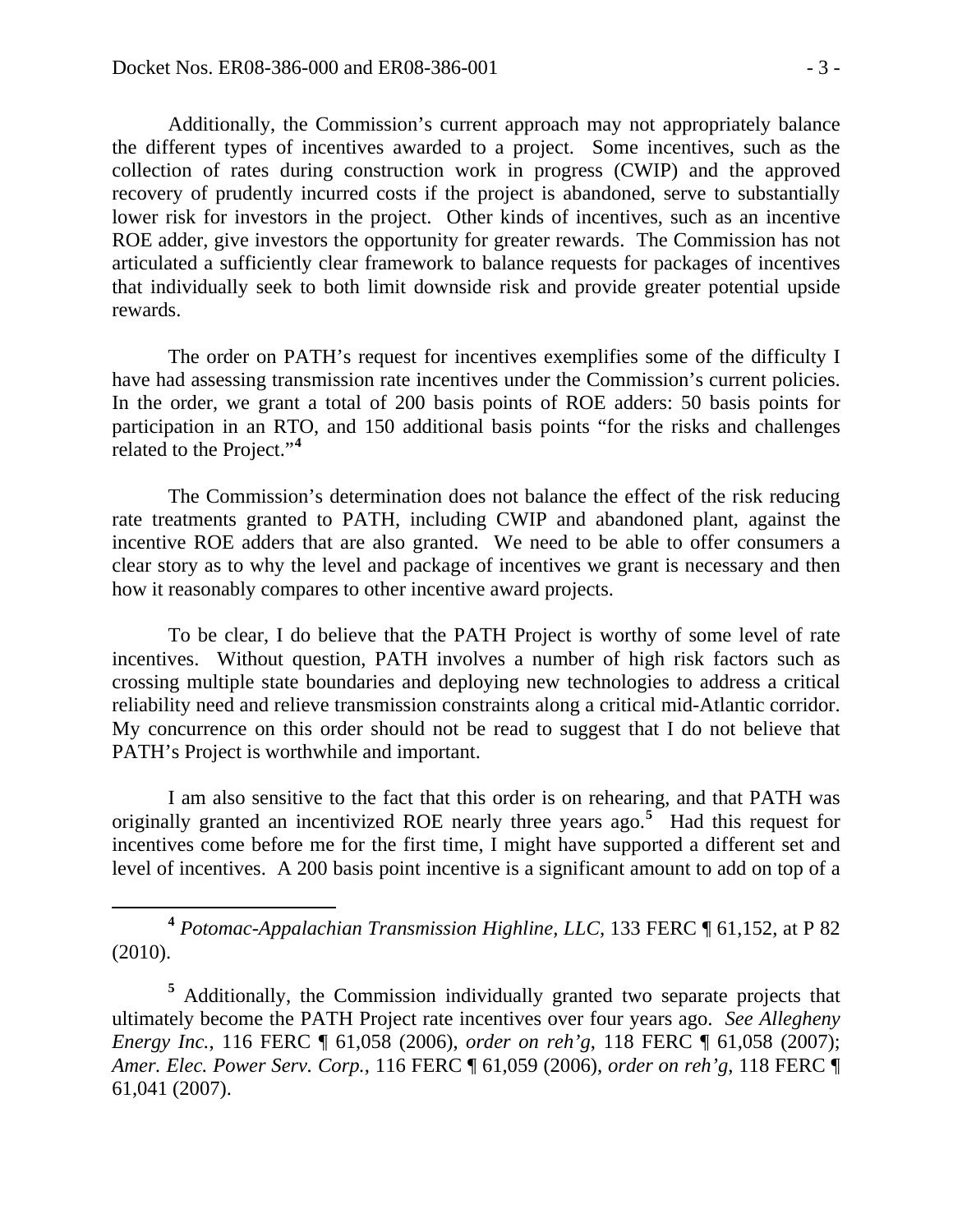Additionally, the Commission's current approach may not appropriately balance the different types of incentives awarded to a project. Some incentives, such as the collection of rates during construction work in progress (CWIP) and the approved recovery of prudently incurred costs if the project is abandoned, serve to substantially lower risk for investors in the project. Other kinds of incentives, such as an incentive ROE adder, give investors the opportunity for greater rewards. The Commission has not articulated a sufficiently clear framework to balance requests for packages of incentives that individually seek to both limit downside risk and provide greater potential upside rewards.

The order on PATH's request for incentives exemplifies some of the difficulty I have had assessing transmission rate incentives under the Commission's current policies. In the order, we grant a total of 200 basis points of ROE adders: 50 basis points for participation in an RTO, and 150 additional basis points "for the risks and challenges related to the Project."**[4](#page-38-0)**

The Commission's determination does not balance the effect of the risk reducing rate treatments granted to PATH, including CWIP and abandoned plant, against the incentive ROE adders that are also granted. We need to be able to offer consumers a clear story as to why the level and package of incentives we grant is necessary and then how it reasonably compares to other incentive award projects.

To be clear, I do believe that the PATH Project is worthy of some level of rate incentives. Without question, PATH involves a number of high risk factors such as crossing multiple state boundaries and deploying new technologies to address a critical reliability need and relieve transmission constraints along a critical mid-Atlantic corridor. My concurrence on this order should not be read to suggest that I do not believe that PATH's Project is worthwhile and important.

I am also sensitive to the fact that this order is on rehearing, and that PATH was originally granted an incentivized ROE nearly three years ago.**[5](#page-38-1)** Had this request for incentives come before me for the first time, I might have supported a different set and level of incentives. A 200 basis point incentive is a significant amount to add on top of a

<span id="page-38-0"></span> **<sup>4</sup>** *Potomac-Appalachian Transmission Highline, LLC,* 133 FERC ¶ 61,152, at P 82 (2010).

<span id="page-38-1"></span><sup>&</sup>lt;sup>5</sup> Additionally, the Commission individually granted two separate projects that ultimately become the PATH Project rate incentives over four years ago. *See Allegheny Energy Inc.*, 116 FERC ¶ 61,058 (2006), *order on reh'g*, 118 FERC ¶ 61,058 (2007); *Amer. Elec. Power Serv. Corp.*, 116 FERC ¶ 61,059 (2006), *order on reh'g*, 118 FERC ¶ 61,041 (2007).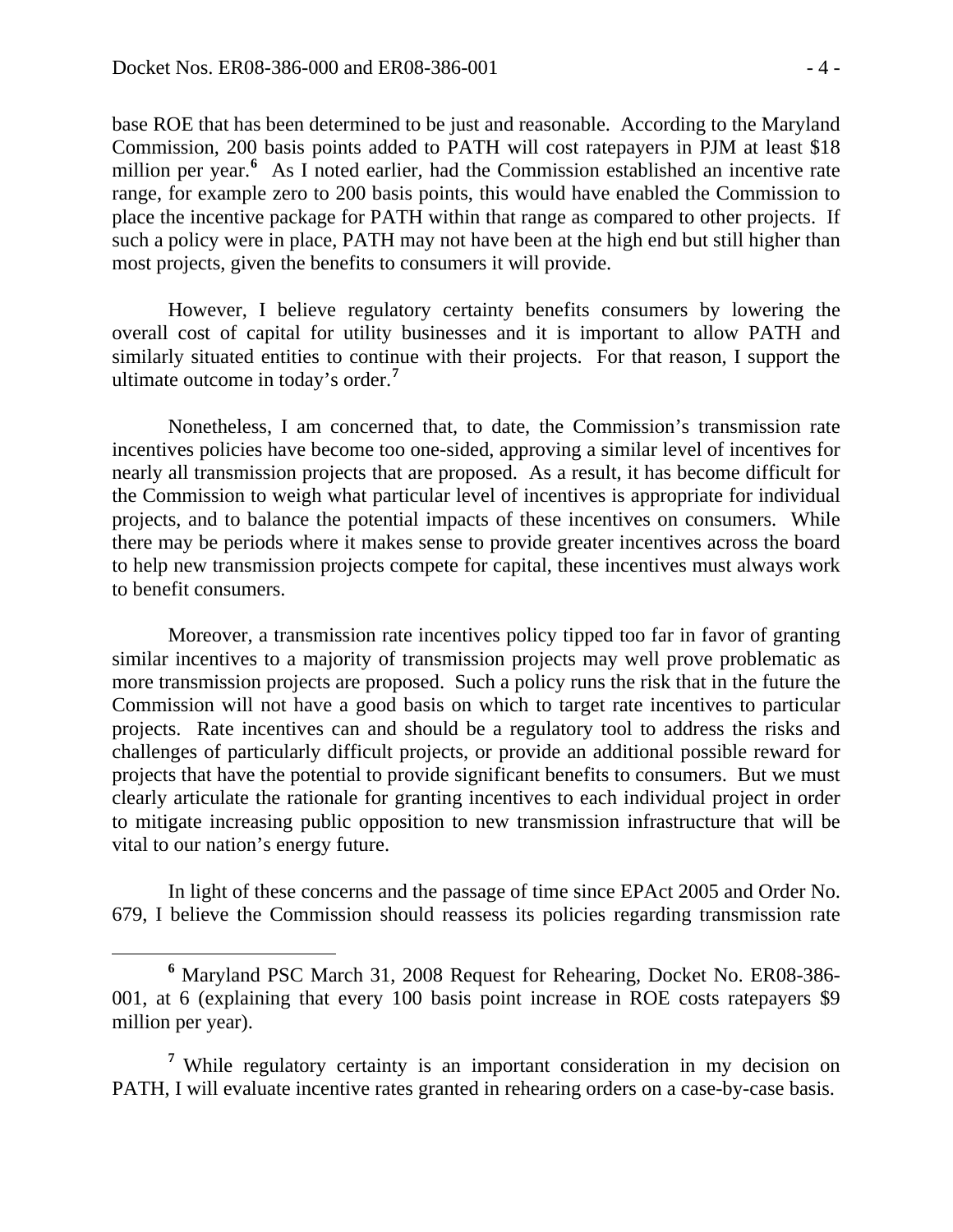base ROE that has been determined to be just and reasonable. According to the Maryland Commission, 200 basis points added to PATH will cost ratepayers in PJM at least \$18 million per year.<sup>[6](#page-39-0)</sup> As I noted earlier, had the Commission established an incentive rate range, for example zero to 200 basis points, this would have enabled the Commission to place the incentive package for PATH within that range as compared to other projects. If such a policy were in place, PATH may not have been at the high end but still higher than most projects, given the benefits to consumers it will provide.

However, I believe regulatory certainty benefits consumers by lowering the overall cost of capital for utility businesses and it is important to allow PATH and similarly situated entities to continue with their projects. For that reason, I support the ultimate outcome in today's order.**[7](#page-39-1)**

Nonetheless, I am concerned that, to date, the Commission's transmission rate incentives policies have become too one-sided, approving a similar level of incentives for nearly all transmission projects that are proposed. As a result, it has become difficult for the Commission to weigh what particular level of incentives is appropriate for individual projects, and to balance the potential impacts of these incentives on consumers. While there may be periods where it makes sense to provide greater incentives across the board to help new transmission projects compete for capital, these incentives must always work to benefit consumers.

Moreover, a transmission rate incentives policy tipped too far in favor of granting similar incentives to a majority of transmission projects may well prove problematic as more transmission projects are proposed. Such a policy runs the risk that in the future the Commission will not have a good basis on which to target rate incentives to particular projects. Rate incentives can and should be a regulatory tool to address the risks and challenges of particularly difficult projects, or provide an additional possible reward for projects that have the potential to provide significant benefits to consumers. But we must clearly articulate the rationale for granting incentives to each individual project in order to mitigate increasing public opposition to new transmission infrastructure that will be vital to our nation's energy future.

In light of these concerns and the passage of time since EPAct 2005 and Order No. 679, I believe the Commission should reassess its policies regarding transmission rate

<span id="page-39-0"></span>**<sup>6</sup>** Maryland PSC March 31, 2008 Request for Rehearing, Docket No. ER08-386- 001, at 6 (explaining that every 100 basis point increase in ROE costs ratepayers \$9 million per year).

<span id="page-39-1"></span>**<sup>7</sup>**While regulatory certainty is an important consideration in my decision on PATH, I will evaluate incentive rates granted in rehearing orders on a case-by-case basis.